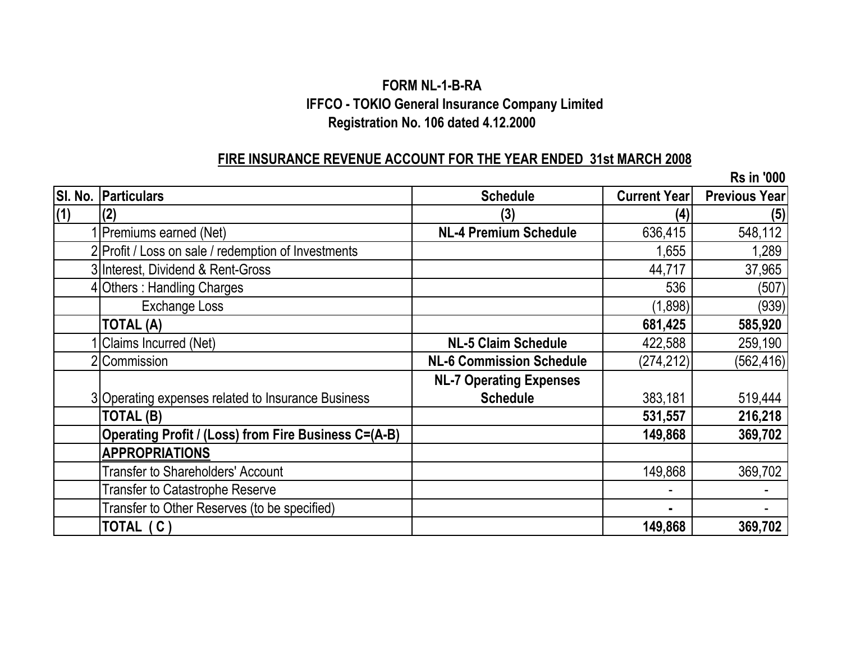# **FORM NL-1-B-RA IFFCO - TOKIO General Insurance Company Limited Registration No. 106 dated 4.12.2000**

#### **FIRE INSURANCE REVENUE ACCOUNT FOR THE YEAR ENDED 31st MARCH 2008**

**SI. No. Particulars Schedule Current Year Previous Year (1) (2) (3) (4) (5) 1 Premiums earned (Net) NL-4 Premium Schedule** 636,415 548,112 2 Profit / Loss on sale / redemption of Investments 1,289 1,289 3 Interest, Dividend & Rent-Gross and the state of the state of the state of the 44,717 and 44,717 and 37,965 4 Others : Handling Charges 1999 (507) Exchange Loss (939) **TOTAL (A) 681,425 585,920** 1 Claims Incurred (Net) **NL-5 Claim Schedule** 422,588 259,190 2 Commission **NL-6 Commission Schedule** (274,212) (562,416) 3 Operating expenses related to Insurance Business **NL-7 Operating Expenses Schedule** 1 383,181 519,444 **TOTAL (B) 531,557 216,218 Operating Profit / (Loss) from Fire Business C=(A-B) 149,868 149,868 369,702 APPROPRIATIONS** Transfer to Shareholders' Account 149,868 369,702 Transfer to Catastrophe Reserve - - Transfer to Other Reserves (to be specified) and the set of the set of the set of the set of the set of the set of the set of the set of the set of the set of the set of the set of the set of the set of the set of the set **TOTAL ( C ) 149,868 369,702 Rs in '000**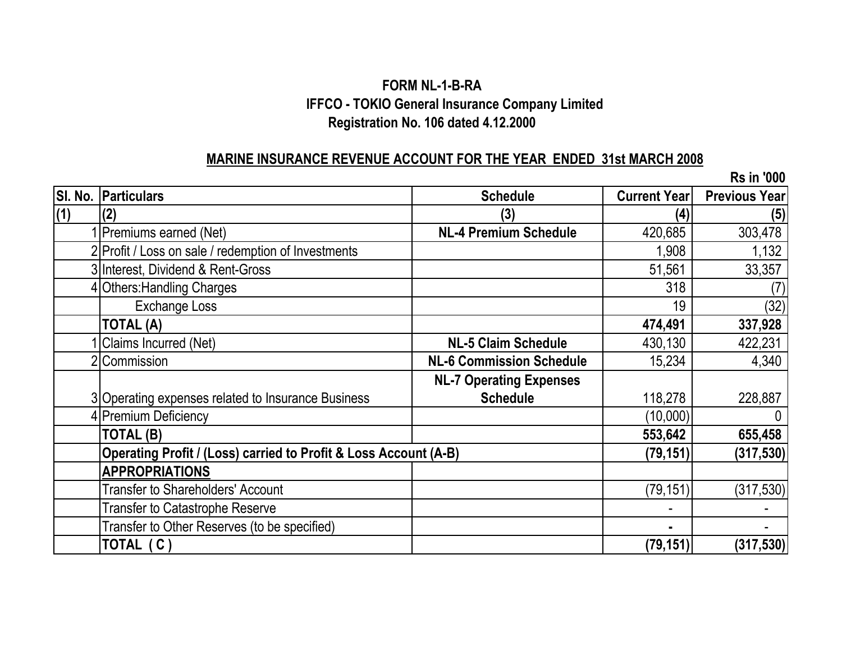# **FORM NL-1-B-RA IFFCO - TOKIO General Insurance Company Limited Registration No. 106 dated 4.12.2000**

#### **MARINE INSURANCE REVENUE ACCOUNT FOR THE YEAR ENDED 31st MARCH 2008**

**SI. No. Particulars Schedule Current Year Previous Year (1) (2) (3) (4) (5) 1 NL-4 Premium Schedule** 1 **420,685** 303,478 2 Profit / Loss on sale / redemption of Investments 1,132 3 Interest, Dividend & Rent-Gross 51,561 33,357 4 Others: Handling Charges (7) (7) Exchange Loss (32) **TOTAL (A) 474,491 337,928** 1 Claims Incurred (Net) **NL-5 Claim Schedule** 430,130 422,231 2 Commission **NL-6 Commission Schedule** 15,234 4,340 3 Operating expenses related to Insurance Business **NL-7 Operating Expenses Schedule** 118,278 228,887 A Premium Deficiency and the contract of the contract of the contract of the contract of the contract of the contract of the contract of the contract of the contract of the contract of the contract of the contract of the c **TOTAL (B) 553,642 655,458 Operating Profit / (Loss) carried to Profit & Loss Account (A-B) (79,151) (317,530) APPROPRIATIONS** Transfer to Shareholders' Account (317,530) Transfer to Catastrophe Reserve and the set of the set of the set of the set of the set of the set of the set of the set of the set of the set of the set of the set of the set of the set of the set of the set of the set of Transfer to Other Reserves (to be specified) **-** - **TOTAL ( C ) (79,151) (317,530) Rs in '000**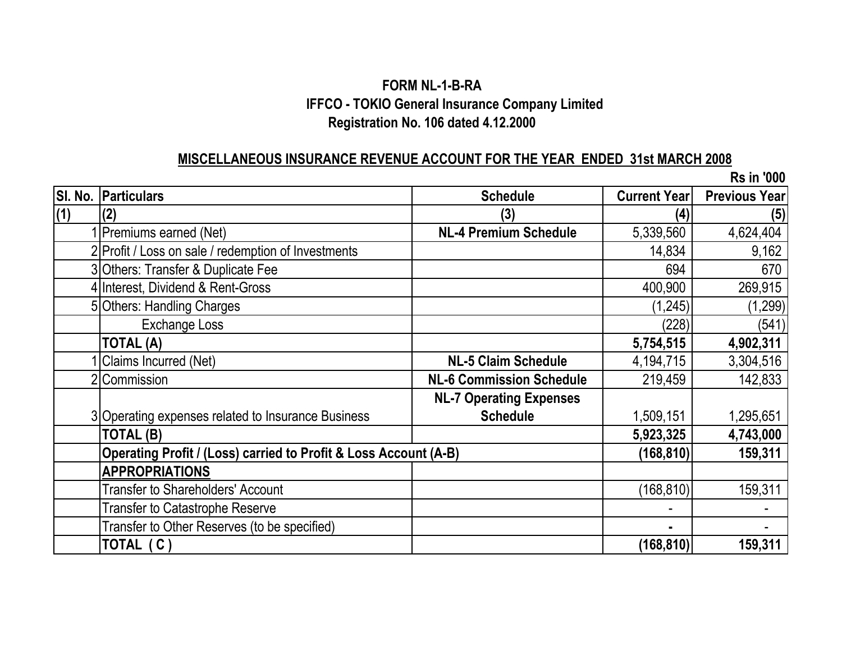# **Registration No. 106 dated 4.12.2000 FORM NL-1-B-RA IFFCO - TOKIO General Insurance Company Limited**

#### **MISCELLANEOUS INSURANCE REVENUE ACCOUNT FOR THE YEAR ENDED 31st MARCH 2008**

**SI. No. Particulars Schedule Current Year Previous Year (1) (2) (3) (4) (5)** 1 Premiums earned (Net) **NL-4 Premium Schedule** 5,339,560 4,624,404 2 Profit / Loss on sale / redemption of Investments 15 and 14,834 9,162 3 Others: Transfer & Duplicate Fee 670 4 Interest. Dividend & Rent-Gross 400.900 269.915 5 Others: Handling Charges (1,299) (1,299) Exchange Loss (541) **TOTAL (A) 5,754,515 4,902,311** 1 Claims Incurred (Net) **NL-5 Claim Schedule** 4,194,715 3,304,516 2 Commission **NL-6 Commission Schedule** 219,459 142,833 3 Operating expenses related to Insurance Business **NL-7 Operating Expenses Schedule** 1,509,151 1,295,651 **TOTAL (B) 5,923,325 4,743,000 Operating Profit / (Loss) carried to Profit & Loss Account (A-B)** (168,810) 159,311 **APPROPRIATIONS** Transfer to Shareholders' Account (168,810) 159,311 Transfer to Catastrophe Reserve and the set of the set of the set of the set of the set of the set of the set of the set of the set of the set of the set of the set of the set of the set of the set of the set of the set of Transfer to Other Reserves (to be specified) **-** - **TOTAL ( C ) (168,810) 159,311 Rs in '000**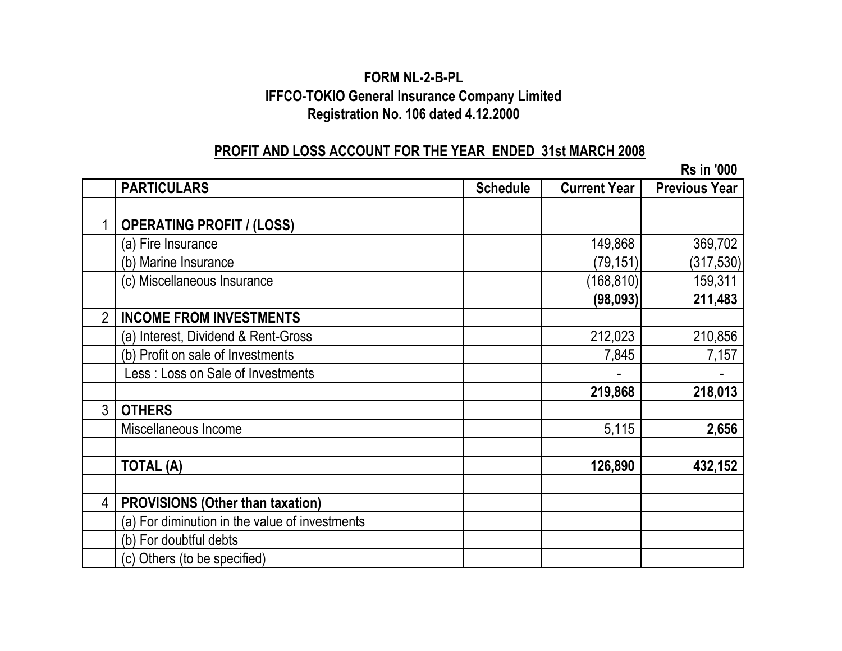# **FORM NL-2-B-PL IFFCO-TOKIO General Insurance Company Limited Registration No. 106 dated 4.12.2000**

# **PROFIT AND LOSS ACCOUNT FOR THE YEAR ENDED 31st MARCH 2008**

|                |                                                |                 |                     | <b>Rs in '000</b>    |
|----------------|------------------------------------------------|-----------------|---------------------|----------------------|
|                | <b>PARTICULARS</b>                             | <b>Schedule</b> | <b>Current Year</b> | <b>Previous Year</b> |
|                |                                                |                 |                     |                      |
|                | <b>OPERATING PROFIT / (LOSS)</b>               |                 |                     |                      |
|                | (a) Fire Insurance                             |                 | 149,868             | 369,702              |
|                | (b) Marine Insurance                           |                 | (79, 151)           | (317, 530)           |
|                | (c) Miscellaneous Insurance                    |                 | (168, 810)          | 159,311              |
|                |                                                |                 | (98, 093)           | 211,483              |
| $\overline{2}$ | <b>INCOME FROM INVESTMENTS</b>                 |                 |                     |                      |
|                | (a) Interest, Dividend & Rent-Gross            |                 | 212,023             | 210,856              |
|                | (b) Profit on sale of Investments              |                 | 7,845               | 7,157                |
|                | Less: Loss on Sale of Investments              |                 |                     |                      |
|                |                                                |                 | 219,868             | 218,013              |
| 3              | <b>OTHERS</b>                                  |                 |                     |                      |
|                | Miscellaneous Income                           |                 | 5,115               | 2,656                |
|                |                                                |                 |                     |                      |
|                | <b>TOTAL (A)</b>                               |                 | 126,890             | 432,152              |
|                |                                                |                 |                     |                      |
| 4              | <b>PROVISIONS (Other than taxation)</b>        |                 |                     |                      |
|                | (a) For diminution in the value of investments |                 |                     |                      |
|                | (b) For doubtful debts                         |                 |                     |                      |
|                | (c) Others (to be specified)                   |                 |                     |                      |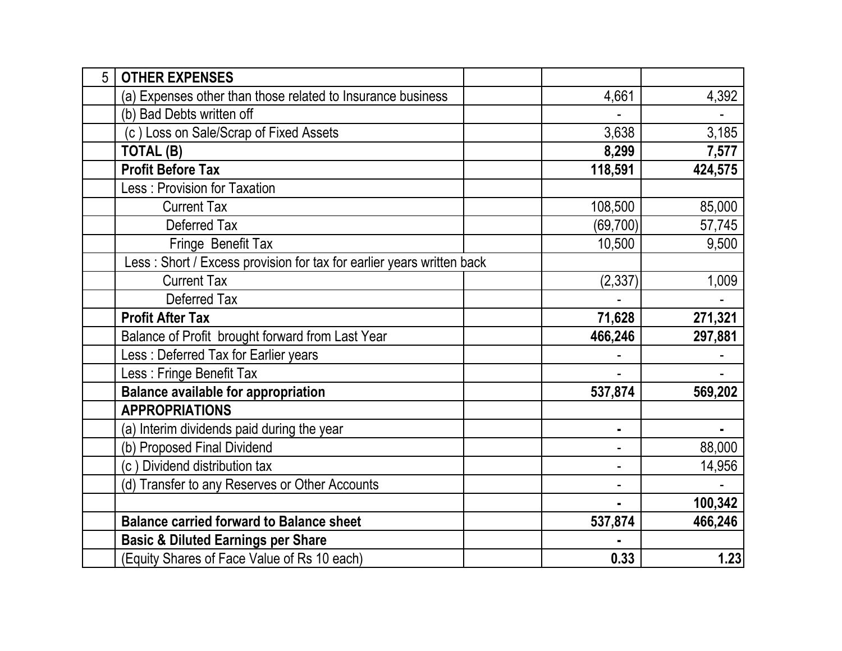| 5 | <b>OTHER EXPENSES</b>                                                 |           |         |
|---|-----------------------------------------------------------------------|-----------|---------|
|   | (a) Expenses other than those related to Insurance business           | 4,661     | 4,392   |
|   | (b) Bad Debts written off                                             |           |         |
|   | (c) Loss on Sale/Scrap of Fixed Assets                                | 3,638     | 3,185   |
|   | TOTAL (B)                                                             | 8,299     | 7,577   |
|   | <b>Profit Before Tax</b>                                              | 118,591   | 424,575 |
|   | Less: Provision for Taxation                                          |           |         |
|   | <b>Current Tax</b>                                                    | 108,500   | 85,000  |
|   | Deferred Tax                                                          | (69, 700) | 57,745  |
|   | Fringe Benefit Tax                                                    | 10,500    | 9,500   |
|   | Less: Short / Excess provision for tax for earlier years written back |           |         |
|   | <b>Current Tax</b>                                                    | (2, 337)  | 1,009   |
|   | Deferred Tax                                                          |           |         |
|   | <b>Profit After Tax</b>                                               | 71,628    | 271,321 |
|   | Balance of Profit brought forward from Last Year                      | 466,246   | 297,881 |
|   | Less: Deferred Tax for Earlier years                                  |           |         |
|   | Less: Fringe Benefit Tax                                              |           |         |
|   | <b>Balance available for appropriation</b>                            | 537,874   | 569,202 |
|   | <b>APPROPRIATIONS</b>                                                 |           |         |
|   | (a) Interim dividends paid during the year                            | ٠         |         |
|   | (b) Proposed Final Dividend                                           |           | 88,000  |
|   | (c) Dividend distribution tax                                         |           | 14,956  |
|   | (d) Transfer to any Reserves or Other Accounts                        |           |         |
|   |                                                                       |           | 100,342 |
|   | <b>Balance carried forward to Balance sheet</b>                       | 537,874   | 466,246 |
|   | <b>Basic &amp; Diluted Earnings per Share</b>                         |           |         |
|   | (Equity Shares of Face Value of Rs 10 each)                           | 0.33      | 1.23    |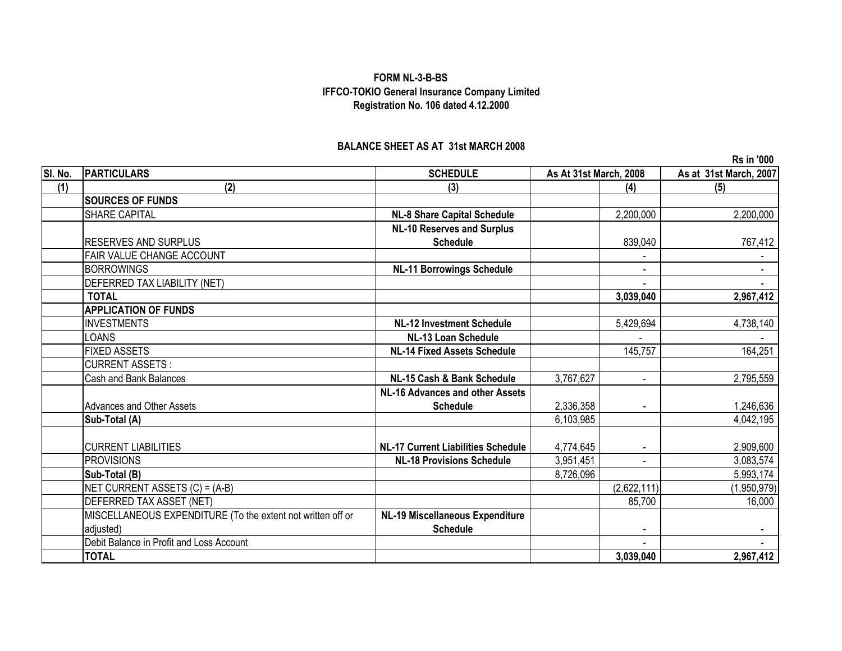#### **FORM NL-3-B-BS IFFCO-TOKIO General Insurance Company Limited Registration No. 106 dated 4.12.2000**

#### **BALANCE SHEET AS AT 31st MARCH 2008**

**SI. No. PARTICULARS SCHEDULE As at 31st March, 2007 (1) (2) (3) (4) (5) SOURCES OF FUNDS** SHARE CAPITAL **NL-8 Share Capital Schedule** 2,200,000 2,200,000 RESERVES AND SURPLUS **NL-10 Reserves and Surplus Schedule** 839,040 767,412 FAIR VALUE CHANGE ACCOUNT And the state of the state of the state of the state of the state of the state of the state of the state of the state of the state of the state of the state of the state of the state of the state BORROWINGS **NL-11 Borrowings Schedule** -DEFERRED TAX LIABILITY (NET) - - **TOTAL 3,039,040 2,967,412 APPLICATION OF FUNDS** INVESTMENTS **NL-12 Investment Schedule** 5,429,694 4,738,140 LOANS **NL-13 Loan Schedule** - - FIXED ASSETS **NL-14 Fixed Assets Schedule** 145,757 164,251 CURRENT ASSETS : Cash and Bank Balances **NL-15 Cash & Bank Schedule** 3,767,627 - 2,795,559 - 2,795,559 Advances and Other Assets **NL-16 Advances and other Assets Schedule** 2,336,358 - 1,246,636 **Sub-Total (A)** 6,103,985 4,042,195 CURRENT LIABILITIES **NL-17 Current Liabilities Schedule** 4,774,645 - 2,909,600 PROVISIONS <mark> NL-18 Provisions Schedule 3,</mark>951,451 | 3,083,574 **Sub-Total (B)** 8,726,096 5,993,174 NET CURRENT ASSETS (C) = (A-B) (2,622,111) (1,950,979) DEFERRED TAX ASSET (NET) 85,700 16,000 MISCELLANEOUS EXPENDITURE (To the extent not written off or adjusted) **NL-19 Miscellaneous Expenditure Schedule** - - Debit Balance in Profit and Loss Account and the second service of the service of the service of the service of the service of the service of the service of the service of the service of the service of the service of the s **TOTAL 3,039,040 2,967,412 As At 31st March, 2008**

**Rs in '000**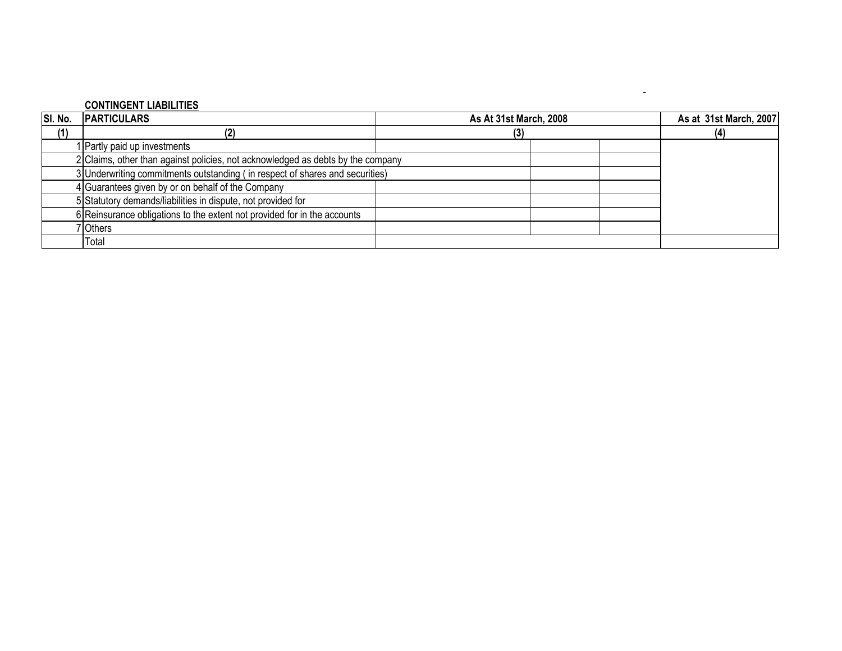#### **CONTINGENT LIABILITIES**

| SI. No. | <b>PARTICULARS</b>                                                              | As At 31st March, 2008 |     | As at 31st March, 2007 |  |
|---------|---------------------------------------------------------------------------------|------------------------|-----|------------------------|--|
| (1)     |                                                                                 | (3)                    | (4) |                        |  |
|         | 1 Partly paid up investments                                                    |                        |     |                        |  |
|         | 2 Claims, other than against policies, not acknowledged as debts by the company |                        |     |                        |  |
|         | 3 Underwriting commitments outstanding (in respect of shares and securities)    |                        |     |                        |  |
|         | 4 Guarantees given by or on behalf of the Company                               |                        |     |                        |  |
|         | 5 Statutory demands/liabilities in dispute, not provided for                    |                        |     |                        |  |
|         | 6 Reinsurance obligations to the extent not provided for in the accounts        |                        |     |                        |  |
|         | 'Others                                                                         |                        |     |                        |  |
|         | Total                                                                           |                        |     |                        |  |

-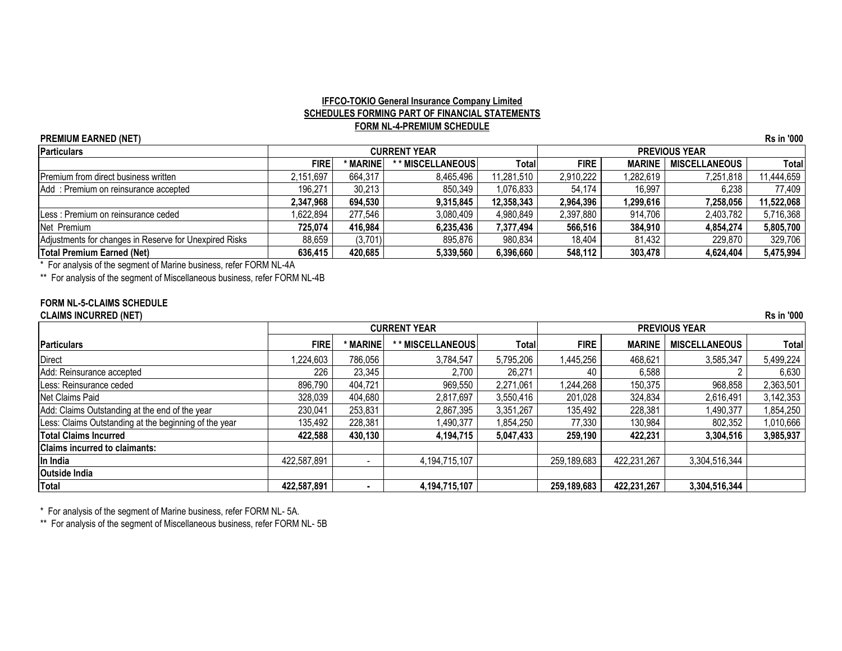#### **IFFCO-TOKIO General Insurance Company Limited SCHEDULES FORMING PART OF FINANCIAL STATEMENTS FORM NL-4-PREMIUM SCHEDULE**

| <b>PREMIUM EARNED (NET)</b>                            |             |               |                     |            |             |               |                      | <b>Rs in '000</b> |
|--------------------------------------------------------|-------------|---------------|---------------------|------------|-------------|---------------|----------------------|-------------------|
| Particulars                                            |             |               | <b>CURRENT YEAR</b> |            |             |               | <b>PREVIOUS YEAR</b> |                   |
|                                                        | <b>FIRE</b> | <b>MARINE</b> | ** MISCELLANEOUS    | Totall     | <b>FIRE</b> | <b>MARINE</b> | <b>MISCELLANEOUS</b> | Total             |
| <b>Premium from direct business written</b>            | 2.151.697   | 664.317       | 8.465.496           | 11,281,510 | 2,910,222   | 1,282,619     | 7,251,818            | 1,444,659         |
| Add: Premium on reinsurance accepted                   | 196,271     | 30,213        | 850,349             | 1,076,833  | 54.174      | 16,997        | 6.238                | 77,409            |
|                                                        | 2.347.968   | 694.530       | 9.315.845           | 12,358,343 | 2,964,396   | 1,299,616     | 7.258.056            | 11,522,068        |
| Less: Premium on reinsurance ceded                     | .622,894    | 277,546       | 3,080,409           | 4,980,849  | 2,397,880   | 914,706       | 2,403,782            | 5,716,368         |
| Net Premium                                            | 725.074     | 416.984       | 6,235,436           | 7,377,494  | 566,516     | 384,910       | 4.854.274            | 5,805,700         |
| Adjustments for changes in Reserve for Unexpired Risks | 88,659      | (3,701)       | 895,876             | 980,834    | 18,404      | 81,432        | 229,870              | 329,706           |
| <b>Total Premium Earned (Net)</b>                      | 636.415     | 420,685       | 5,339,560           | 6,396,660  | 548,112     | 303,478       | 4,624,404            | 5,475,994         |

\* For analysis of the segment of Marine business, refer FORM NL-4A

\*\* For analysis of the segment of Miscellaneous business, refer FORM NL-4B

#### **FORM NL-5-CLAIMS SCHEDULE**

**CLAIMS INCURRED (NET) Rs in '000**

|                                                       |             |                          | <b>CURRENT YEAR</b> |           |             |               | <b>PREVIOUS YEAR</b> |              |
|-------------------------------------------------------|-------------|--------------------------|---------------------|-----------|-------------|---------------|----------------------|--------------|
| Particulars                                           | <b>FIRE</b> | <b>MARINE</b>            | * MISCELLANEOUS     | Totall    | <b>FIRE</b> | <b>MARINE</b> | <b>MISCELLANEOUS</b> | <b>Total</b> |
| <b>Direct</b>                                         | ,224,603    | 786,056                  | 3,784,547           | 5,795,206 | 1,445,256   | 468,621       | 3,585,347            | 5,499,224    |
| Add: Reinsurance accepted                             | 226         | 23,345                   | 2,700               | 26,271    | 40          | 6,588         |                      | 6,630        |
| Less: Reinsurance ceded                               | 896,790     | 404,721                  | 969,550             | 2,271,061 | 1,244,268   | 150,375       | 968,858              | 2,363,501    |
| Net Claims Paid                                       | 328,039     | 404,680                  | 2,817,697           | 3,550,416 | 201,028     | 324,834       | 2,616,491            | 3,142,353    |
| Add: Claims Outstanding at the end of the year        | 230,041     | 253,831                  | 2,867,395           | 3,351,267 | 135,492     | 228,381       | 1,490,377            | 1,854,250    |
| Less: Claims Outstanding at the beginning of the year | 135,492     | 228,381                  | 1,490,377           | 1,854,250 | 77,330      | 130,984       | 802,352              | 1,010,666    |
| <b>Total Claims Incurred</b>                          | 422,588     | 430,130                  | 4,194,715           | 5,047,433 | 259,190     | 422,231       | 3,304,516            | 3,985,937    |
| <b>Claims incurred to claimants:</b>                  |             |                          |                     |           |             |               |                      |              |
| In India                                              | 422,587,891 | $\overline{\phantom{a}}$ | 4,194,715,107       |           | 259,189,683 | 422,231,267   | 3,304,516,344        |              |
| <b>Outside India</b>                                  |             |                          |                     |           |             |               |                      |              |
| <b>Total</b>                                          | 422,587,891 | $\blacksquare$           | 4,194,715,107       |           | 259,189,683 | 422,231,267   | 3,304,516,344        |              |

\* For analysis of the segment of Marine business, refer FORM NL- 5A.

\*\* For analysis of the segment of Miscellaneous business, refer FORM NL- 5B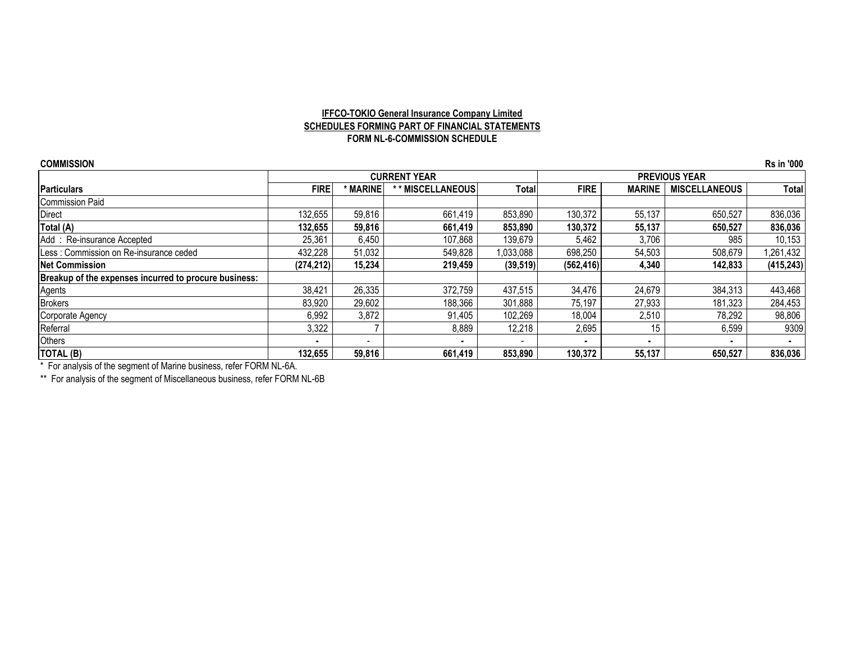#### **IFFCO-TOKIO General Insurance Company Limited SCHEDULES FORMING PART OF FINANCIAL STATEMENTS FORM NL-6-COMMISSION SCHEDULE**

| <b>COMMISSION</b>                                     |                |                          |                     |           |             |               |                      | <b>Rs in '000</b> |
|-------------------------------------------------------|----------------|--------------------------|---------------------|-----------|-------------|---------------|----------------------|-------------------|
|                                                       |                |                          | <b>CURRENT YEAR</b> |           |             |               | <b>PREVIOUS YEAR</b> |                   |
| <b>Particulars</b>                                    | <b>FIRE</b>    | * MARINE                 | * MISCELLANEOUS     | Totall    | <b>FIRE</b> | <b>MARINE</b> | <b>MISCELLANEOUS</b> | Total             |
| Commission Paid                                       |                |                          |                     |           |             |               |                      |                   |
| <b>Direct</b>                                         | 132,655        | 59,816                   | 661,419             | 853,890   | 130,372     | 55,137        | 650,527              | 836,036           |
| Total (A)                                             | 132,655        | 59,816                   | 661,419             | 853,890   | 130,372     | 55,137        | 650,527              | 836,036           |
| Add: Re-insurance Accepted                            | 25,361         | 6,450                    | 107,868             | 139,679   | 5,462       | 3,706         | 985                  | 10,153            |
| ILess: Commission on Re-insurance ceded               | 432.228        | 51,032                   | 549,828             | 1,033,088 | 698,250     | 54,503        | 508,679              | 1,261,432         |
| <b>Net Commission</b>                                 | (274, 212)     | 15,234                   | 219,459             | (39, 519) | (562, 416)  | 4,340         | 142,833              | (415, 243)        |
| Breakup of the expenses incurred to procure business: |                |                          |                     |           |             |               |                      |                   |
| Agents                                                | 38,421         | 26,335                   | 372,759             | 437,515   | 34,476      | 24,679        | 384,313              | 443,468           |
| <b>Brokers</b>                                        | 83,920         | 29,602                   | 188,366             | 301,888   | 75,197      | 27,933        | 181,323              | 284,453           |
| Corporate Agency                                      | 6,992          | 3,872                    | 91,405              | 102,269   | 18,004      | 2,510         | 78,292               | 98,806            |
| Referral                                              | 3,322          |                          | 8,889               | 12,218    | 2,695       | 15            | 6,599                | 9309              |
| Others                                                | $\blacksquare$ | $\overline{\phantom{a}}$ |                     |           |             |               |                      |                   |
| TOTAL (B)                                             | 132,655        | 59,816                   | 661,419             | 853,890   | 130.372     | 55,137        | 650,527              | 836,036           |

\* For analysis of the segment of Marine business, refer FORM NL-6A.

\*\* For analysis of the segment of Miscellaneous business, refer FORM NL-6B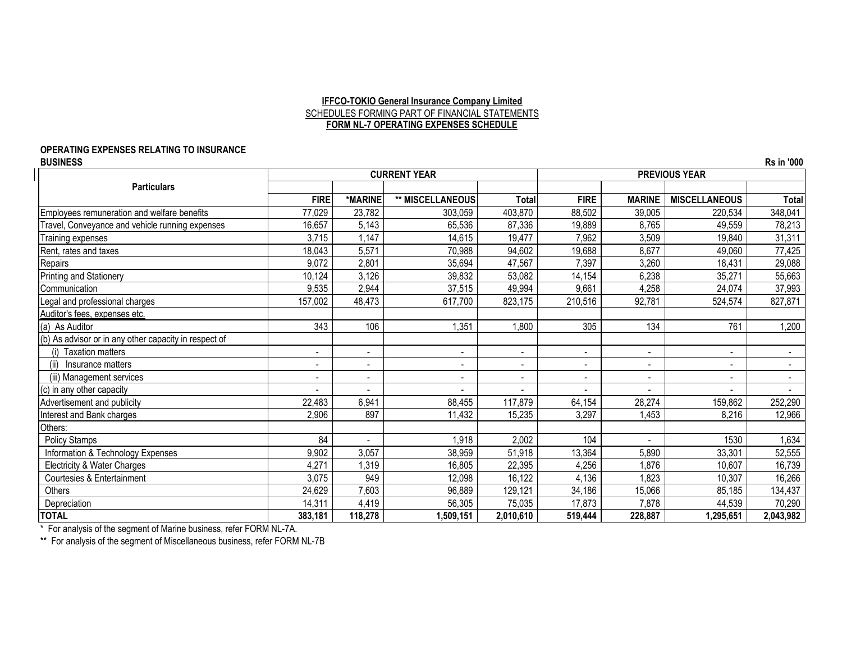#### **IFFCO-TOKIO General Insurance Company Limited** SCHEDULES FORMING PART OF FINANCIAL STATEMENTS **FORM NL-7 OPERATING EXPENSES SCHEDULE**

# **OPERATING EXPENSES RELATING TO INSURANCE**

**BUSINESS Rs in '000 FIRE \*MARINE \*\* MISCELLANEOUS Total FIRE MARINE MISCELLANEOUS Total** Employees remuneration and welfare benefits 77,029 23,782 303,059 403,870 88,502 39,005 220,534 348,041 Travel, Conveyance and vehicle running expenses 16,657 16,657 5,143 65,536 87,336 87,336 87,889 87,65 49,559 78,213 Training expenses 3,715 | 1,147 | 14,615 | 19,477 | 7,962 | 3,509 | 19,840 | 31,311 Rent, rates and taxes 5,571 | 70,988 | 19,682 | 19,688 | 8,677 | 49,060 | 77,425 Repairs 9,072 | 2,801 | 35,694 | 47,567 | 7,397 | 3,260 | 18,431 | 29,088 Printing and Stationery 10,124 3,126 39,832 53,082 14,154 6,238 35,271 55,663 Communication 9,535 2,944 37,515 49,994 9,661 4,258 24,074 37,993 Legal and professional charges 157,002 48,473 617,700 823,175 210,516 92,781 524,574 827,871 Auditor's fees, expenses etc. (a) As Auditor | 343 | 106 | 1,351 | 1,800 | 305 | 134 | 761 | 1,200 (b) As advisor or in any other capacity in respect of (i) Taxation matters | - - | - | - | - | - | - | -(ii) Insurance matters  $\begin{vmatrix} \cdot & \cdot & \cdot & \cdot \\ \cdot & \cdot & \cdot & \cdot \end{vmatrix}$  . The set of the set of the set of the set of the set of the set of the set of the set of the set of the set of the set of the set of the set of the set of the (iii) Management services - - - - - - - - (c) in any other capacity - - - - - - - - Advertisement and publicity 22,483 | 6,941 | 88,455 | 117,879 | 64,154 | 28,274 | 159,862 | 252,290 Interest and Bank charges 2,906 897 11,432 15,235 3,297 1,453 8,216 12,966 Others: Policy Stamps 84 | | 1,918 | 2,002 | 104 | | 1530 | 1,634 Information & Technology Expenses 9,902 3,057 38,959 51,918 13,364 5,890 33,301 52,555 Electricity & Water Charges **6.2008** 16.739 16.739 16.739 16.805 16.805 16.805 22,395 1,876 1,876 10,607 16.739 Courtesies & Entertainment 10,307 | 3,075 | 949 | 12,098 | 16,122 | 1,136 | 1,823 | 10,307 | 16,266 Others 25,185 | 24,629 7,603 | 96,889 129,121 34,186 15,066 | 85,185 | 134,437 34,437 Depreciation 14,312 14,311 14,419 56,305 75,035 75,035 75,037 7,873 7,878 44,539 70,290 **TOTAL 383,181 118,278 1,509,151 2,010,610 519,444 228,887 1,295,651 2,043,982 Particulars CURRENT YEAR PREVIOUS YEAR**

\* For analysis of the segment of Marine business, refer FORM NL-7A.

\*\* For analysis of the segment of Miscellaneous business, refer FORM NL-7B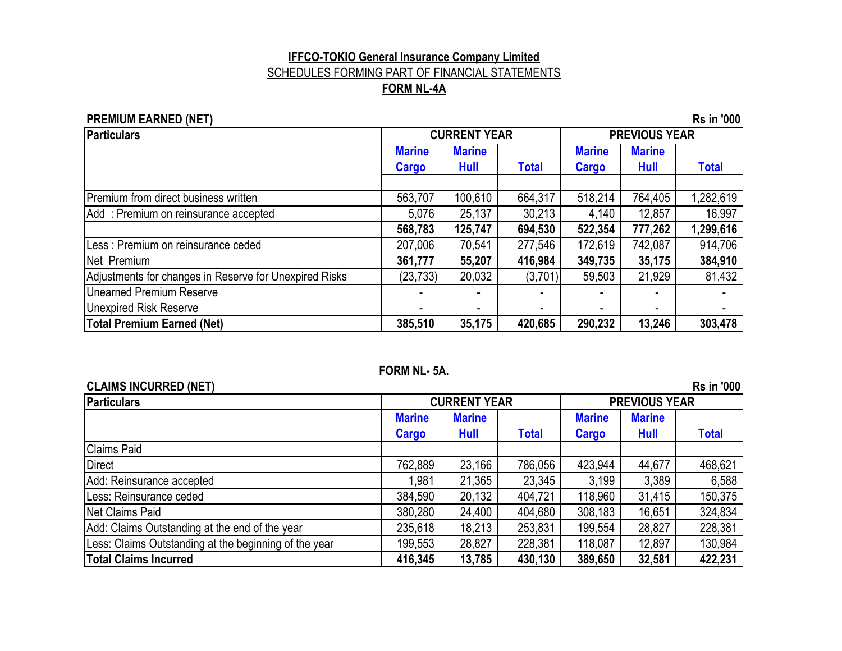#### **IFFCO-TOKIO General Insurance Company Limited** SCHEDULES FORMING PART OF FINANCIAL STATEMENTS **FORM NL-4A**

#### **PREMIUM EARNED (NET)** Rs in '000

| Particulars<br><b>CURRENT YEAR</b><br><b>PREVIOUS YEAR</b> |                               |                              |              |                               |                       |              |
|------------------------------------------------------------|-------------------------------|------------------------------|--------------|-------------------------------|-----------------------|--------------|
|                                                            | <b>Marine</b><br><b>Cargo</b> | <b>Marine</b><br><b>Hull</b> | <b>Total</b> | <b>Marine</b><br><b>Cargo</b> | <b>Marine</b><br>Hull | <b>Total</b> |
| Premium from direct business written                       | 563,707                       | 100,610                      | 664,317      | 518,214                       | 764,405               | 1,282,619    |
| Add: Premium on reinsurance accepted                       | 5,076                         | 25,137                       | 30,213       | 4,140                         | 12,857                | 16,997       |
|                                                            | 568,783                       | 125,747                      | 694,530      | 522,354                       | 777,262               | 1,299,616    |
| Less : Premium on reinsurance ceded                        | 207,006                       | 70,541                       | 277,546      | 172,619                       | 742,087               | 914,706      |
| Net Premium                                                | 361,777                       | 55,207                       | 416,984      | 349,735                       | 35,175                | 384,910      |
| Adjustments for changes in Reserve for Unexpired Risks     | (23, 733)                     | 20,032                       | (3,701)      | 59,503                        | 21,929                | 81,432       |
| <b>Unearned Premium Reserve</b>                            |                               |                              |              |                               |                       |              |
| <b>Unexpired Risk Reserve</b>                              |                               |                              |              |                               |                       |              |
| <b>Total Premium Earned (Net)</b>                          | 385,510                       | 35,175                       | 420,685      | 290,232                       | 13,246                | 303,478      |

#### **FORM NL- 5A.**

| <b>CLAIMS INCURRED (NET)</b>                          |               |                     |              |               |                      | <b>Rs in '000</b> |
|-------------------------------------------------------|---------------|---------------------|--------------|---------------|----------------------|-------------------|
| <b>Particulars</b>                                    |               | <b>CURRENT YEAR</b> |              |               | <b>PREVIOUS YEAR</b> |                   |
|                                                       | <b>Marine</b> | <b>Marine</b>       |              | <b>Marine</b> | <b>Marine</b>        |                   |
|                                                       | Cargo         | Hull                | <b>Total</b> | <b>Cargo</b>  | <b>Hull</b>          | <b>Total</b>      |
| <b>Claims Paid</b>                                    |               |                     |              |               |                      |                   |
| <b>Direct</b>                                         | 762,889       | 23,166              | 786,056      | 423,944       | 44,677               | 468,621           |
| Add: Reinsurance accepted                             | 1,981         | 21,365              | 23,345       | 3,199         | 3,389                | 6,588             |
| Less: Reinsurance ceded                               | 384,590       | 20,132              | 404,721      | 118,960       | 31,415               | 150,375           |
| Net Claims Paid                                       | 380,280       | 24,400              | 404,680      | 308,183       | 16,651               | 324,834           |
| Add: Claims Outstanding at the end of the year        | 235,618       | 18,213              | 253,831      | 199,554       | 28,827               | 228,381           |
| Less: Claims Outstanding at the beginning of the year | 199,553       | 28,827              | 228,381      | 118,087       | 12,897               | 130,984           |
| <b>Total Claims Incurred</b>                          | 416,345       | 13,785              | 430,130      | 389,650       | 32,581               | 422,231           |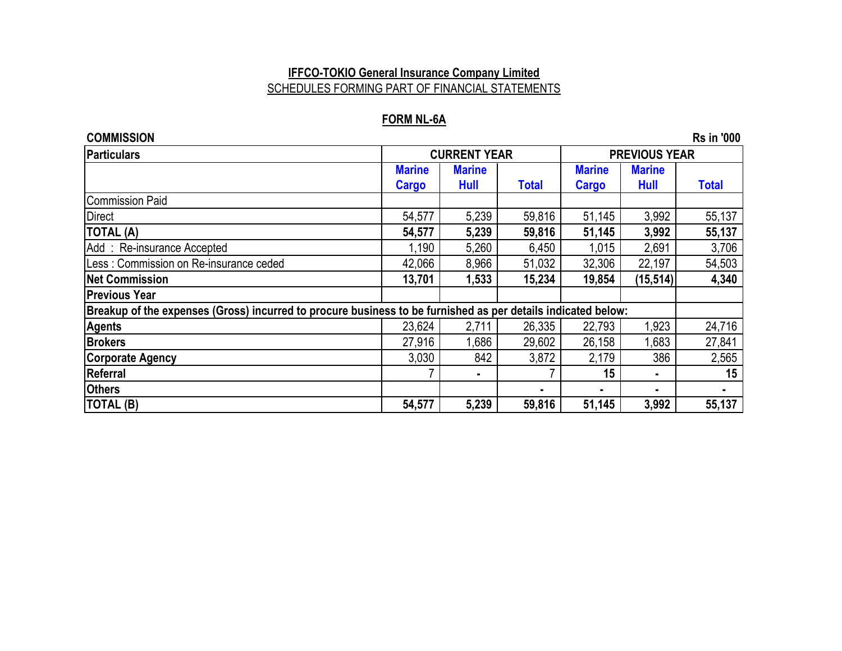## **IFFCO-TOKIO General Insurance Company Limited** SCHEDULES FORMING PART OF FINANCIAL STATEMENTS

#### **FORM NL-6A**

| <b>COMMISSION</b>                                                                                            |               |                     |              |               |                      | <b>Rs in '000</b> |
|--------------------------------------------------------------------------------------------------------------|---------------|---------------------|--------------|---------------|----------------------|-------------------|
| <b>Particulars</b>                                                                                           |               | <b>CURRENT YEAR</b> |              |               | <b>PREVIOUS YEAR</b> |                   |
|                                                                                                              | <b>Marine</b> | <b>Marine</b>       |              | <b>Marine</b> | <b>Marine</b>        |                   |
|                                                                                                              | <b>Cargo</b>  | Hull                | <b>Total</b> | <b>Cargo</b>  | Hull                 | <b>Total</b>      |
| <b>Commission Paid</b>                                                                                       |               |                     |              |               |                      |                   |
| <b>Direct</b>                                                                                                | 54,577        | 5,239               | 59,816       | 51,145        | 3,992                | 55,137            |
| <b>TOTAL (A)</b>                                                                                             | 54,577        | 5,239               | 59,816       | 51,145        | 3,992                | 55,137            |
| Add: Re-insurance Accepted                                                                                   | 1,190         | 5,260               | 6,450        | 1,015         | 2,691                | 3,706             |
| Less: Commission on Re-insurance ceded                                                                       | 42,066        | 8,966               | 51,032       | 32,306        | 22,197               | 54,503            |
| <b>Net Commission</b>                                                                                        | 13,701        | 1,533               | 15,234       | 19,854        | (15, 514)            | 4,340             |
| <b>Previous Year</b>                                                                                         |               |                     |              |               |                      |                   |
| Breakup of the expenses (Gross) incurred to procure business to be furnished as per details indicated below: |               |                     |              |               |                      |                   |
| <b>Agents</b>                                                                                                | 23,624        | 2,711               | 26,335       | 22,793        | 1,923                | 24,716            |
| <b>Brokers</b>                                                                                               | 27,916        | 1,686               | 29,602       | 26,158        | 1,683                | 27,841            |
| <b>Corporate Agency</b>                                                                                      | 3,030         | 842                 | 3,872        | 2,179         | 386                  | 2,565             |
| <b>Referral</b>                                                                                              |               |                     |              | 15            |                      | 15                |
| <b>Others</b>                                                                                                |               |                     |              | ۰.            | ۰.                   | ٠.                |
| <b>TOTAL (B)</b>                                                                                             | 54,577        | 5,239               | 59,816       | 51,145        | 3,992                | 55,137            |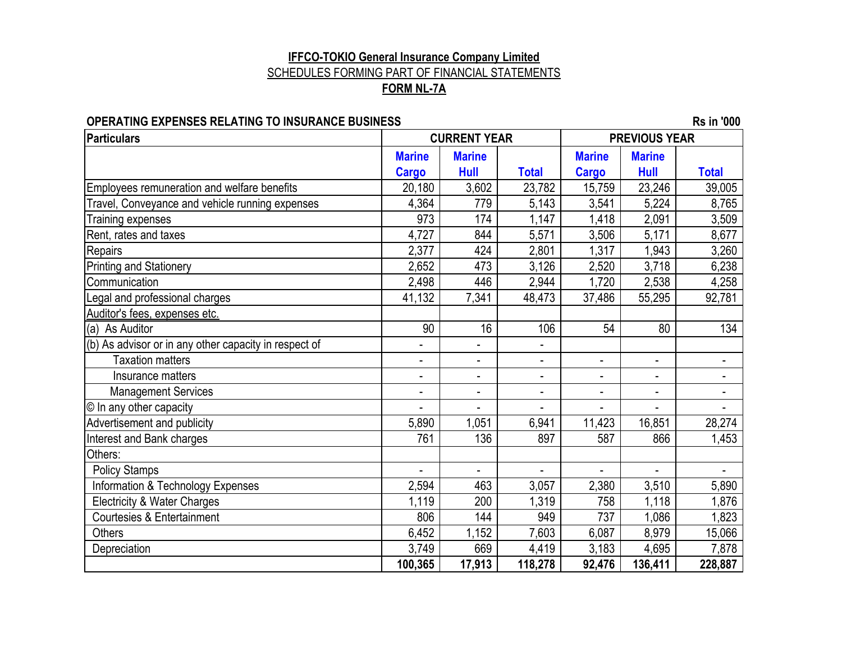#### **FORM NL-7A IFFCO-TOKIO General Insurance Company Limited** SCHEDULES FORMING PART OF FINANCIAL STATEMENTS

#### **OPERATING EXPENSES RELATING TO INSURANCE BUSINESS Rs in '000**

| <b>Particulars</b>                                    |                          | <b>CURRENT YEAR</b>      |                          |                              | <b>PREVIOUS YEAR</b>     |                          |
|-------------------------------------------------------|--------------------------|--------------------------|--------------------------|------------------------------|--------------------------|--------------------------|
|                                                       | <b>Marine</b>            | <b>Marine</b>            |                          | <b>Marine</b>                | <b>Marine</b>            |                          |
|                                                       | <b>Cargo</b>             | Hull                     | <b>Total</b>             | <b>Cargo</b>                 | Hull                     | <b>Total</b>             |
| Employees remuneration and welfare benefits           | 20,180                   | 3,602                    | 23,782                   | 15,759                       | 23,246                   | 39,005                   |
| Travel, Conveyance and vehicle running expenses       | 4,364                    | 779                      | 5,143                    | 3,541                        | 5,224                    | 8,765                    |
| Training expenses                                     | 973                      | 174                      | 1,147                    | 1,418                        | 2,091                    | 3,509                    |
| Rent, rates and taxes                                 | 4,727                    | 844                      | 5,571                    | 3,506                        | 5,171                    | 8,677                    |
| Repairs                                               | 2,377                    | 424                      | 2,801                    | 1,317                        | 1,943                    | 3,260                    |
| Printing and Stationery                               | 2,652                    | 473                      | 3,126                    | 2,520                        | 3,718                    | 6,238                    |
| Communication                                         | 2,498                    | 446                      | 2,944                    | 1,720                        | 2,538                    | 4,258                    |
| Legal and professional charges                        | 41,132                   | 7,341                    | 48,473                   | 37,486                       | 55,295                   | 92,781                   |
| Auditor's fees, expenses etc.                         |                          |                          |                          |                              |                          |                          |
| (a) As Auditor                                        | 90                       | 16                       | 106                      | 54                           | 80                       | 134                      |
| (b) As advisor or in any other capacity in respect of | -                        |                          |                          |                              |                          |                          |
| <b>Taxation matters</b>                               | $\overline{\phantom{0}}$ | $\overline{\phantom{0}}$ | $\overline{\phantom{a}}$ | $\overline{\phantom{a}}$     | $\overline{\phantom{a}}$ |                          |
| Insurance matters                                     | $\overline{\phantom{0}}$ | $\overline{\phantom{0}}$ | $\overline{\phantom{0}}$ | $\qquad \qquad \blacksquare$ | $\overline{\phantom{a}}$ | $\overline{\phantom{a}}$ |
| <b>Management Services</b>                            | $\overline{\phantom{0}}$ | $\overline{\phantom{0}}$ | $\blacksquare$           | Ξ.                           | $\blacksquare$           |                          |
| © In any other capacity                               | $\overline{a}$           |                          | $\overline{\phantom{0}}$ |                              |                          |                          |
| Advertisement and publicity                           | 5,890                    | 1,051                    | 6,941                    | 11,423                       | 16,851                   | 28,274                   |
| Interest and Bank charges                             | 761                      | 136                      | 897                      | 587                          | 866                      | 1,453                    |
| Others:                                               |                          |                          |                          |                              |                          |                          |
| <b>Policy Stamps</b>                                  |                          |                          |                          |                              |                          |                          |
| Information & Technology Expenses                     | 2,594                    | 463                      | 3,057                    | 2,380                        | 3,510                    | 5,890                    |
| <b>Electricity &amp; Water Charges</b>                | 1,119                    | 200                      | 1,319                    | 758                          | 1,118                    | 1,876                    |
| <b>Courtesies &amp; Entertainment</b>                 | 806                      | 144                      | 949                      | 737                          | 1,086                    | 1,823                    |
| <b>Others</b>                                         | 6,452                    | 1,152                    | 7,603                    | 6,087                        | 8,979                    | 15,066                   |
| Depreciation                                          | 3,749                    | 669                      | 4,419                    | 3,183                        | 4,695                    | 7,878                    |
|                                                       | 100,365                  | 17,913                   | 118,278                  | 92,476                       | 136,411                  | 228,887                  |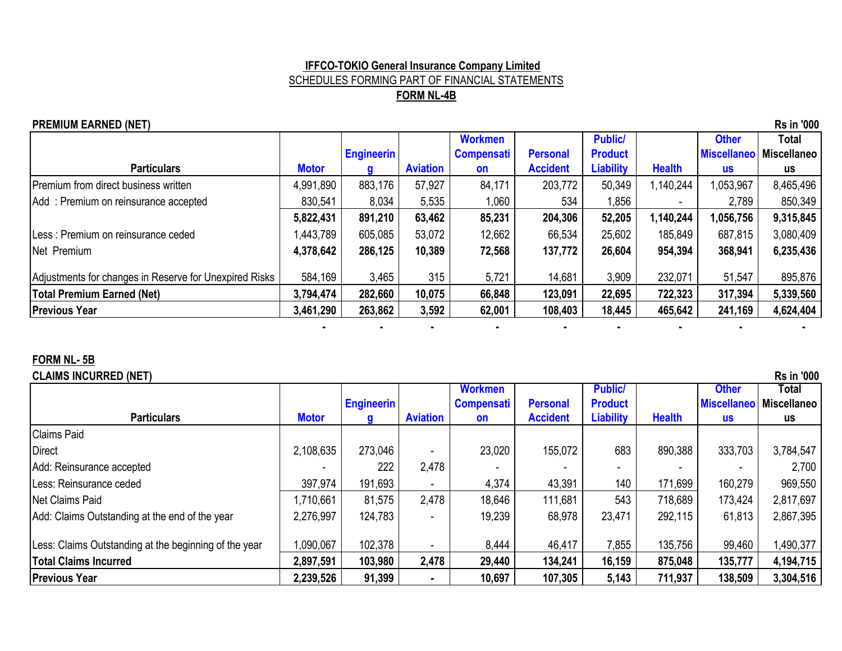#### **IFFCO-TOKIO General Insurance Company Limited** SCHEDULES FORMING PART OF FINANCIAL STATEMENTS **FORM NL-4B**

#### **PREMIUM EARNED (NET)** Rs in '000

|                                                        |              |                   |                 | <b>Workmen</b>    |                 | <b>Public/</b>   |               | <b>Other</b>       | Total              |
|--------------------------------------------------------|--------------|-------------------|-----------------|-------------------|-----------------|------------------|---------------|--------------------|--------------------|
|                                                        |              | <b>Engineerin</b> |                 | <b>Compensati</b> | <b>Personal</b> | <b>Product</b>   |               | <b>Miscellaneo</b> | <b>Miscellaneo</b> |
| <b>Particulars</b>                                     | <b>Motor</b> |                   | <b>Aviation</b> | <b>on</b>         | <b>Accident</b> | <b>Liability</b> | <b>Health</b> | <b>us</b>          | us                 |
| Premium from direct business written                   | 4,991,890    | 883,176           | 57,927          | 84,171            | 203,772         | 50,349           | 1,140,244     | 1,053,967          | 8,465,496          |
| Add: Premium on reinsurance accepted                   | 830,541      | 8,034             | 5,535           | 1,060             | 534             | 1,856            |               | 2,789              | 850,349            |
|                                                        | 5,822,431    | 891,210           | 63,462          | 85,231            | 204,306         | 52,205           | 1,140,244     | 1,056,756          | 9,315,845          |
| Less: Premium on reinsurance ceded                     | ,443,789     | 605,085           | 53,072          | 12,662            | 66,534          | 25,602           | 185,849       | 687,815            | 3,080,409          |
| Net Premium                                            | 4,378,642    | 286,125           | 10,389          | 72,568            | 137,772         | 26,604           | 954,394       | 368,941            | 6,235,436          |
| Adjustments for changes in Reserve for Unexpired Risks | 584,169      | 3,465             | 315             | 5,721             | 14,681          | 3,909            | 232,071       | 51,547             | 895,876            |
| <b>Total Premium Earned (Net)</b>                      | 3,794,474    | 282,660           | 10,075          | 66,848            | 123,091         | 22,695           | 722,323       | 317,394            | 5,339,560          |
| <b>Previous Year</b>                                   | 3,461,290    | 263,862           | 3,592           | 62,001            | 108,403         | 18,445           | 465,642       | 241,169            | 4,624,404          |
|                                                        |              |                   |                 |                   |                 |                  |               |                    |                    |

#### **FORM NL- 5B**

#### **CLAIMS INCURRED (NET)** Rs in '000

|                                                       |              |                   |                          | <b>Workmen</b>    |                 | <b>Public/</b> |               | <b>Other</b>       | Total       |
|-------------------------------------------------------|--------------|-------------------|--------------------------|-------------------|-----------------|----------------|---------------|--------------------|-------------|
|                                                       |              | <b>Engineerin</b> |                          | <b>Compensati</b> | <b>Personal</b> | <b>Product</b> |               | <b>Miscellaneo</b> | Miscellaneo |
| <b>Particulars</b>                                    | <b>Motor</b> |                   | <b>Aviation</b>          | <b>on</b>         | <b>Accident</b> | Liability      | <b>Health</b> | <b>us</b>          | us          |
| <b>Claims Paid</b>                                    |              |                   |                          |                   |                 |                |               |                    |             |
| Direct                                                | 2,108,635    | 273,046           | $\overline{\phantom{0}}$ | 23,020            | 155,072         | 683            | 890,388       | 333,703            | 3,784,547   |
| Add: Reinsurance accepted                             |              | 222               | 2,478                    |                   |                 |                |               |                    | 2,700       |
| Less: Reinsurance ceded                               | 397,974      | 191,693           | $\overline{\phantom{a}}$ | 4,374             | 43,391          | 140            | 171,699       | 160,279            | 969,550     |
| Net Claims Paid                                       | 1,710,661    | 81,575            | 2,478                    | 18,646            | 111,681         | 543            | 718,689       | 173,424            | 2,817,697   |
| Add: Claims Outstanding at the end of the year        | 2,276,997    | 124,783           | $\overline{\phantom{0}}$ | 19,239            | 68,978          | 23,471         | 292,115       | 61,813             | 2,867,395   |
| Less: Claims Outstanding at the beginning of the year | 1,090,067    | 102,378           | $\overline{\phantom{a}}$ | 8,444             | 46,417          | 7,855          | 135,756       | 99,460             | 1,490,377   |
| <b>Total Claims Incurred</b>                          | 2,897,591    | 103,980           | 2,478                    | 29,440            | 134,241         | 16,159         | 875,048       | 135,777            | 4,194,715   |
| <b>Previous Year</b>                                  | 2,239,526    | 91,399            | $\blacksquare$           | 10,697            | 107,305         | 5,143          | 711,937       | 138,509            | 3,304,516   |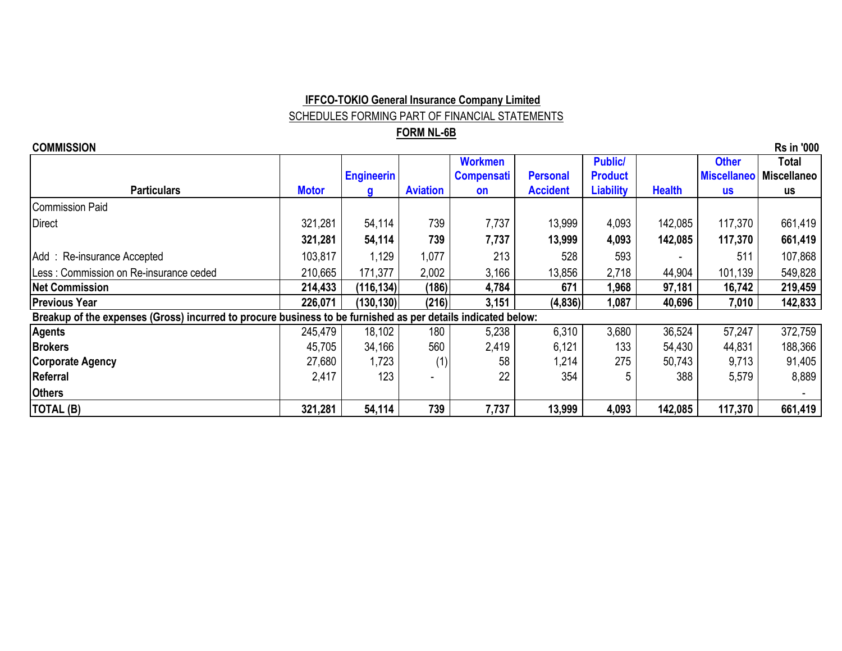# **IFFCO-TOKIO General Insurance Company Limited**

SCHEDULES FORMING PART OF FINANCIAL STATEMENTS

#### **FORM NL-6B**

| <b>Rs in '000</b><br><b>COMMISSION</b>                                                                       |              |                   |                 |                   |                 |                  |               |                    |                    |
|--------------------------------------------------------------------------------------------------------------|--------------|-------------------|-----------------|-------------------|-----------------|------------------|---------------|--------------------|--------------------|
|                                                                                                              |              |                   |                 | <b>Workmen</b>    |                 | <b>Public/</b>   |               | <b>Other</b>       | Total              |
|                                                                                                              |              | <b>Engineerin</b> |                 | <b>Compensati</b> | <b>Personal</b> | <b>Product</b>   |               | <b>Miscellaneo</b> | <b>Miscellaneo</b> |
| <b>Particulars</b>                                                                                           | <b>Motor</b> | g                 | <b>Aviation</b> | <b>on</b>         | <b>Accident</b> | <b>Liability</b> | <b>Health</b> | <b>US</b>          | us                 |
| <b>Commission Paid</b>                                                                                       |              |                   |                 |                   |                 |                  |               |                    |                    |
| <b>Direct</b>                                                                                                | 321,281      | 54,114            | 739             | 7,737             | 13,999          | 4,093            | 142,085       | 117,370            | 661,419            |
|                                                                                                              | 321,281      | 54,114            | 739             | 7,737             | 13,999          | 4,093            | 142,085       | 117,370            | 661,419            |
| Add: Re-insurance Accepted                                                                                   | 103,817      | 1,129             | 1,077           | 213               | 528             | 593              |               | 511                | 107,868            |
| Less: Commission on Re-insurance ceded                                                                       | 210,665      | 171,377           | 2,002           | 3,166             | 13,856          | 2,718            | 44,904        | 101,139            | 549,828            |
| <b>Net Commission</b>                                                                                        | 214,433      | (116, 134)        | (186)           | 4,784             | 671             | 1,968            | 97,181        | 16,742             | 219,459            |
| <b>Previous Year</b>                                                                                         | 226,071      | (130, 130)        | (216)           | 3,151             | (4,836)         | 1,087            | 40,696        | 7,010              | 142,833            |
| Breakup of the expenses (Gross) incurred to procure business to be furnished as per details indicated below: |              |                   |                 |                   |                 |                  |               |                    |                    |
| <b>Agents</b>                                                                                                | 245,479      | 18,102            | 180             | 5,238             | 6,310           | 3,680            | 36,524        | 57,247             | 372,759            |
| <b>Brokers</b>                                                                                               | 45,705       | 34,166            | 560             | 2,419             | 6,121           | 133              | 54,430        | 44,831             | 188,366            |
| <b>Corporate Agency</b>                                                                                      | 27,680       | 1,723             | (1)             | 58                | 1,214           | 275              | 50,743        | 9,713              | 91,405             |
| Referral                                                                                                     | 2,417        | 123               |                 | 22                | 354             | 5                | 388           | 5,579              | 8,889              |
| <b>Others</b>                                                                                                |              |                   |                 |                   |                 |                  |               |                    |                    |
| TOTAL (B)                                                                                                    | 321,281      | 54,114            | 739             | 7,737             | 13,999          | 4,093            | 142,085       | 117,370            | 661,419            |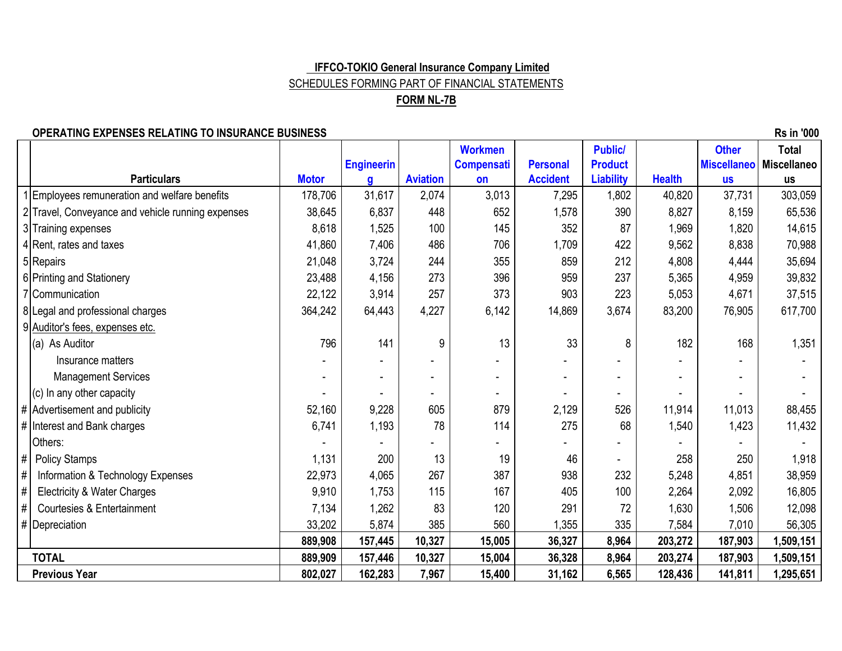#### **IFFCO-TOKIO General Insurance Company Limited** SCHEDULES FORMING PART OF FINANCIAL STATEMENTS

#### **FORM NL-7B**

#### **OPERATING EXPENSES RELATING TO INSURANCE BUSINESS ARE IN A SUBSEX RELATION OF EXAMPLE 2000**

1|Employees remuneration and welfare benefits | 178,706 | 31,617 | 2,074 | 3,013 | 7,295 | 1,802 | 40,820 | 37,731 | 303,059 2 Travel, Conveyance and vehicle running expenses  $\begin{array}{|l} \n 38,645 \mid 6,837 \mid 448 \mid 652 \mid 1,578 \mid 390 \mid 8,827 \mid 8,159 \mid 65,536\n\end{array}$ 3 Training expenses 8,618 1,525 | 100 | 145 | 352 | 87 | 1,969 | 1,820 | 14,615 4 Rent, rates and taxes **4 Rent, rates and taxes** 4 **A** COS **1, 206 1,709 422 442 422 422 49,562 488 422 422 422 422 422 422 422 422 422 422 422 422 422 422 422 422 422 422** 5|Repairs 21,048 | 3,724 | 244 | 355 | 859 | 212 | 4,808 | 4,444 | 35,694 6 Printing and Stationery **23,488** 23,488 4,156 273 396 396 396 237 5,365 4,959 39,832 7 Communication 22,122 3,914 257 373 903 223 5,053 4,671 37,515 8|Legal and professional charges 817,700 9 Auditor's fees, expenses etc. (a) As Auditor 796 | 141 | 9 | 13 | 33 | 8 | 182 | 168 | 1,351 Insurance matters - - - - - - - - - Management Services The Contract of the Contract of the Louis Contract of the Louis Contract of the Louis Contract of the Contract of the Contract of the Contract of the Contract of the Contract of the Contract of the Cont (c) In any other capacity - - - - - - - - - # Advertisement and publicity 68,455 # | Interest and Bank charges | 6,741 | 6,741 | 1,193 | 78 | 114 | 275 | 68 | 1,540 | 1,423 | 11,432 Others: - - - - - - - - - #| Policy Stamps 1,131 | 200 | 13 | 19 | 46 | | 258 | 250 | 1,918 # | Information & Technology Expenses + 22,973 | 4,065 | 267 | 387 | 938 | 232 | 5,248 | 4,851 | 38,959 # Electricity & Water Charges The Superintence Charges The Superintence of the Superintence of the Superintence of the Superintence of the Superintence of the Superintence of the Superintence of the Superintence of the Sup # Courtesies & Entertainment 7,134 1,262 83 120 291 72 1,630 1,506 12,098 #|Depreciation | 33,202 | 5,874 | 385 | 560 | 1,355 | 335 | 7,584 | 7,010 | 56,305  **889,908 157,445 10,327 15,005 36,327 8,964 203,272 187,903 1,509,151 TOTAL 889,909 157,446 10,327 15,004 36,328 8,964 203,274 187,903 1,509,151 Previous Year 802,027 162,283 7,967 15,400 31,162 6,565 128,436 141,811 1,295,651 Health Other Miscellaneo us Total Miscellaneo us Public/ Product Liability Personal Accident Workmen Compensati Particulars CONSISTENT CONSISTENT CONSISTENT CONSISTENT CONSISTENT CONSISTENT CONSISTENT CONSISTENT CONSISTENT CONSISTENT CONSISTENT CONSISTENT CONSISTENT CONSISTENT CONSISTENT CONSISTENT CONSISTENT CONSISTENT CONSISTEN Engineerin g Aviation**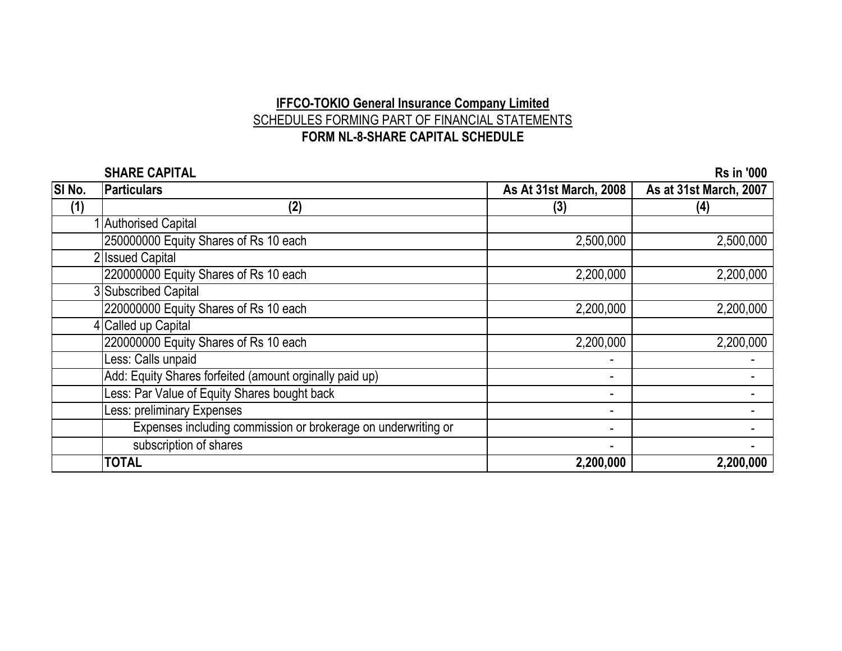# **IFFCO-TOKIO General Insurance Company Limited** SCHEDULES FORMING PART OF FINANCIAL STATEMENTS **FORM NL-8-SHARE CAPITAL SCHEDULE**

|                   | <b>SHARE CAPITAL</b>                                          |                               | <b>Rs in '000</b>      |
|-------------------|---------------------------------------------------------------|-------------------------------|------------------------|
| SI <sub>No.</sub> | <b>Particulars</b>                                            | <b>As At 31st March, 2008</b> | As at 31st March, 2007 |
| (1)               | (2)                                                           | (3)                           | (4)                    |
|                   | 1 Authorised Capital                                          |                               |                        |
|                   | 250000000 Equity Shares of Rs 10 each                         | 2,500,000                     | 2,500,000              |
|                   | <b>Issued Capital</b>                                         |                               |                        |
|                   | 220000000 Equity Shares of Rs 10 each                         | 2,200,000                     | 2,200,000              |
|                   | 3 Subscribed Capital                                          |                               |                        |
|                   | 220000000 Equity Shares of Rs 10 each                         | 2,200,000                     | 2,200,000              |
|                   | 4 Called up Capital                                           |                               |                        |
|                   | 220000000 Equity Shares of Rs 10 each                         | 2,200,000                     | 2,200,000              |
|                   | Less: Calls unpaid                                            |                               |                        |
|                   | Add: Equity Shares forfeited (amount orginally paid up)       | $\overline{\phantom{a}}$      |                        |
|                   | Less: Par Value of Equity Shares bought back                  | $\overline{\phantom{a}}$      |                        |
|                   | Less: preliminary Expenses                                    |                               |                        |
|                   | Expenses including commission or brokerage on underwriting or | $\blacksquare$                |                        |
|                   | subscription of shares                                        |                               |                        |
|                   | <b>TOTAL</b>                                                  | 2,200,000                     | 2,200,000              |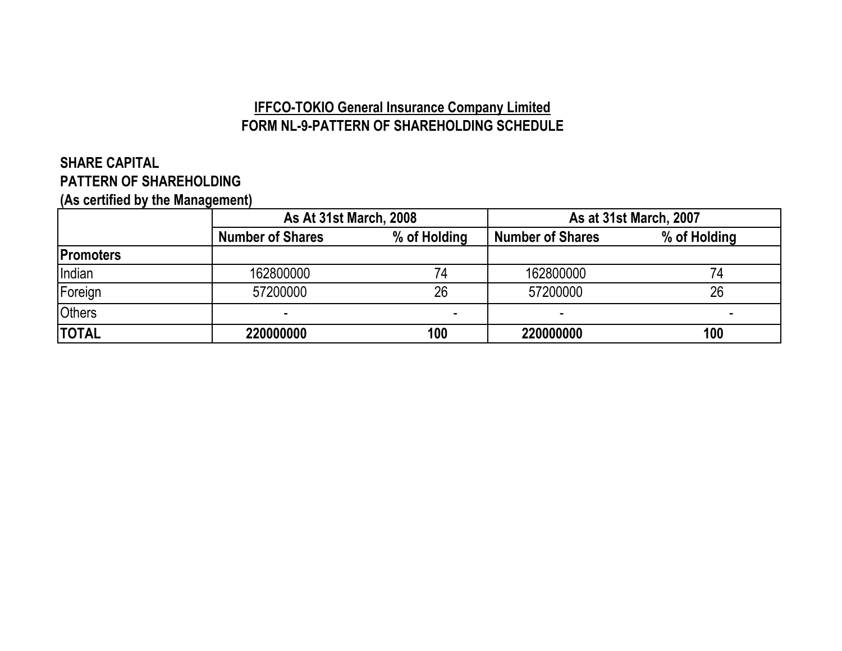# **IFFCO-TOKIO General Insurance Company Limited FORM NL-9-PATTERN OF SHAREHOLDING SCHEDULE**

# **SHARE CAPITAL PATTERN OF SHAREHOLDING**

**(As certified by the Management)**

|                  | <b>As At 31st March, 2008</b> |              |                         | <b>As at 31st March, 2007</b> |
|------------------|-------------------------------|--------------|-------------------------|-------------------------------|
|                  | <b>Number of Shares</b>       | % of Holding | <b>Number of Shares</b> | % of Holding                  |
| <b>Promoters</b> |                               |              |                         |                               |
| Indian           | 162800000                     | 74           | 162800000               |                               |
| Foreign          | 57200000                      | 26           | 57200000                | 26                            |
| <b>Others</b>    |                               |              |                         |                               |
| <b>TOTAL</b>     | 220000000                     | 100          | 220000000               | 100                           |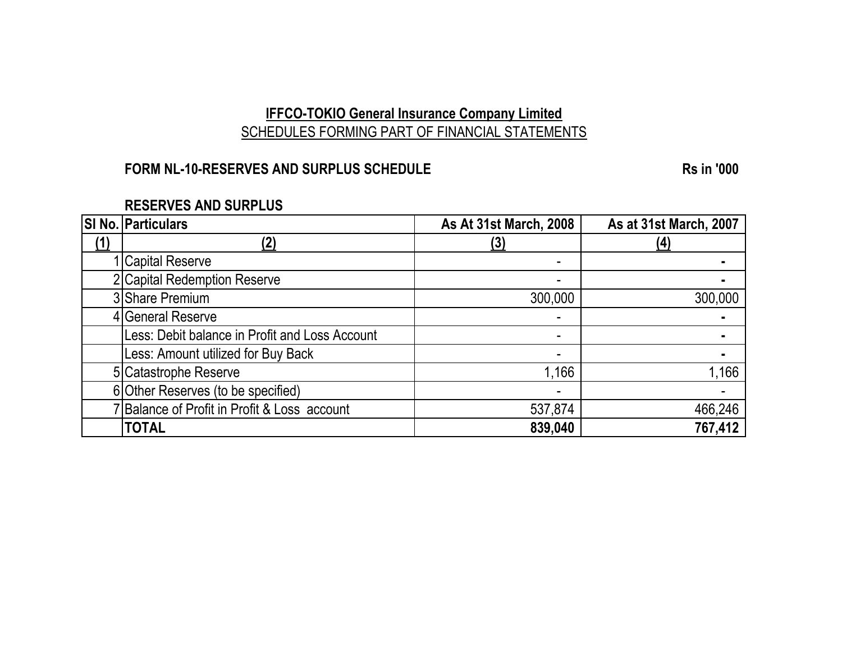# **IFFCO-TOKIO General Insurance Company Limited** SCHEDULES FORMING PART OF FINANCIAL STATEMENTS

# **FORM NL-10-RESERVES AND SURPLUS SCHEDULE RS in '000**

| <b>RESERVES AND SURPLUS</b> |  |  |
|-----------------------------|--|--|
|-----------------------------|--|--|

|     | SI No. Particulars                             | <b>As At 31st March, 2008</b> | As at 31st March, 2007 |
|-----|------------------------------------------------|-------------------------------|------------------------|
| (1) |                                                | <u>(3</u>                     |                        |
|     | <b>Capital Reserve</b>                         |                               |                        |
|     | 2 Capital Redemption Reserve                   |                               |                        |
|     | 3 Share Premium                                | 300,000                       | 300,000                |
|     | 4 General Reserve                              |                               |                        |
|     | Less: Debit balance in Profit and Loss Account |                               |                        |
|     | Less: Amount utilized for Buy Back             |                               |                        |
|     | 5 Catastrophe Reserve                          | ,166                          | 1,166                  |
|     | 6 Other Reserves (to be specified)             |                               |                        |
|     | 7 Balance of Profit in Profit & Loss account   | 537,874                       | 466,246                |
|     | <b>TOTAL</b>                                   | 839,040                       | 767,412                |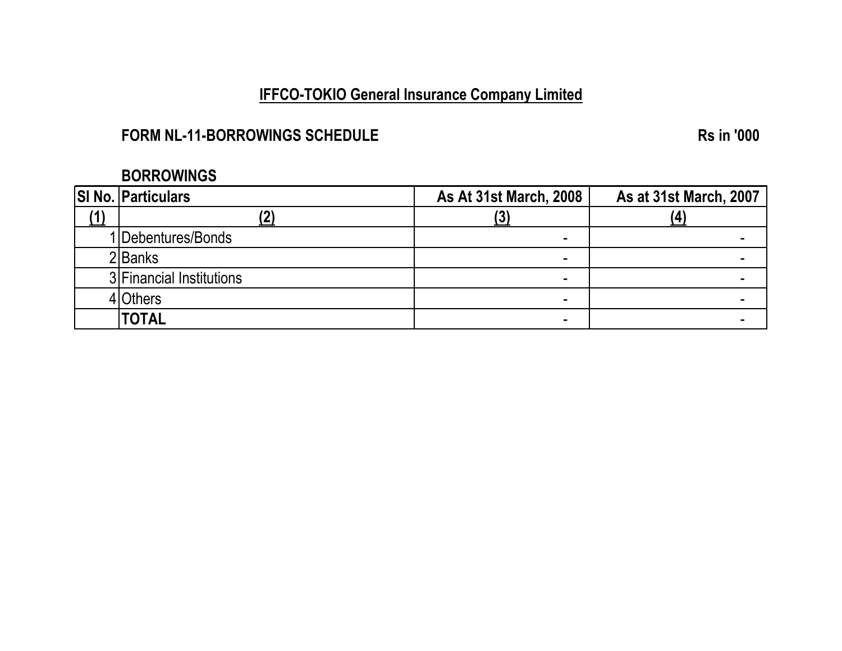# **IFFCO-TOKIO General Insurance Company Limited**

# **FORM NL-11-BORROWINGS SCHEDULE RS** in '000

# **BORROWINGS**

| <b>SI No. Particulars</b> | <b>As At 31st March, 2008</b> | <b>As at 31st March, 2007</b> |
|---------------------------|-------------------------------|-------------------------------|
|                           | IJ.                           |                               |
| 1 Debentures/Bonds        |                               |                               |
| 2lBanks                   |                               |                               |
| 3 Financial Institutions  |                               |                               |
| 4 Others                  |                               |                               |
| <b>TOTAL</b>              |                               |                               |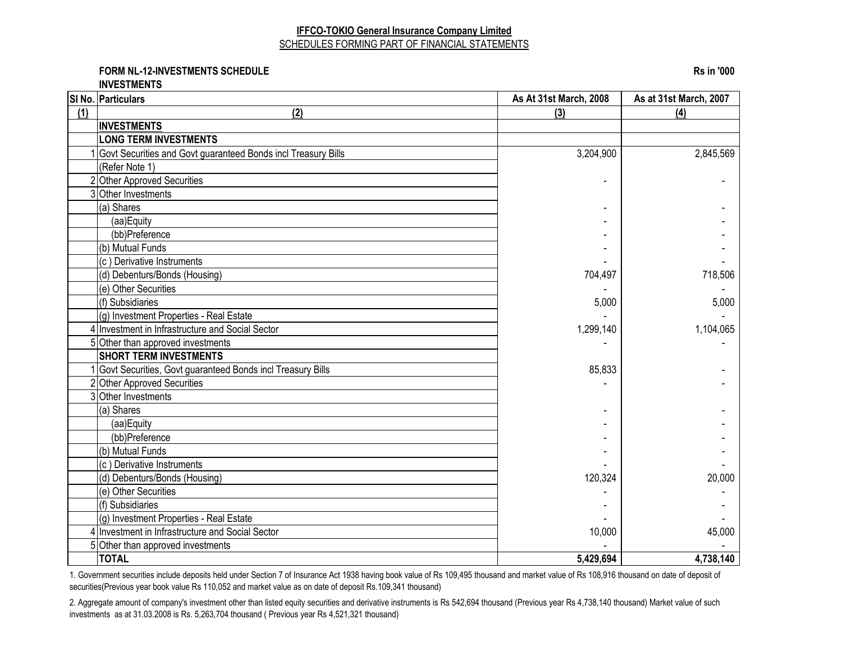#### **IFFCO-TOKIO General Insurance Company Limited** SCHEDULES FORMING PART OF FINANCIAL STATEMENTS

**FORM NL-12-INVESTMENTS SCHEDULE Rs in '000**

**INVESTMENTS**

|     | SI No. Particulars                                            | As At 31st March, 2008 | As at 31st March, 2007 |
|-----|---------------------------------------------------------------|------------------------|------------------------|
| (1) | (2)                                                           | (3)                    | (4)                    |
|     | <b>INVESTMENTS</b>                                            |                        |                        |
|     | <b>LONG TERM INVESTMENTS</b>                                  |                        |                        |
|     | Govt Securities and Govt guaranteed Bonds incl Treasury Bills | 3,204,900              | 2,845,569              |
|     | (Refer Note 1)                                                |                        |                        |
|     | 2 Other Approved Securities                                   |                        |                        |
|     | 3 Other Investments                                           |                        |                        |
|     | (a) Shares                                                    |                        |                        |
|     | (aa)Equity                                                    |                        |                        |
|     | (bb)Preference                                                |                        |                        |
|     | (b) Mutual Funds                                              |                        |                        |
|     | (c) Derivative Instruments                                    |                        |                        |
|     | (d) Debenturs/Bonds (Housing)                                 | 704,497                | 718,506                |
|     | (e) Other Securities                                          |                        |                        |
|     | (f) Subsidiaries                                              | 5,000                  | 5,000                  |
|     | (g) Investment Properties - Real Estate                       |                        |                        |
|     | 4 Investment in Infrastructure and Social Sector              | 1,299,140              | 1,104,065              |
|     | 5 Other than approved investments                             |                        |                        |
|     | <b>SHORT TERM INVESTMENTS</b>                                 |                        |                        |
|     | Govt Securities, Govt guaranteed Bonds incl Treasury Bills    | 85,833                 |                        |
|     | 2 Other Approved Securities                                   |                        |                        |
|     | 3 Other Investments                                           |                        |                        |
|     | (a) Shares                                                    |                        |                        |
|     | (aa)Equity                                                    |                        |                        |
|     | (bb)Preference                                                |                        |                        |
|     | (b) Mutual Funds                                              |                        |                        |
|     | (c) Derivative Instruments                                    |                        |                        |
|     | (d) Debenturs/Bonds (Housing)                                 | 120,324                | 20,000                 |
|     | (e) Other Securities                                          |                        |                        |
|     | (f) Subsidiaries                                              |                        |                        |
|     | (g) Investment Properties - Real Estate                       |                        |                        |
|     | 4 Investment in Infrastructure and Social Sector              | 10,000                 | 45,000                 |
|     | 5 Other than approved investments                             |                        |                        |
|     | <b>TOTAL</b>                                                  | 5,429,694              | 4,738,140              |

1. Government securities include deposits held under Section 7 of Insurance Act 1938 having book value of Rs 109,495 thousand and market value of Rs 108,916 thousand on date of deposit of securities(Previous year book value Rs 110,052 and market value as on date of deposit Rs.109,341 thousand)

2. Aggregate amount of company's investment other than listed equity securities and derivative instruments is Rs 542,694 thousand (Previous year Rs 4,738,140 thousand) Market value of such investments as at 31.03.2008 is Rs. 5,263,704 thousand ( Previous year Rs 4,521,321 thousand)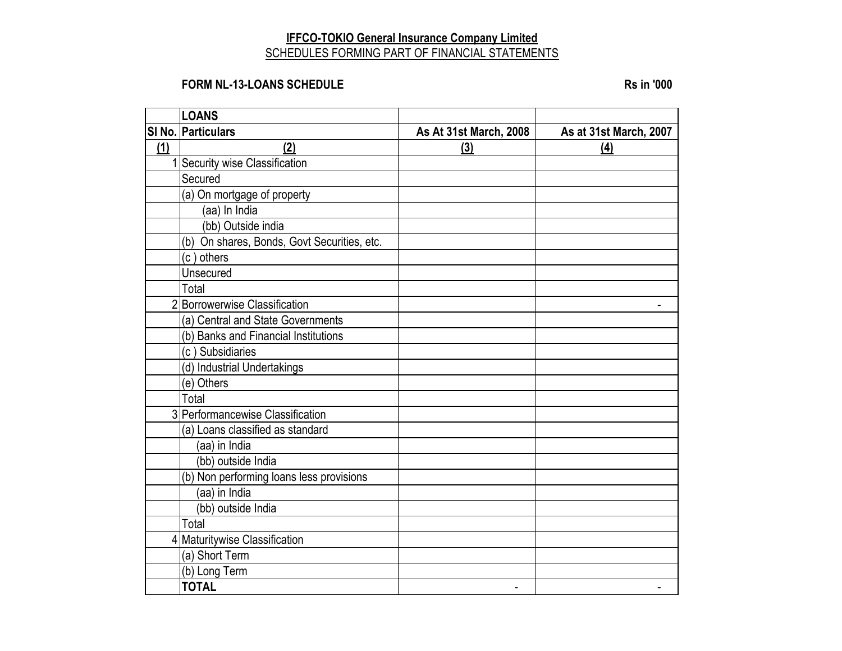#### **IFFCO-TOKIO General Insurance Company Limited** SCHEDULES FORMING PART OF FINANCIAL STATEMENTS

#### **FORM NL-13-LOANS SCHEDULE Rs** in '000

|     | <b>LOANS</b>                                |                        |                        |
|-----|---------------------------------------------|------------------------|------------------------|
|     | SI No. Particulars                          | As At 31st March, 2008 | As at 31st March, 2007 |
| (1) | (2)                                         | (3)                    | (4)                    |
|     | Security wise Classification                |                        |                        |
|     | Secured                                     |                        |                        |
|     | (a) On mortgage of property                 |                        |                        |
|     | (aa) In India                               |                        |                        |
|     | (bb) Outside india                          |                        |                        |
|     | (b) On shares, Bonds, Govt Securities, etc. |                        |                        |
|     | (c) others                                  |                        |                        |
|     | Unsecured                                   |                        |                        |
|     | Total                                       |                        |                        |
|     | 2 Borrowerwise Classification               |                        |                        |
|     | (a) Central and State Governments           |                        |                        |
|     | (b) Banks and Financial Institutions        |                        |                        |
|     | (c) Subsidiaries                            |                        |                        |
|     | (d) Industrial Undertakings                 |                        |                        |
|     | (e) Others                                  |                        |                        |
|     | Total                                       |                        |                        |
|     | 3 Performancewise Classification            |                        |                        |
|     | (a) Loans classified as standard            |                        |                        |
|     | (aa) in India                               |                        |                        |
|     | (bb) outside India                          |                        |                        |
|     | (b) Non performing loans less provisions    |                        |                        |
|     | (aa) in India                               |                        |                        |
|     | (bb) outside India                          |                        |                        |
|     | Total                                       |                        |                        |
|     | 4 Maturitywise Classification               |                        |                        |
|     | (a) Short Term                              |                        |                        |
|     | (b) Long Term                               |                        |                        |
|     | <b>TOTAL</b>                                |                        |                        |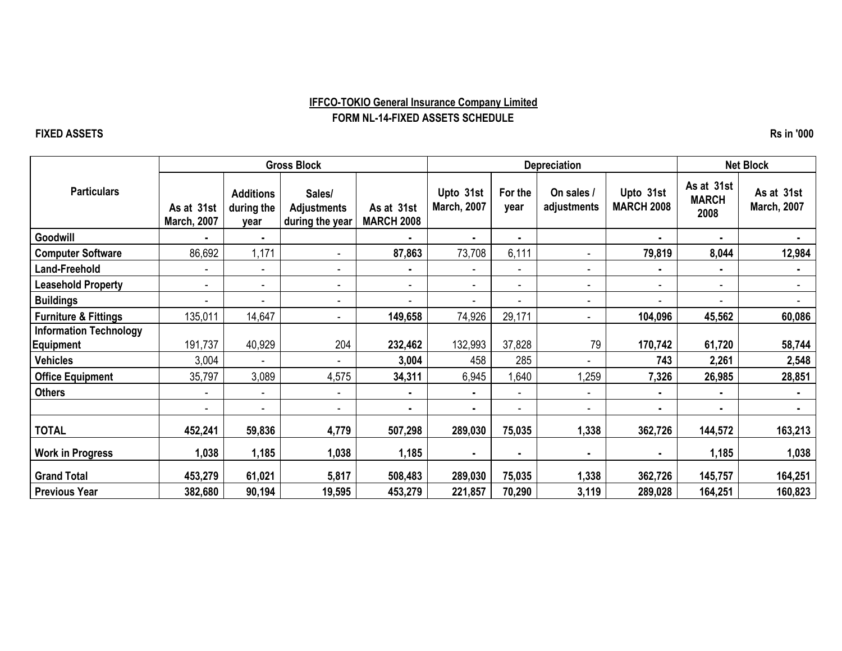#### **IFFCO-TOKIO General Insurance Company Limited FORM NL-14-FIXED ASSETS SCHEDULE**

#### **FIXED ASSETS Rs in '000**

|                                 | <b>Gross Block</b>               |                                        | <b>Depreciation</b>                             |                                 |                                 |                 | <b>Net Block</b>          |                                |                                    |                                  |
|---------------------------------|----------------------------------|----------------------------------------|-------------------------------------------------|---------------------------------|---------------------------------|-----------------|---------------------------|--------------------------------|------------------------------------|----------------------------------|
| <b>Particulars</b>              | As at 31st<br><b>March, 2007</b> | <b>Additions</b><br>during the<br>year | Sales/<br><b>Adjustments</b><br>during the year | As at 31st<br><b>MARCH 2008</b> | Upto 31st<br><b>March, 2007</b> | For the<br>year | On sales /<br>adjustments | Upto 31st<br><b>MARCH 2008</b> | As at 31st<br><b>MARCH</b><br>2008 | As at 31st<br><b>March, 2007</b> |
| Goodwill                        |                                  | $\blacksquare$                         |                                                 |                                 | ۰.                              |                 |                           | ٠                              |                                    |                                  |
| <b>Computer Software</b>        | 86,692                           | 1,171                                  |                                                 | 87,863                          | 73,708                          | 6,111           |                           | 79,819                         | 8,044                              | 12,984                           |
| Land-Freehold                   | ۰                                | $\blacksquare$                         | $\blacksquare$                                  | $\blacksquare$                  | $\blacksquare$                  |                 | $\blacksquare$            | ٠                              | ٠                                  | ۰                                |
| <b>Leasehold Property</b>       |                                  | $\overline{\phantom{a}}$               |                                                 | $\blacksquare$                  | $\overline{\phantom{a}}$        |                 |                           | $\sim$                         |                                    |                                  |
| <b>Buildings</b>                |                                  | $\overline{a}$                         | $\overline{\phantom{0}}$                        | ٠                               | $\overline{\phantom{a}}$        |                 |                           | $\blacksquare$                 | ۰.                                 |                                  |
| <b>Furniture &amp; Fittings</b> | 135,011                          | 14,647                                 |                                                 | 149,658                         | 74,926                          | 29,171          |                           | 104,096                        | 45,562                             | 60,086                           |
| <b>Information Technology</b>   |                                  |                                        |                                                 |                                 |                                 |                 |                           |                                |                                    |                                  |
| <b>Equipment</b>                | 191,737                          | 40,929                                 | 204                                             | 232,462                         | 132,993                         | 37,828          | 79                        | 170,742                        | 61,720                             | 58,744                           |
| <b>Vehicles</b>                 | 3,004                            | $\overline{a}$                         |                                                 | 3,004                           | 458                             | 285             |                           | 743                            | 2,261                              | 2,548                            |
| <b>Office Equipment</b>         | 35,797                           | 3,089                                  | 4,575                                           | 34,311                          | 6,945                           | 1,640           | 1,259                     | 7,326                          | 26,985                             | 28,851                           |
| <b>Others</b>                   |                                  | $\overline{\phantom{a}}$               |                                                 | $\blacksquare$                  | ۰.                              |                 |                           | ٠                              | $\blacksquare$                     | $\blacksquare$                   |
|                                 |                                  | $\blacksquare$                         |                                                 | $\blacksquare$                  | $\blacksquare$                  |                 |                           | $\blacksquare$                 | ٠                                  |                                  |
| <b>TOTAL</b>                    | 452,241                          | 59,836                                 | 4,779                                           | 507,298                         | 289,030                         | 75,035          | 1,338                     | 362,726                        | 144,572                            | 163,213                          |
| <b>Work in Progress</b>         | 1,038                            | 1,185                                  | 1,038                                           | 1,185                           |                                 |                 |                           | $\blacksquare$                 | 1,185                              | 1,038                            |
| <b>Grand Total</b>              | 453,279                          | 61,021                                 | 5,817                                           | 508,483                         | 289,030                         | 75,035          | 1,338                     | 362,726                        | 145,757                            | 164,251                          |
| <b>Previous Year</b>            | 382,680                          | 90,194                                 | 19,595                                          | 453,279                         | 221,857                         | 70,290          | 3,119                     | 289,028                        | 164,251                            | 160,823                          |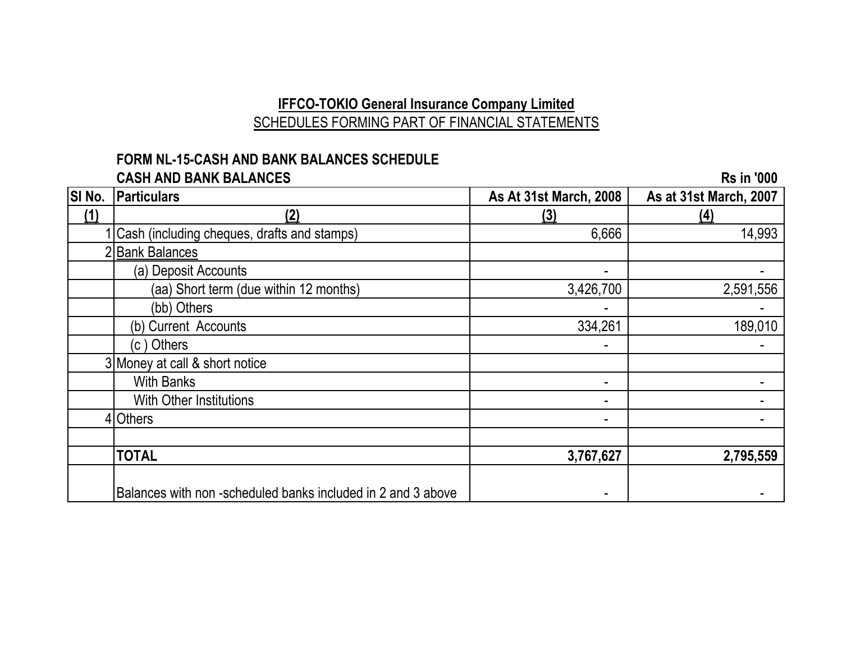# **IFFCO-TOKIO General Insurance Company Limited** SCHEDULES FORMING PART OF FINANCIAL STATEMENTS

#### **FORM NL-15-CASH AND BANK BALANCES SCHEDULE CASH AND BANK BALANCES RS** in '000

|     |                                                             | <b>As At 31st March, 2008</b> | As at 31st March, 2007 |
|-----|-------------------------------------------------------------|-------------------------------|------------------------|
| (1) | (2)                                                         | <u>(3)</u>                    | <u>(4)</u>             |
|     | Cash (including cheques, drafts and stamps)                 | 6,666                         | 14,993                 |
|     | <b>Bank Balances</b>                                        |                               |                        |
|     | (a) Deposit Accounts                                        | ۰.                            |                        |
|     | (aa) Short term (due within 12 months)                      | 3,426,700                     | 2,591,556              |
|     | (bb) Others                                                 |                               |                        |
|     | (b) Current Accounts                                        | 334,261                       | 189,010                |
|     | (c) Others                                                  | ۰.                            |                        |
|     | 3 Money at call & short notice                              |                               |                        |
|     | <b>With Banks</b>                                           | ۰                             |                        |
|     | <b>With Other Institutions</b>                              | ۰.                            |                        |
|     | 4 Others                                                    | ۰                             |                        |
|     |                                                             |                               |                        |
|     | <b>TOTAL</b>                                                | 3,767,627                     | 2,795,559              |
|     | Balances with non-scheduled banks included in 2 and 3 above |                               |                        |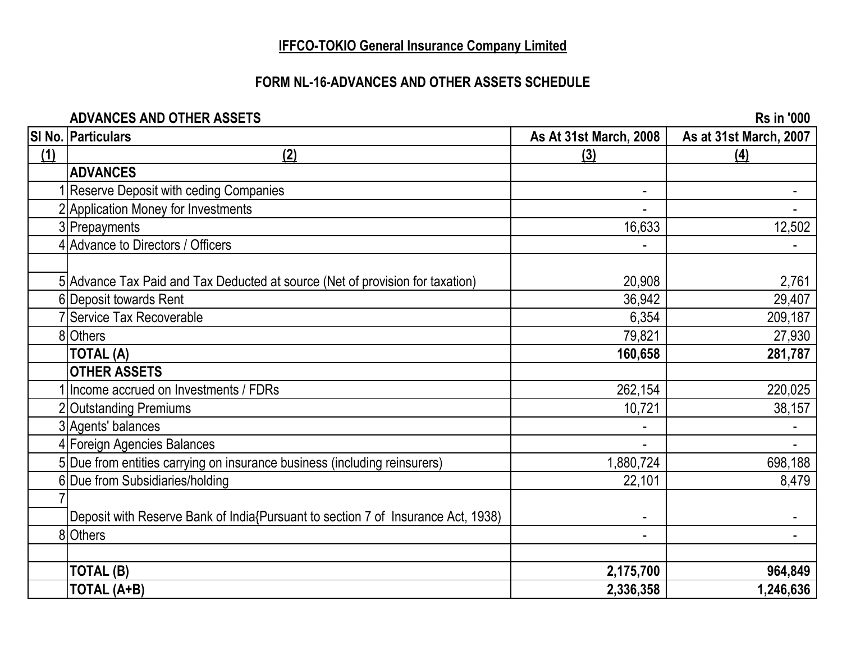# **IFFCO-TOKIO General Insurance Company Limited**

# **FORM NL-16-ADVANCES AND OTHER ASSETS SCHEDULE**

#### **ADVANCES AND OTHER ASSETS Rs in '000**

|     | SI No. Particulars                                                               | As At 31st March, 2008 | As at 31st March, 2007 |
|-----|----------------------------------------------------------------------------------|------------------------|------------------------|
| (1) | (2)                                                                              | (3)                    | (4)                    |
|     | <b>ADVANCES</b>                                                                  |                        |                        |
|     | Reserve Deposit with ceding Companies                                            |                        |                        |
|     | 2 Application Money for Investments                                              |                        |                        |
|     | 3 Prepayments                                                                    | 16,633                 | 12,502                 |
|     | 4 Advance to Directors / Officers                                                |                        |                        |
|     |                                                                                  |                        |                        |
|     | 5 Advance Tax Paid and Tax Deducted at source (Net of provision for taxation)    | 20,908                 | 2,761                  |
|     | 6 Deposit towards Rent                                                           | 36,942                 | 29,407                 |
|     | 7 Service Tax Recoverable                                                        | 6,354                  | 209,187                |
|     | 8 Others                                                                         | 79,821                 | 27,930                 |
|     | TOTAL (A)                                                                        | 160,658                | 281,787                |
|     | <b>OTHER ASSETS</b>                                                              |                        |                        |
|     | Ilncome accrued on Investments / FDRs                                            | 262,154                | 220,025                |
|     | 2 Outstanding Premiums                                                           | 10,721                 | 38,157                 |
|     | 3 Agents' balances                                                               |                        |                        |
|     | 4 Foreign Agencies Balances                                                      |                        | $\blacksquare$         |
|     | 5 Due from entities carrying on insurance business (including reinsurers)        | 1,880,724              | 698,188                |
|     | 6 Due from Subsidiaries/holding                                                  | 22,101                 | 8,479                  |
|     |                                                                                  |                        |                        |
|     | Deposit with Reserve Bank of India{Pursuant to section 7 of Insurance Act, 1938) |                        |                        |
|     | 8 Others                                                                         |                        |                        |
|     |                                                                                  |                        |                        |
|     | <b>TOTAL (B)</b>                                                                 | 2,175,700              | 964,849                |
|     | <b>TOTAL (A+B)</b>                                                               | 2,336,358              | 1,246,636              |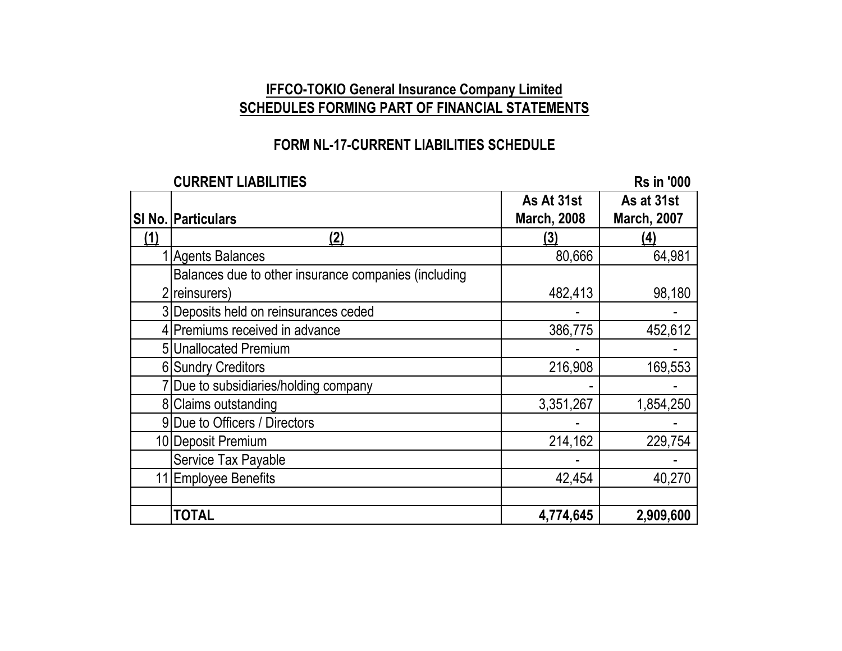# **IFFCO-TOKIO General Insurance Company Limited SCHEDULES FORMING PART OF FINANCIAL STATEMENTS**

# **FORM NL-17-CURRENT LIABILITIES SCHEDULE**

**CURRENT LIABILITIES Rs** in '000

|     |                                                      | As At 31st         | As at 31st         |
|-----|------------------------------------------------------|--------------------|--------------------|
|     | <b>SI No. Particulars</b>                            | <b>March, 2008</b> | <b>March, 2007</b> |
| (1) | (2)                                                  | (3)                | (4)                |
|     | <b>Agents Balances</b>                               | 80,666             | 64,981             |
|     | Balances due to other insurance companies (including |                    |                    |
|     | 2 reinsurers)                                        | 482,413            | 98,180             |
|     | 3 Deposits held on reinsurances ceded                |                    |                    |
|     | 4 Premiums received in advance                       | 386,775            | 452,612            |
|     | 5 Unallocated Premium                                |                    |                    |
|     | <b>6 Sundry Creditors</b>                            | 216,908            | 169,553            |
|     | Due to subsidiaries/holding company                  |                    |                    |
|     | 8 Claims outstanding                                 | 3,351,267          | 1,854,250          |
|     | 9 Due to Officers / Directors                        |                    |                    |
|     | 10 Deposit Premium                                   | 214,162            | 229,754            |
|     | Service Tax Payable                                  |                    |                    |
|     | <b>Employee Benefits</b>                             | 42,454             | 40,270             |
|     |                                                      |                    |                    |
|     | <b>TOTAL</b>                                         | 4,774,645          | 2,909,600          |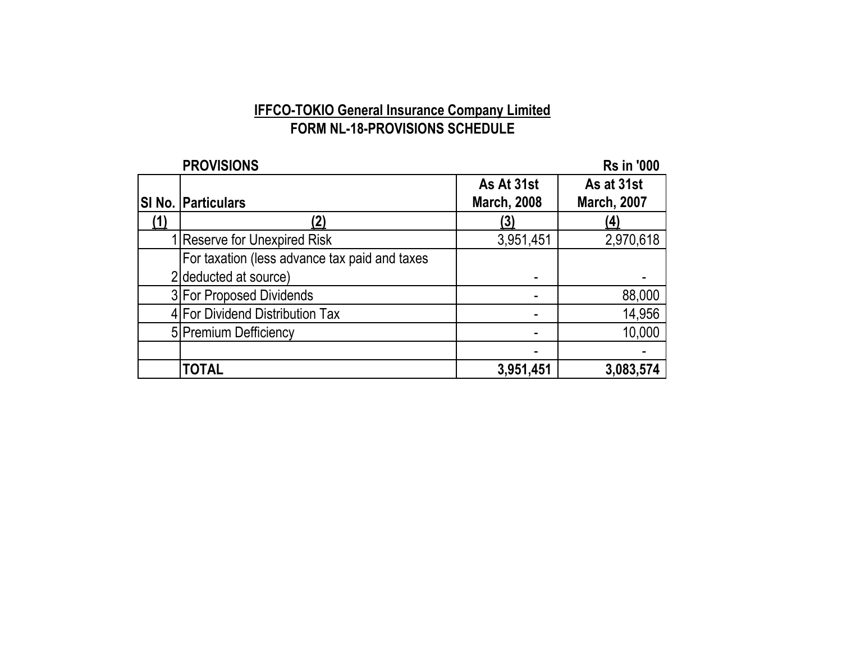# **IFFCO-TOKIO General Insurance Company Limited FORM NL-18-PROVISIONS SCHEDULE**

| <b>PROVISIONS</b>                             |                    | <b>Rs in '000</b>  |
|-----------------------------------------------|--------------------|--------------------|
|                                               | As At 31st         | As at 31st         |
| SI No. Particulars                            | <b>March, 2008</b> | <b>March, 2007</b> |
|                                               | (3)                | (4)                |
| <b>Reserve for Unexpired Risk</b>             | 3,951,451          | 2,970,618          |
| For taxation (less advance tax paid and taxes |                    |                    |
| 2 deducted at source)                         |                    |                    |
| 3 For Proposed Dividends                      |                    | 88,000             |
| 4 For Dividend Distribution Tax               |                    | 14,956             |
| 5 Premium Defficiency                         |                    | 10,000             |
|                                               |                    |                    |
| <b>TOTAL</b>                                  | 3,951,451          | 3,083,574          |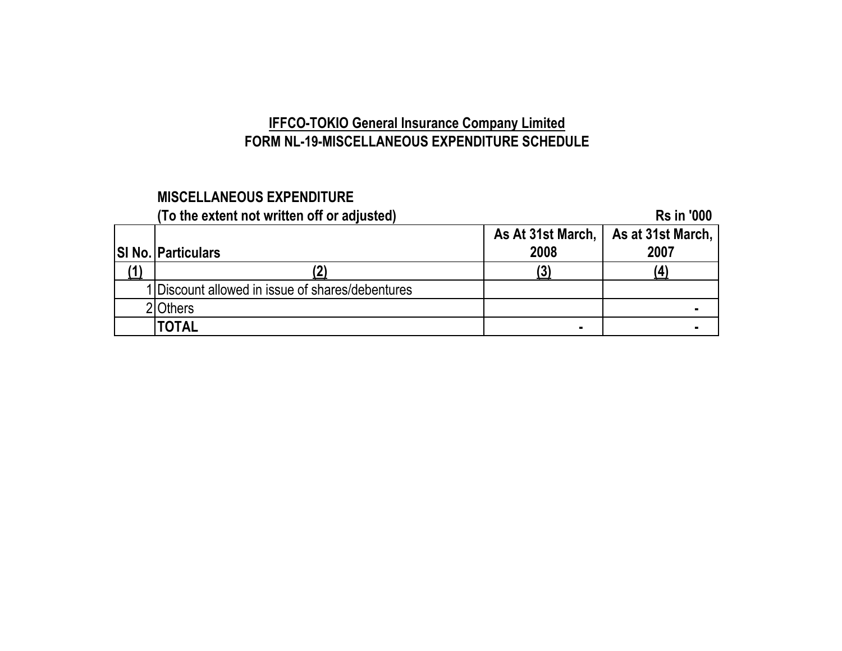# **IFFCO-TOKIO General Insurance Company Limited FORM NL-19-MISCELLANEOUS EXPENDITURE SCHEDULE**

# **MISCELLANEOUS EXPENDITURE**

| (To the extent not written off or adjusted)      |      | <b>Rs in '000</b>                     |
|--------------------------------------------------|------|---------------------------------------|
|                                                  |      | As At 31st March,   As at 31st March, |
| <b>SI No. Particulars</b>                        | 2008 | 2007                                  |
|                                                  |      |                                       |
| 1 Discount allowed in issue of shares/debentures |      |                                       |
| <b>Others</b>                                    |      |                                       |
| <b>TOTAL</b>                                     | ٠    |                                       |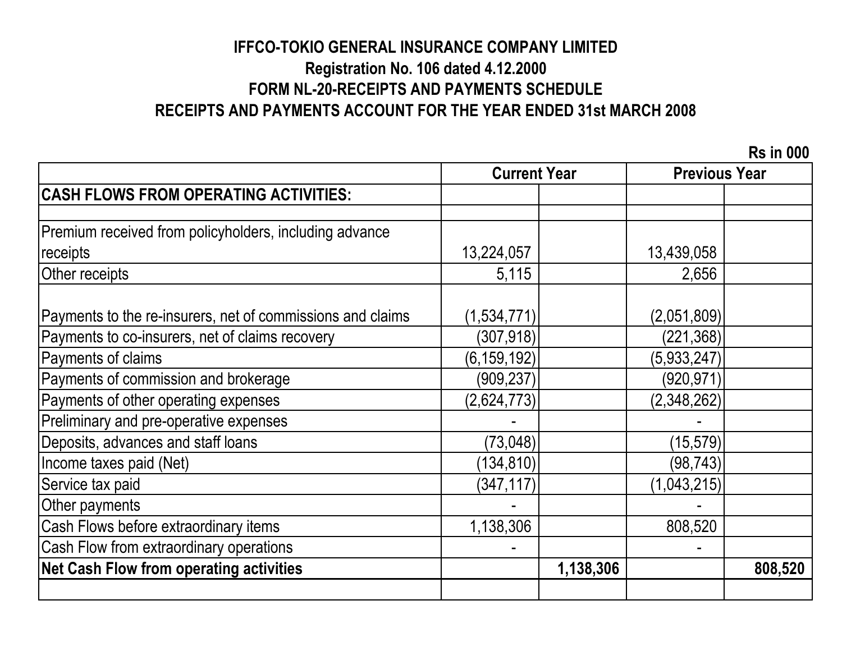# **IFFCO-TOKIO GENERAL INSURANCE COMPANY LIMITED Registration No. 106 dated 4.12.2000 FORM NL-20-RECEIPTS AND PAYMENTS SCHEDULE RECEIPTS AND PAYMENTS ACCOUNT FOR THE YEAR ENDED 31st MARCH 2008**

 **Rs in 000**

|                                                            | <b>Current Year</b> |           | <b>Previous Year</b> |         |
|------------------------------------------------------------|---------------------|-----------|----------------------|---------|
| <b>CASH FLOWS FROM OPERATING ACTIVITIES:</b>               |                     |           |                      |         |
|                                                            |                     |           |                      |         |
| Premium received from policyholders, including advance     |                     |           |                      |         |
| receipts                                                   | 13,224,057          |           | 13,439,058           |         |
| Other receipts                                             | 5,115               |           | 2,656                |         |
| Payments to the re-insurers, net of commissions and claims | (1,534,771)         |           | (2,051,809)          |         |
| Payments to co-insurers, net of claims recovery            | (307, 918)          |           | (221, 368)           |         |
| Payments of claims                                         | (6, 159, 192)       |           | (5,933,247)          |         |
| Payments of commission and brokerage                       | (909, 237)          |           | (920, 971)           |         |
| Payments of other operating expenses                       | (2,624,773)         |           | (2,348,262)          |         |
| Preliminary and pre-operative expenses                     |                     |           |                      |         |
| Deposits, advances and staff loans                         | (73, 048)           |           | (15, 579)            |         |
| Income taxes paid (Net)                                    | (134, 810)          |           | (98,743)             |         |
| Service tax paid                                           | (347, 117)          |           | (1,043,215)          |         |
| Other payments                                             |                     |           |                      |         |
| Cash Flows before extraordinary items                      | 1,138,306           |           | 808,520              |         |
| Cash Flow from extraordinary operations                    |                     |           |                      |         |
| <b>Net Cash Flow from operating activities</b>             |                     | 1,138,306 |                      | 808,520 |
|                                                            |                     |           |                      |         |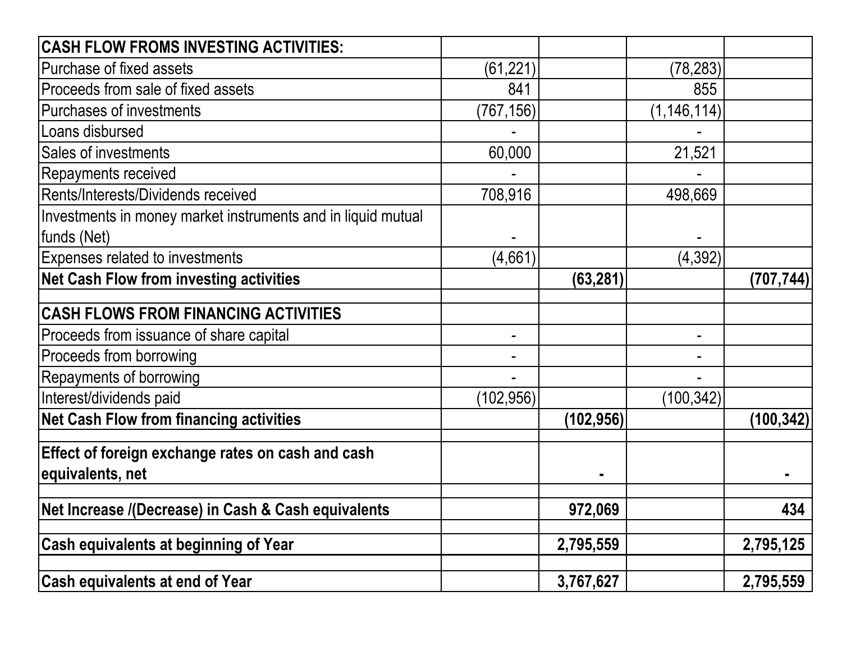| <b>CASH FLOW FROMS INVESTING ACTIVITIES:</b>                 |            |            |               |            |
|--------------------------------------------------------------|------------|------------|---------------|------------|
| Purchase of fixed assets                                     | (61, 221)  |            | (78, 283)     |            |
| Proceeds from sale of fixed assets                           | 841        |            | 855           |            |
| <b>Purchases of investments</b>                              | (767, 156) |            | (1, 146, 114) |            |
| Loans disbursed                                              |            |            |               |            |
| Sales of investments                                         | 60,000     |            | 21,521        |            |
| Repayments received                                          |            |            |               |            |
| Rents/Interests/Dividends received                           | 708,916    |            | 498,669       |            |
| Investments in money market instruments and in liquid mutual |            |            |               |            |
| funds (Net)                                                  |            |            |               |            |
| Expenses related to investments                              | (4,661)    |            | (4, 392)      |            |
| <b>Net Cash Flow from investing activities</b>               |            | (63, 281)  |               | (707, 744) |
| <b>CASH FLOWS FROM FINANCING ACTIVITIES</b>                  |            |            |               |            |
| Proceeds from issuance of share capital                      |            |            |               |            |
| Proceeds from borrowing                                      |            |            |               |            |
| Repayments of borrowing                                      |            |            |               |            |
| Interest/dividends paid                                      | (102, 956) |            | (100, 342)    |            |
| <b>Net Cash Flow from financing activities</b>               |            | (102, 956) |               | (100, 342) |
| Effect of foreign exchange rates on cash and cash            |            |            |               |            |
| equivalents, net                                             |            |            |               |            |
| Net Increase /(Decrease) in Cash & Cash equivalents          |            | 972,069    |               | 434        |
|                                                              |            |            |               |            |
| <b>Cash equivalents at beginning of Year</b>                 |            | 2,795,559  |               | 2,795,125  |
| <b>Cash equivalents at end of Year</b>                       |            | 3,767,627  |               | 2,795,559  |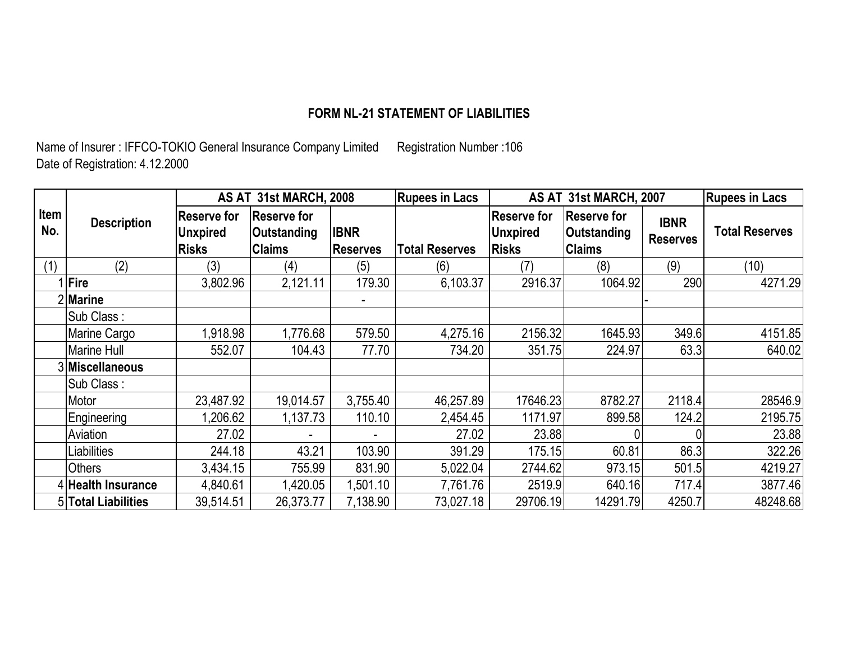# **FORM NL-21 STATEMENT OF LIABILITIES**

Name of Insurer : IFFCO-TOKIO General Insurance Company Limited Registration Number :106 Date of Registration: 4.12.2000

|             |                     |                                                       | AS AT 31st MARCH, 2008                             |                                | <b>Rupees in Lacs</b> |                                                       | AS AT 31st MARCH, 2007                                                               |        | <b>Rupees in Lacs</b> |
|-------------|---------------------|-------------------------------------------------------|----------------------------------------------------|--------------------------------|-----------------------|-------------------------------------------------------|--------------------------------------------------------------------------------------|--------|-----------------------|
| Item<br>No. | <b>Description</b>  | <b>Reserve for</b><br><b>Unxpired</b><br><b>Risks</b> | <b>Reserve for</b><br>Outstanding<br><b>Claims</b> | <b>IBNR</b><br><b>Reserves</b> | <b>Total Reserves</b> | <b>Reserve for</b><br><b>Unxpired</b><br><b>Risks</b> | <b>Reserve for</b><br><b>IBNR</b><br>Outstanding<br><b>Reserves</b><br><b>Claims</b> |        | <b>Total Reserves</b> |
| (1)         | (2)                 | (3)                                                   | (4)                                                | (5)                            | (6)                   | (7)                                                   | (8)                                                                                  | (9)    | (10)                  |
|             | <b>Fire</b>         | 3,802.96                                              | 2,121.11                                           | 179.30                         | 6,103.37              | 2916.37                                               | 1064.92                                                                              | 290    | 4271.29               |
|             | 2Marine             |                                                       |                                                    |                                |                       |                                                       |                                                                                      |        |                       |
|             | Sub Class:          |                                                       |                                                    |                                |                       |                                                       |                                                                                      |        |                       |
|             | Marine Cargo        | 1,918.98                                              | 1,776.68                                           | 579.50                         | 4,275.16              | 2156.32                                               | 1645.93                                                                              | 349.6  | 4151.85               |
|             | Marine Hull         | 552.07                                                | 104.43                                             | 77.70                          | 734.20                | 351.75                                                | 224.97                                                                               | 63.3   | 640.02                |
|             | 3 Miscellaneous     |                                                       |                                                    |                                |                       |                                                       |                                                                                      |        |                       |
|             | Sub Class:          |                                                       |                                                    |                                |                       |                                                       |                                                                                      |        |                       |
|             | Motor               | 23,487.92                                             | 19,014.57                                          | 3,755.40                       | 46,257.89             | 17646.23                                              | 8782.27                                                                              | 2118.4 | 28546.9               |
|             | Engineering         | .206.62                                               | 1,137.73                                           | 110.10                         | 2,454.45              | 1171.97                                               | 899.58                                                                               | 124.2  | 2195.75               |
|             | Aviation            | 27.02                                                 |                                                    |                                | 27.02                 | 23.88                                                 |                                                                                      |        | 23.88                 |
|             | Liabilities         | 244.18                                                | 43.21                                              | 103.90                         | 391.29                | 175.15                                                | 60.81                                                                                | 86.3   | 322.26                |
|             | <b>Others</b>       | 3,434.15                                              | 755.99                                             | 831.90                         | 5,022.04              | 2744.62                                               | 973.15                                                                               | 501.5  | 4219.27               |
|             | 4 Health Insurance  | 4,840.61                                              | 1,420.05                                           | 1,501.10                       | 7,761.76              | 2519.9                                                | 640.16                                                                               | 717.4  | 3877.46               |
|             | 5 Total Liabilities | 39,514.51                                             | 26,373.77                                          | 7,138.90                       | 73,027.18             | 29706.19                                              | 14291.79                                                                             | 4250.7 | 48248.68              |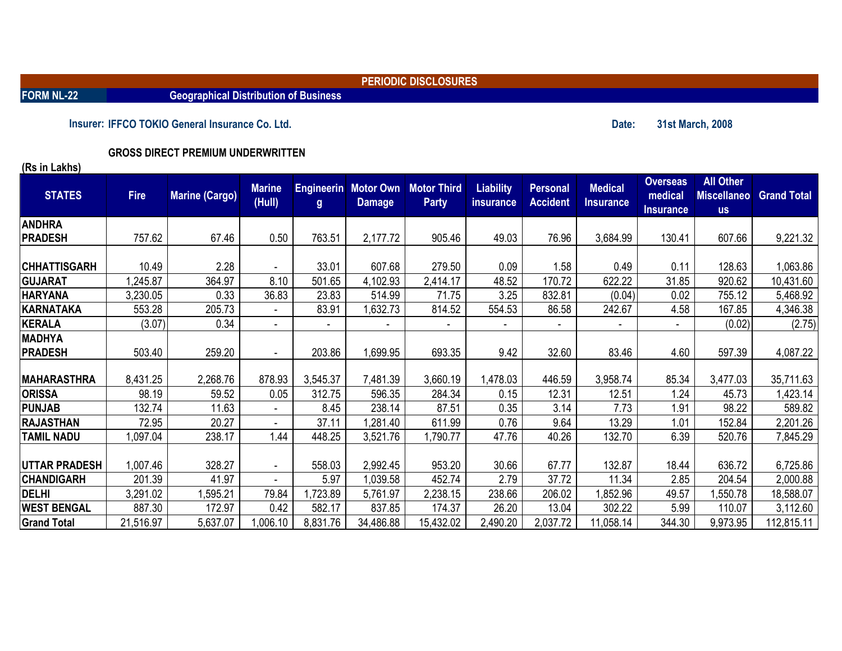**FORM NL-22 Geographical Distribution of Business**

**PERIODIC DISCLOSURES**

**Insurer:** IFFCO TOKIO General Insurance Co. Ltd. **31st March, 2008** 

**GROSS DIRECT PREMIUM UNDERWRITTEN** 

| <b>STATES</b>        | <b>Fire</b> | <b>Marine (Cargo)</b> | <b>Marine</b><br>(Hull) | $\mathbf{g}$ | <b>Engineerin</b> Motor Own<br><b>Damage</b> | <b>Motor Third</b><br><b>Party</b> | <b>Liability</b><br><i>insurance</i> | <b>Personal</b><br><b>Accident</b> | <b>Medical</b><br><b>Insurance</b> | <b>Overseas</b><br>medical<br><b>Insurance</b> | <b>All Other</b><br><b>Miscellaneo</b><br><b>us</b> | <b>Grand Total</b> |
|----------------------|-------------|-----------------------|-------------------------|--------------|----------------------------------------------|------------------------------------|--------------------------------------|------------------------------------|------------------------------------|------------------------------------------------|-----------------------------------------------------|--------------------|
| <b>ANDHRA</b>        |             |                       |                         |              |                                              |                                    |                                      |                                    |                                    |                                                |                                                     |                    |
| <b>PRADESH</b>       | 757.62      | 67.46                 | 0.50                    | 763.51       | 2,177.72                                     | 905.46                             | 49.03                                | 76.96                              | 3,684.99                           | 130.41                                         | 607.66                                              | 9,221.32           |
|                      |             |                       |                         |              |                                              |                                    |                                      |                                    |                                    |                                                |                                                     |                    |
| <b>CHHATTISGARH</b>  | 10.49       | 2.28                  |                         | 33.01        | 607.68                                       | 279.50                             | 0.09                                 | 1.58                               | 0.49                               | 0.11                                           | 128.63                                              | 1,063.86           |
| <b>GUJARAT</b>       | ,245.87     | 364.97                | 8.10                    | 501.65       | 4,102.93                                     | 2,414.17                           | 48.52                                | 170.72                             | 622.22                             | 31.85                                          | 920.62                                              | 10,431.60          |
| <b>HARYANA</b>       | 3,230.05    | 0.33                  | 36.83                   | 23.83        | 514.99                                       | 71.75                              | 3.25                                 | 832.81                             | (0.04)                             | 0.02                                           | 755.12                                              | 5,468.92           |
| KARNATAKA            | 553.28      | 205.73                | $\blacksquare$          | 83.91        | 1,632.73                                     | 814.52                             | 554.53                               | 86.58                              | 242.67                             | 4.58                                           | 167.85                                              | 4,346.38           |
| KERALA               | (3.07)      | 0.34                  | $\blacksquare$          |              |                                              |                                    |                                      |                                    |                                    |                                                | (0.02)                                              | (2.75)             |
| <b>MADHYA</b>        |             |                       |                         |              |                                              |                                    |                                      |                                    |                                    |                                                |                                                     |                    |
| <b>PRADESH</b>       | 503.40      | 259.20                |                         | 203.86       | 1,699.95                                     | 693.35                             | 9.42                                 | 32.60                              | 83.46                              | 4.60                                           | 597.39                                              | 4,087.22           |
|                      |             |                       |                         |              |                                              |                                    |                                      |                                    |                                    |                                                |                                                     |                    |
| <b>MAHARASTHRA</b>   | 8,431.25    | 2,268.76              | 878.93                  | 3,545.37     | 7,481.39                                     | 3,660.19                           | 1,478.03                             | 446.59                             | 3,958.74                           | 85.34                                          | 3,477.03                                            | 35,711.63          |
| <b>ORISSA</b>        | 98.19       | 59.52                 | 0.05                    | 312.75       | 596.35                                       | 284.34                             | 0.15                                 | 12.31                              | 12.51                              | 1.24                                           | 45.73                                               | 1,423.14           |
| <b>PUNJAB</b>        | 132.74      | 11.63                 |                         | 8.45         | 238.14                                       | 87.51                              | 0.35                                 | 3.14                               | 7.73                               | 1.91                                           | 98.22                                               | 589.82             |
| <b>RAJASTHAN</b>     | 72.95       | 20.27                 |                         | 37.11        | ,281.40                                      | 611.99                             | 0.76                                 | 9.64                               | 13.29                              | 1.01                                           | 152.84                                              | 2,201.26           |
| <b>TAMIL NADU</b>    | ,097.04     | 238.17                | 1.44                    | 448.25       | 3,521.76                                     | ,790.77                            | 47.76                                | 40.26                              | 132.70                             | 6.39                                           | 520.76                                              | 7,845.29           |
|                      |             |                       |                         |              |                                              |                                    |                                      |                                    |                                    |                                                |                                                     |                    |
| <b>UTTAR PRADESH</b> | 1,007.46    | 328.27                | $\sim$                  | 558.03       | 2,992.45                                     | 953.20                             | 30.66                                | 67.77                              | 132.87                             | 18.44                                          | 636.72                                              | 6,725.86           |
| <b>CHANDIGARH</b>    | 201.39      | 41.97                 |                         | 5.97         | 1,039.58                                     | 452.74                             | 2.79                                 | 37.72                              | 11.34                              | 2.85                                           | 204.54                                              | 2,000.88           |
| <b>DELHI</b>         | 3,291.02    | ,595.21               | 79.84                   | 1,723.89     | 5,761.97                                     | 2,238.15                           | 238.66                               | 206.02                             | ,852.96                            | 49.57                                          | ,550.78                                             | 18,588.07          |
| <b>WEST BENGAL</b>   | 887.30      | 172.97                | 0.42                    | 582.17       | 837.85                                       | 174.37                             | 26.20                                | 13.04                              | 302.22                             | 5.99                                           | 110.07                                              | 3,112.60           |
| <b>Grand Total</b>   | 21,516.97   | 5,637.07              | 1,006.10                | 8,831.76     | 34,486.88                                    | 15,432.02                          | 2,490.20                             | 2,037.72                           | 11,058.14                          | 344.30                                         | 9,973.95                                            | 112,815.11         |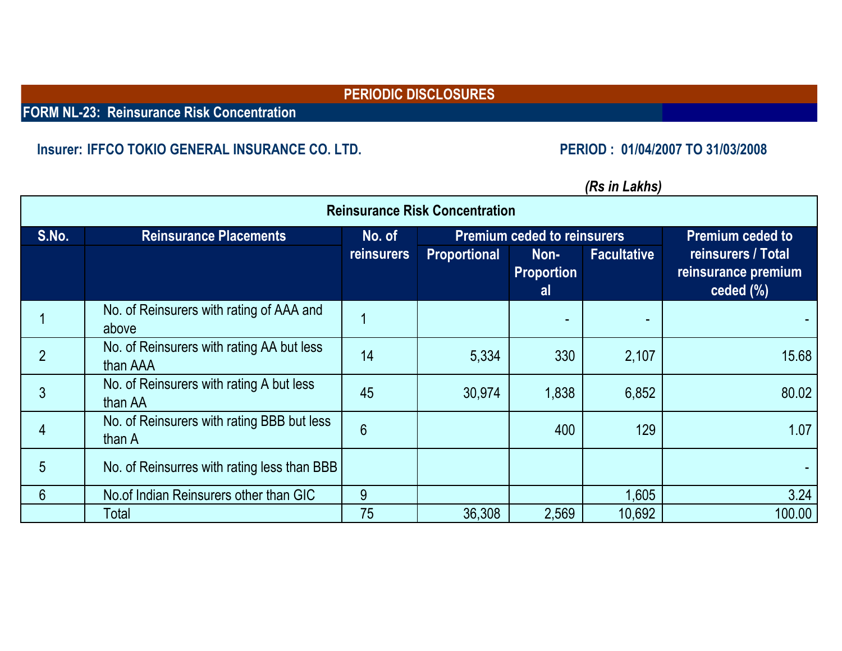**FORM NL-23: Reinsurance Risk Concentration**

#### **Insurer: IFFCO TOKIO GENERAL INSURANCE CO. LTD. PERIOD : 01/04/2007 TO 31/03/2008**

| <b>Reinsurance Risk Concentration</b> |                                                       |                   |                     |                                    |                    |                                                         |  |  |  |  |  |
|---------------------------------------|-------------------------------------------------------|-------------------|---------------------|------------------------------------|--------------------|---------------------------------------------------------|--|--|--|--|--|
| S.No.                                 | <b>Reinsurance Placements</b>                         | No. of            |                     | <b>Premium ceded to reinsurers</b> |                    | <b>Premium ceded to</b>                                 |  |  |  |  |  |
|                                       |                                                       | <b>reinsurers</b> | <b>Proportional</b> | Non-<br><b>Proportion</b><br>al    | <b>Facultative</b> | reinsurers / Total<br>reinsurance premium<br>$ceil($ %) |  |  |  |  |  |
|                                       | No. of Reinsurers with rating of AAA and<br>above     |                   |                     |                                    |                    |                                                         |  |  |  |  |  |
|                                       | No. of Reinsurers with rating AA but less<br>than AAA | 14                | 5,334               | 330                                | 2,107              | 15.68                                                   |  |  |  |  |  |
|                                       | No. of Reinsurers with rating A but less<br>than AA   | 45                | 30,974              | 1,838                              | 6,852              | 80.02                                                   |  |  |  |  |  |
|                                       | No. of Reinsurers with rating BBB but less<br>than A  | $6\phantom{1}$    |                     | 400                                | 129                | 1.07                                                    |  |  |  |  |  |
| 5                                     | No. of Reinsurres with rating less than BBB           |                   |                     |                                    |                    |                                                         |  |  |  |  |  |
| 6                                     | No.of Indian Reinsurers other than GIC                | 9                 |                     |                                    | 1,605              | 3.24                                                    |  |  |  |  |  |
|                                       | Total                                                 | 75                | 36,308              | 2,569                              | 10.692             | 100.00                                                  |  |  |  |  |  |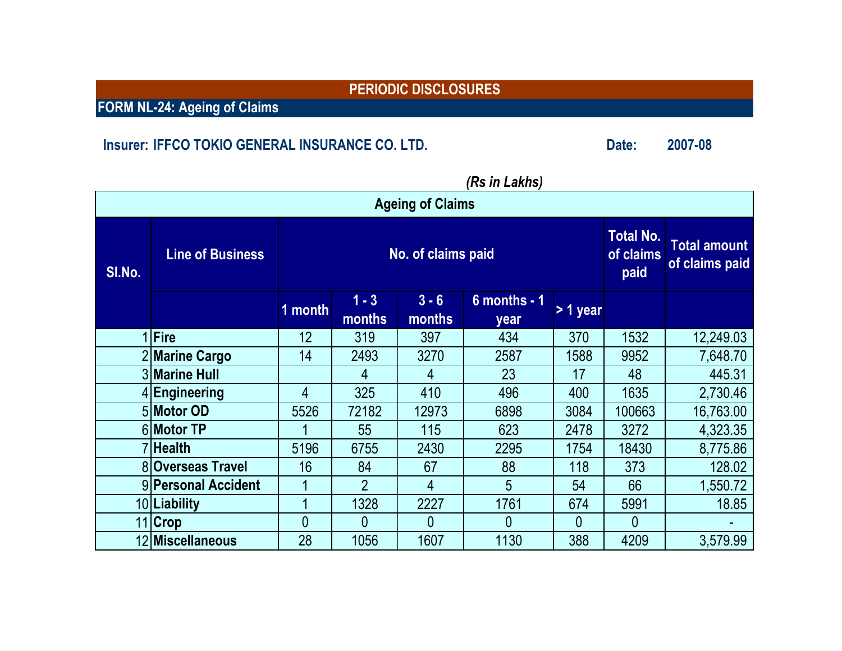**FORM NL-24: Ageing of Claims**

# **Insurer:** IFFCO TOKIO GENERAL INSURANCE CO. LTD. **Date:** 2007-08

|        | nə ili Lanlıəl          |                |                    |                   |                                       |                                       |        |           |  |  |  |  |  |
|--------|-------------------------|----------------|--------------------|-------------------|---------------------------------------|---------------------------------------|--------|-----------|--|--|--|--|--|
|        | <b>Ageing of Claims</b> |                |                    |                   |                                       |                                       |        |           |  |  |  |  |  |
| SI.No. | <b>Line of Business</b> |                | No. of claims paid |                   | <b>Total No.</b><br>of claims<br>paid | <b>Total amount</b><br>of claims paid |        |           |  |  |  |  |  |
|        |                         | 1 month        | $1 - 3$<br>months  | $3 - 6$<br>months | $6$ months - 1<br>year                | > 1 year                              |        |           |  |  |  |  |  |
|        | 1 Fire                  | 12             | 319                | 397               | 434                                   | 370                                   | 1532   | 12,249.03 |  |  |  |  |  |
|        | 2 Marine Cargo          | 14             | 2493               | 3270              | 2587                                  | 1588                                  | 9952   | 7,648.70  |  |  |  |  |  |
|        | 3 Marine Hull           |                | 4                  | 4                 | 23                                    | 17                                    | 48     | 445.31    |  |  |  |  |  |
|        | 4 Engineering           | 4              | 325                | 410               | 496                                   | 400                                   | 1635   | 2,730.46  |  |  |  |  |  |
|        | 5 Motor OD              | 5526           | 72182              | 12973             | 6898                                  | 3084                                  | 100663 | 16,763.00 |  |  |  |  |  |
|        | 6 Motor TP              |                | 55                 | 115               | 623                                   | 2478                                  | 3272   | 4,323.35  |  |  |  |  |  |
|        | 7 Health                | 5196           | 6755               | 2430              | 2295                                  | 1754                                  | 18430  | 8,775.86  |  |  |  |  |  |
|        | 8 Overseas Travel       | 16             | 84                 | 67                | 88                                    | 118                                   | 373    | 128.02    |  |  |  |  |  |
|        | 9 Personal Accident     |                | $\overline{2}$     | 4                 | 5                                     | 54                                    | 66     | 1,550.72  |  |  |  |  |  |
|        | 10 Liability            |                | 1328               | 2227              | 1761                                  | 674                                   | 5991   | 18.85     |  |  |  |  |  |
|        | 11 Crop                 | $\overline{0}$ | $\overline{0}$     | $\overline{0}$    | $\overline{0}$                        | $\mathbf{0}$                          | 0      |           |  |  |  |  |  |
|        | 12 Miscellaneous        | 28             | 1056               | 1607              | 1130                                  | 388                                   | 4209   | 3,579.99  |  |  |  |  |  |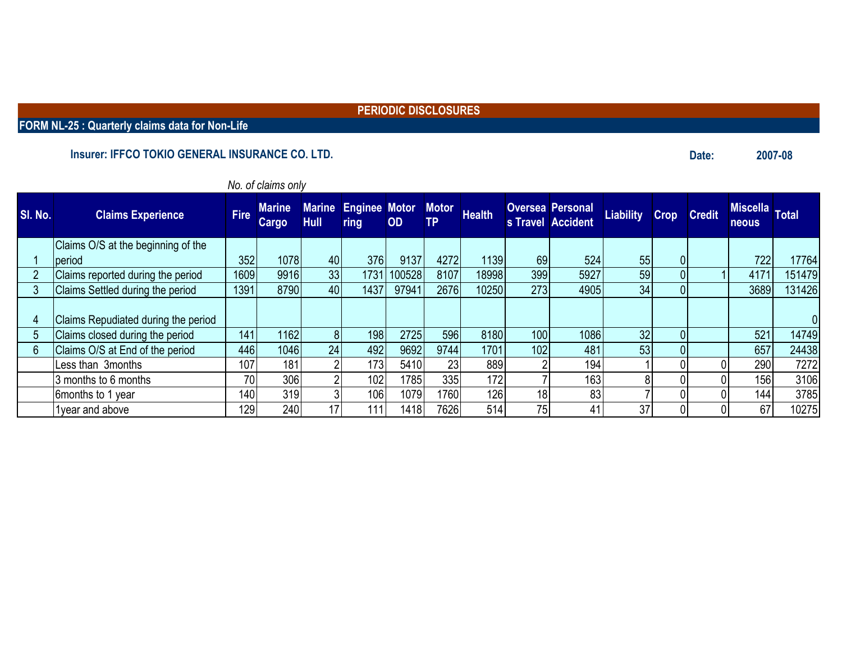**FORM NL-25 : Quarterly claims data for Non-Life**

#### **Insurer: IFFCO TOKIO GENERAL INSURANCE CO. LTD. 2007-08**

|                |                                     |             | <i>INO. OF CRITIS OFFIY</i> |                              |                              |           |                           |               |                 |                                              |                  |             |               |                                 |        |
|----------------|-------------------------------------|-------------|-----------------------------|------------------------------|------------------------------|-----------|---------------------------|---------------|-----------------|----------------------------------------------|------------------|-------------|---------------|---------------------------------|--------|
| <b>SI. No.</b> | <b>Claims Experience</b>            | <b>Fire</b> | <b>Marine</b><br>Cargo      | <b>Marine</b><br><b>Hull</b> | <b>Enginee Motor</b><br>ring | <b>OD</b> | <b>Motor</b><br><b>TP</b> | <b>Health</b> |                 | <b>Oversea Personal</b><br>s Travel Accident | <b>Liability</b> | <b>Crop</b> | <b>Credit</b> | <b>Miscella</b><br><b>neous</b> | Total  |
|                | Claims O/S at the beginning of the  |             |                             |                              |                              |           |                           |               |                 |                                              |                  |             |               |                                 |        |
|                | period                              | 352         | 1078                        | 40                           | 376                          | 9137      | 4272                      | 1139          | 69              | 524                                          | 55               | 01          |               | 722                             | 17764  |
| $\overline{2}$ | Claims reported during the period   | 1609        | 9916                        | 33                           | 1731                         | 100528    | 8107                      | 18998         | 399             | 5927                                         | 59               | 0           |               | 4171                            | 151479 |
| 3              | Claims Settled during the period    | 1391        | 8790                        | 40                           | 1437                         | 97941     | 2676                      | 10250         | 273             | 4905                                         | 34               |             |               | 3689                            | 131426 |
| 4              | Claims Repudiated during the period |             |                             |                              |                              |           |                           |               |                 |                                              |                  |             |               |                                 |        |
| 5              | Claims closed during the period     | 141         | 1162                        | 81                           | 198                          | 2725      | 596                       | 8180          | 100             | 1086                                         | 32               |             |               | 521                             | 14749  |
| $6\phantom{1}$ | Claims O/S at End of the period     | 446         | 1046                        | 24                           | 492                          | 9692      | 9744                      | 1701          | 102             | 481                                          | 53               |             |               | 657                             | 24438  |
|                | Less than 3months                   | 107         | 181                         |                              | 173                          | 5410      | 23                        | 889           |                 | 194 <sub>1</sub>                             |                  |             |               | 290                             | 7272   |
|                | 3 months to 6 months                | 70          | 306                         |                              | 102                          | 1785      | 335                       | 172           |                 | 163 <sub>1</sub>                             |                  |             |               | 156                             | 3106   |
|                | 6months to 1 year                   | 140         | 319                         |                              | 106                          | 1079      | 1760                      | 126           | 18              | 83                                           |                  |             |               | 144                             | 3785   |
|                | 1year and above                     | 129         | 240                         | 17                           | 111                          | 1418      | 7626                      | 514           | 75 <sub>1</sub> | 41                                           | 37               |             |               | 67                              | 10275  |

#### *No. of claims only*

**Date:**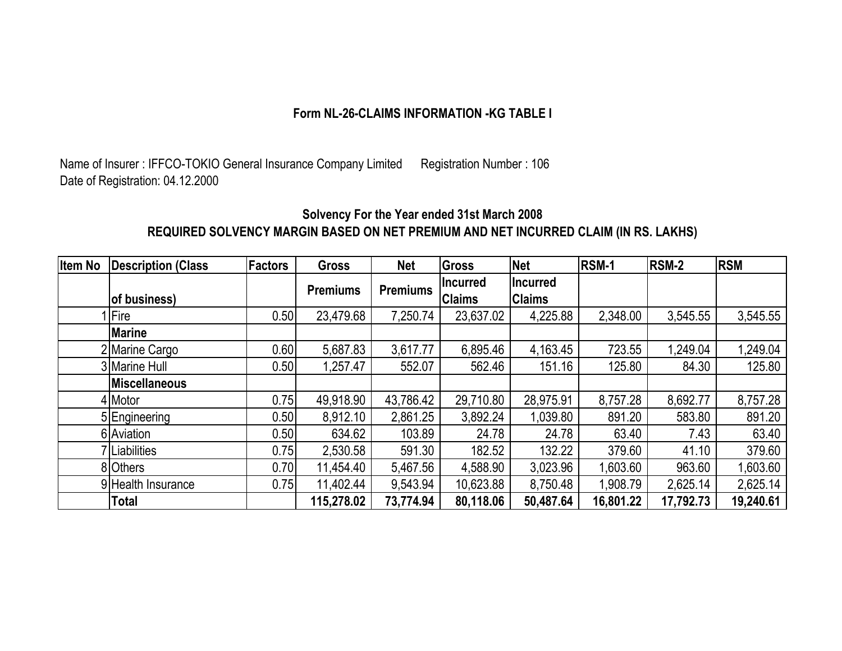#### **Form NL-26-CLAIMS INFORMATION -KG TABLE I**

Name of Insurer : IFFCO-TOKIO General Insurance Company Limited Registration Number : 106 Date of Registration: 04.12.2000

### **Solvency For the Year ended 31st March 2008 REQUIRED SOLVENCY MARGIN BASED ON NET PREMIUM AND NET INCURRED CLAIM (IN RS. LAKHS)**

| <b>Item No</b> | <b>Description (Class</b> | <b>Factors</b> | <b>Gross</b>    | <b>Net</b>      | <b>Gross</b>    | <b>Net</b>      | RSM-1     | <b>RSM-2</b> | <b>RSM</b> |
|----------------|---------------------------|----------------|-----------------|-----------------|-----------------|-----------------|-----------|--------------|------------|
|                |                           |                | <b>Premiums</b> | <b>Premiums</b> | <b>Incurred</b> | <b>Incurred</b> |           |              |            |
|                | of business)              |                |                 |                 | <b>Claims</b>   | <b>Claims</b>   |           |              |            |
|                | l Fire                    | 0.50           | 23,479.68       | 7,250.74        | 23,637.02       | 4,225.88        | 2,348.00  | 3,545.55     | 3,545.55   |
|                | <b>Marine</b>             |                |                 |                 |                 |                 |           |              |            |
|                | 2 Marine Cargo            | 0.60           | 5,687.83        | 3,617.77        | 6,895.46        | 4,163.45        | 723.55    | 1,249.04     | 1,249.04   |
|                | 3 Marine Hull             | 0.50           | 1,257.47        | 552.07          | 562.46          | 151.16          | 125.80    | 84.30        | 125.80     |
|                | <b>Miscellaneous</b>      |                |                 |                 |                 |                 |           |              |            |
|                | 4 Motor                   | 0.75           | 49,918.90       | 43,786.42       | 29,710.80       | 28,975.91       | 8,757.28  | 8,692.77     | 8,757.28   |
|                | 5 Engineering             | 0.50           | 8,912.10        | 2,861.25        | 3,892.24        | 1,039.80        | 891.20    | 583.80       | 891.20     |
|                | 6 Aviation                | 0.50           | 634.62          | 103.89          | 24.78           | 24.78           | 63.40     | 7.43         | 63.40      |
|                | 'Liabilities              | 0.75           | 2,530.58        | 591.30          | 182.52          | 132.22          | 379.60    | 41.10        | 379.60     |
|                | 8 Others                  | 0.70           | 11,454.40       | 5,467.56        | 4,588.90        | 3,023.96        | 1,603.60  | 963.60       | 1,603.60   |
|                | 9 Health Insurance        | 0.75           | 11,402.44       | 9,543.94        | 10,623.88       | 8,750.48        | 1,908.79  | 2,625.14     | 2,625.14   |
|                | <b>Total</b>              |                | 115,278.02      | 73,774.94       | 80,118.06       | 50,487.64       | 16,801.22 | 17,792.73    | 19,240.61  |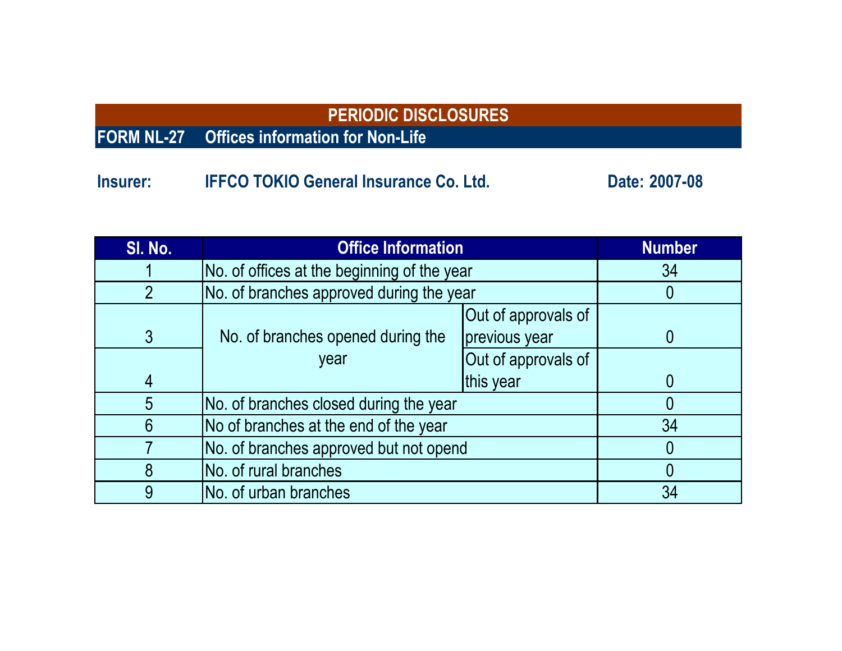# **FORM NL-27 Offices information for Non-Life**

**Insurer: Co. Ltd.** IFFCO TOKIO General Insurance Co. Ltd. Co. 2007-08

| SI. No.        | <b>Office Information</b>                   | <b>Number</b>                        |    |  |  |  |
|----------------|---------------------------------------------|--------------------------------------|----|--|--|--|
|                | No. of offices at the beginning of the year |                                      | 34 |  |  |  |
| $\overline{2}$ | No. of branches approved during the year    |                                      |    |  |  |  |
| $\mathfrak{Z}$ | No. of branches opened during the           | Out of approvals of<br>previous year |    |  |  |  |
|                | year                                        | Out of approvals of                  |    |  |  |  |
| 4              |                                             | this year                            |    |  |  |  |
| 5              | No. of branches closed during the year      |                                      |    |  |  |  |
| 6              | No of branches at the end of the year       |                                      | 34 |  |  |  |
|                | No. of branches approved but not opend      |                                      |    |  |  |  |
| 8              | No. of rural branches                       |                                      |    |  |  |  |
| 9              | No. of urban branches                       |                                      | 34 |  |  |  |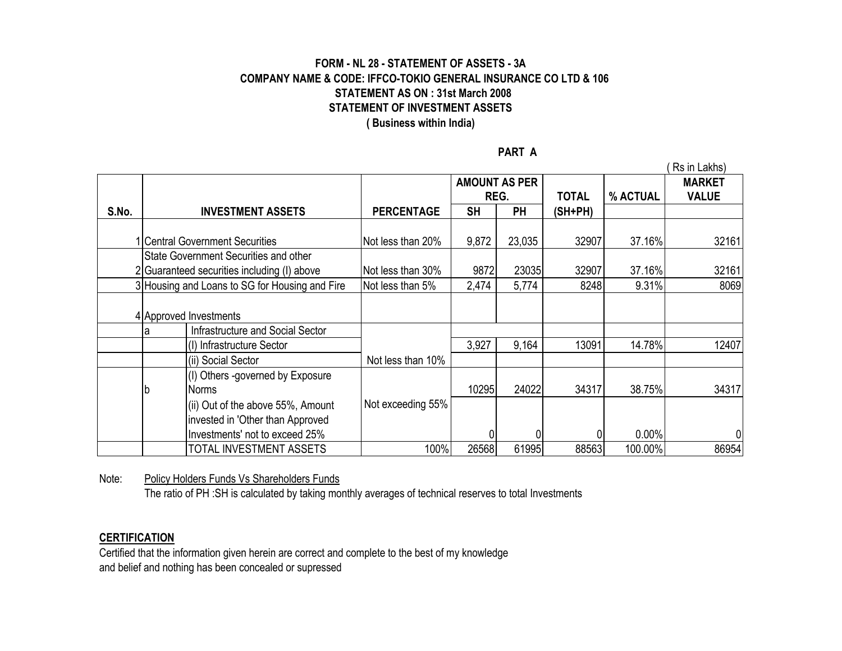#### **FORM - NL 28 - STATEMENT OF ASSETS - 3A COMPANY NAME & CODE: IFFCO-TOKIO GENERAL INSURANCE CO LTD & 106 STATEMENT AS ON : 31st March 2008 STATEMENT OF INVESTMENT ASSETS ( Business within India)**

**PART A**

|       |   |                                                |                   |                      |           |         |          | Rs in Lakhs)  |
|-------|---|------------------------------------------------|-------------------|----------------------|-----------|---------|----------|---------------|
|       |   |                                                |                   | <b>AMOUNT AS PER</b> |           |         |          | <b>MARKET</b> |
|       |   |                                                |                   |                      | REG.      |         | % ACTUAL | <b>VALUE</b>  |
| S.No. |   | <b>INVESTMENT ASSETS</b>                       | <b>PERCENTAGE</b> | <b>SH</b>            | <b>PH</b> | (SH+PH) |          |               |
|       |   |                                                |                   |                      |           |         |          |               |
|       |   | 1 Central Government Securities                | Not less than 20% | 9,872                | 23,035    | 32907   | 37.16%   | 32161         |
|       |   | State Government Securities and other          |                   |                      |           |         |          |               |
|       |   | 2 Guaranteed securities including (I) above    | Not less than 30% | 9872                 | 23035     | 32907   | 37.16%   | 32161         |
|       |   | 3 Housing and Loans to SG for Housing and Fire | Not less than 5%  | 2,474                | 5,774     | 8248    | 9.31%    | 8069          |
|       |   |                                                |                   |                      |           |         |          |               |
|       |   | 4 Approved Investments                         |                   |                      |           |         |          |               |
|       | а | Infrastructure and Social Sector               |                   |                      |           |         |          |               |
|       |   | (I) Infrastructure Sector                      |                   | 3,927                | 9,164     | 13091   | 14.78%   | 12407         |
|       |   | (ii) Social Sector                             | Not less than 10% |                      |           |         |          |               |
|       |   | (I) Others -governed by Exposure               |                   |                      |           |         |          |               |
|       | b | Norms                                          |                   | 10295                | 24022     | 34317   | 38.75%   | 34317         |
|       |   | (ii) Out of the above 55%, Amount              | Not exceeding 55% |                      |           |         |          |               |
|       |   | invested in 'Other than Approved               |                   |                      |           |         |          |               |
|       |   | Investments' not to exceed 25%                 |                   |                      |           |         | 0.00%    | 0             |
|       |   | TOTAL INVESTMENT ASSETS                        | 100%              | 26568                | 61995     | 88563   | 100.00%  | 86954         |

Note: Policy Holders Funds Vs Shareholders Funds

The ratio of PH :SH is calculated by taking monthly averages of technical reserves to total Investments

#### **CERTIFICATION**

Certified that the information given herein are correct and complete to the best of my knowledge and belief and nothing has been concealed or supressed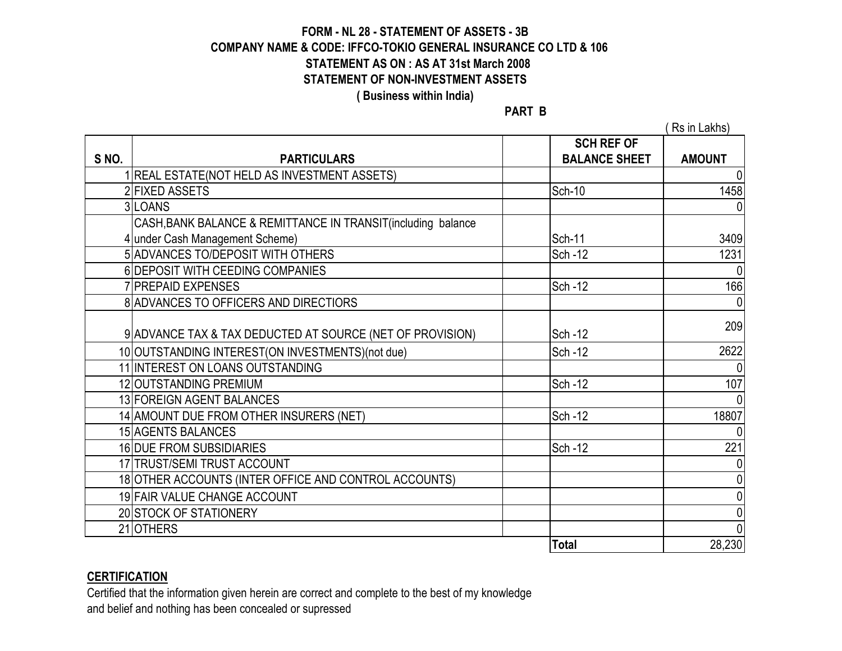#### **FORM - NL 28 - STATEMENT OF ASSETS - 3B COMPANY NAME & CODE: IFFCO-TOKIO GENERAL INSURANCE CO LTD & 106 STATEMENT AS ON : AS AT 31st March 2008 STATEMENT OF NON-INVESTMENT ASSETS ( Business within India)**

**PART B**

( Rs in Lakhs)

|      |                                                               | <b>SCH REF OF</b>    |               |
|------|---------------------------------------------------------------|----------------------|---------------|
| SNO. | <b>PARTICULARS</b>                                            | <b>BALANCE SHEET</b> | <b>AMOUNT</b> |
|      | REAL ESTATE(NOT HELD AS INVESTMENT ASSETS)                    |                      | 0             |
|      | 2 FIXED ASSETS                                                | Sch-10               | 1458          |
|      | 3LOANS                                                        |                      |               |
|      | CASH, BANK BALANCE & REMITTANCE IN TRANSIT (including balance |                      |               |
|      | 4 under Cash Management Scheme)                               | <b>Sch-11</b>        | 3409          |
|      | 5 ADVANCES TO/DEPOSIT WITH OTHERS                             | <b>Sch-12</b>        | 1231          |
|      | 6 DEPOSIT WITH CEEDING COMPANIES                              |                      | $\Omega$      |
|      | 7 PREPAID EXPENSES                                            | Sch-12               | 166           |
|      | 8 ADVANCES TO OFFICERS AND DIRECTIORS                         |                      |               |
|      |                                                               |                      |               |
|      | 9 ADVANCE TAX & TAX DEDUCTED AT SOURCE (NET OF PROVISION)     | Sch-12               | 209           |
|      | 10 OUTSTANDING INTEREST(ON INVESTMENTS) (not due)             | Sch-12               | 2622          |
|      | 11 INTEREST ON LOANS OUTSTANDING                              |                      |               |
|      | 12 OUTSTANDING PREMIUM                                        | Sch-12               | 107           |
|      | 13 FOREIGN AGENT BALANCES                                     |                      |               |
|      | 14 AMOUNT DUE FROM OTHER INSURERS (NET)                       | Sch-12               | 18807         |
|      | 15 AGENTS BALANCES                                            |                      |               |
|      | 16 DUE FROM SUBSIDIARIES                                      | Sch-12               | 221           |
|      | 17 TRUST/SEMI TRUST ACCOUNT                                   |                      |               |
|      | 18 OTHER ACCOUNTS (INTER OFFICE AND CONTROL ACCOUNTS)         |                      |               |
|      | 19 FAIR VALUE CHANGE ACCOUNT                                  |                      |               |
|      | 20 STOCK OF STATIONERY                                        |                      |               |
|      | 21OTHERS                                                      |                      | $\Omega$      |
|      |                                                               | <b>Total</b>         | 28,230        |

#### **CERTIFICATION**

Certified that the information given herein are correct and complete to the best of my knowledge and belief and nothing has been concealed or supressed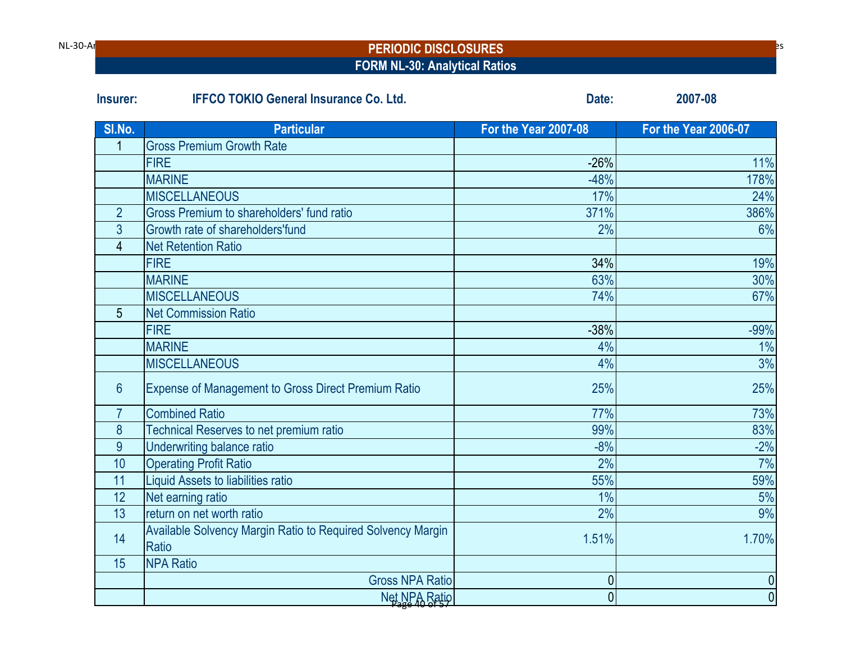| NL-30-Ar |
|----------|
|----------|

#### NL-30-Ana Rat IRDA Periodic Disclosures **PERIODIC DISCLOSURES FORM NL-30: Analytical Ratios**

| Insurer:        | <b>IFFCO TOKIO General Insurance Co. Ltd.</b>                        | Date:                       | 2007-08                     |
|-----------------|----------------------------------------------------------------------|-----------------------------|-----------------------------|
| SI.No.          | <b>Particular</b>                                                    | <b>For the Year 2007-08</b> | <b>For the Year 2006-07</b> |
|                 | <b>Gross Premium Growth Rate</b>                                     |                             |                             |
|                 | <b>FIRE</b>                                                          | $-26%$                      | 11%                         |
|                 | <b>MARINE</b>                                                        | $-48%$                      | 178%                        |
|                 | <b>MISCELLANEOUS</b>                                                 | 17%                         | 24%                         |
| $\overline{2}$  | Gross Premium to shareholders' fund ratio                            | 371%                        | 386%                        |
| $\overline{3}$  | Growth rate of shareholders'fund                                     | 2%                          | 6%                          |
| 4               | <b>Net Retention Ratio</b>                                           |                             |                             |
|                 | <b>FIRE</b>                                                          | 34%                         | 19%                         |
|                 | <b>MARINE</b>                                                        | 63%                         | 30%                         |
|                 | <b>MISCELLANEOUS</b>                                                 | 74%                         | 67%                         |
| 5               | <b>Net Commission Ratio</b>                                          |                             |                             |
|                 | <b>FIRE</b>                                                          | $-38%$                      | $-99%$                      |
|                 | <b>MARINE</b>                                                        | 4%                          | 1%                          |
|                 | <b>MISCELLANEOUS</b>                                                 | 4%                          | 3%                          |
| $6\overline{6}$ | <b>Expense of Management to Gross Direct Premium Ratio</b>           | 25%                         | 25%                         |
| $\overline{7}$  | <b>Combined Ratio</b>                                                | 77%                         | 73%                         |
| 8               | Technical Reserves to net premium ratio                              | 99%                         | 83%                         |
| 9               | Underwriting balance ratio                                           | $-8%$                       | $-2%$                       |
| 10              | <b>Operating Profit Ratio</b>                                        | 2%                          | 7%                          |
| 11              | Liquid Assets to liabilities ratio                                   | 55%                         | 59%                         |
| 12              | Net earning ratio                                                    | 1%                          | 5%                          |
| 13              | return on net worth ratio                                            | 2%                          | 9%                          |
| 14              | Available Solvency Margin Ratio to Required Solvency Margin<br>Ratio | 1.51%                       | 1.70%                       |
| 15              | <b>NPA Ratio</b>                                                     |                             |                             |
|                 | <b>Gross NPA Ratio</b>                                               | 0                           | $\pmb{0}$                   |
|                 | Net NPA Ratio                                                        | $\overline{0}$              | $\overline{0}$              |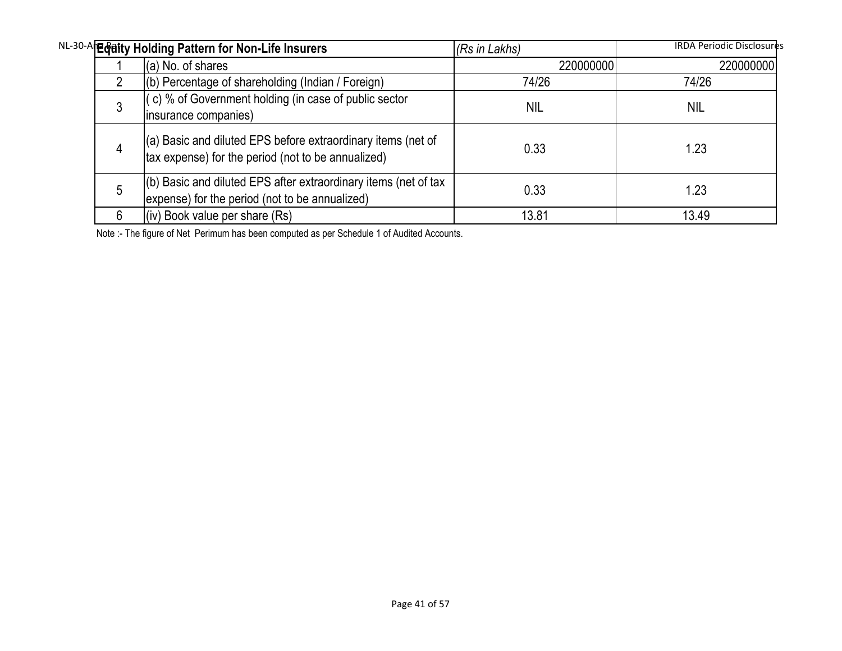|   | NL-30-A Eddity Holding Pattern for Non-Life Insurers                                                               | (Rs in Lakhs) | <b>IRDA Periodic Disclosures</b> |
|---|--------------------------------------------------------------------------------------------------------------------|---------------|----------------------------------|
|   | (a) No. of shares                                                                                                  | 220000000     | 220000000                        |
| 2 | $($ b) Percentage of shareholding (Indian / Foreign)                                                               | 74/26         | 74/26                            |
| 3 | (c) % of Government holding (in case of public sector<br>insurance companies)                                      | <b>NIL</b>    | <b>NIL</b>                       |
| 4 | (a) Basic and diluted EPS before extraordinary items (net of<br>tax expense) for the period (not to be annualized) | 0.33          | 1.23                             |
| 5 | (b) Basic and diluted EPS after extraordinary items (net of tax<br>expense) for the period (not to be annualized)  | 0.33          | 1.23                             |
| 6 | (iv) Book value per share (Rs)                                                                                     | 13.81         | 13.49                            |

Note :- The figure of Net Perimum has been computed as per Schedule 1 of Audited Accounts.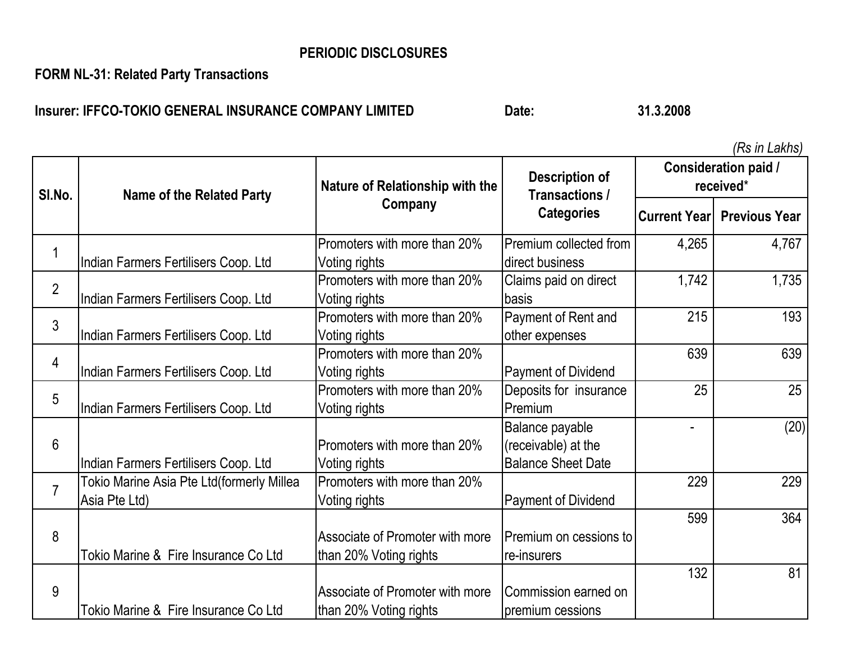**FORM NL-31: Related Party Transactions**

**Insurer: IFFCO-TOKIO GENERAL INSURANCE COMPANY LIMITED Date:** Date: 31.3.2008

| SI.No.         | <b>Name of the Related Party</b>                           | Nature of Relationship with the                           | <b>Description of</b><br>Transactions /                             | Consideration paid /<br>received* |                                   |  |
|----------------|------------------------------------------------------------|-----------------------------------------------------------|---------------------------------------------------------------------|-----------------------------------|-----------------------------------|--|
|                |                                                            | Company                                                   | <b>Categories</b>                                                   |                                   | <b>Current Year Previous Year</b> |  |
| 1              | Indian Farmers Fertilisers Coop. Ltd                       | Promoters with more than 20%<br>Voting rights             | Premium collected from<br>direct business                           | 4,265                             | 4,767                             |  |
| $\overline{2}$ | Indian Farmers Fertilisers Coop. Ltd                       | Promoters with more than 20%<br>Voting rights             | Claims paid on direct<br>basis                                      | 1,742                             | 1,735                             |  |
| 3              | Indian Farmers Fertilisers Coop. Ltd                       | Promoters with more than 20%<br>Voting rights             | Payment of Rent and<br>other expenses                               | 215                               | 193                               |  |
| 4              | Indian Farmers Fertilisers Coop. Ltd                       | Promoters with more than 20%<br>Voting rights             | <b>Payment of Dividend</b>                                          | 639                               | 639                               |  |
| 5              | Indian Farmers Fertilisers Coop. Ltd                       | Promoters with more than 20%<br>Voting rights             | Deposits for insurance<br>Premium                                   | 25                                | 25                                |  |
| 6              | Indian Farmers Fertilisers Coop. Ltd                       | Promoters with more than 20%<br>Voting rights             | Balance payable<br>(receivable) at the<br><b>Balance Sheet Date</b> |                                   | (20)                              |  |
| $\overline{7}$ | Tokio Marine Asia Pte Ltd(formerly Millea<br>Asia Pte Ltd) | Promoters with more than 20%<br>Voting rights             | <b>Payment of Dividend</b>                                          | 229                               | 229                               |  |
| 8              | Tokio Marine & Fire Insurance Co Ltd                       | Associate of Promoter with more<br>than 20% Voting rights | Premium on cessions to<br>re-insurers                               | 599                               | 364                               |  |
| 9              | Tokio Marine & Fire Insurance Co Ltd                       | Associate of Promoter with more<br>than 20% Voting rights | Commission earned on<br>premium cessions                            | 132                               | 81                                |  |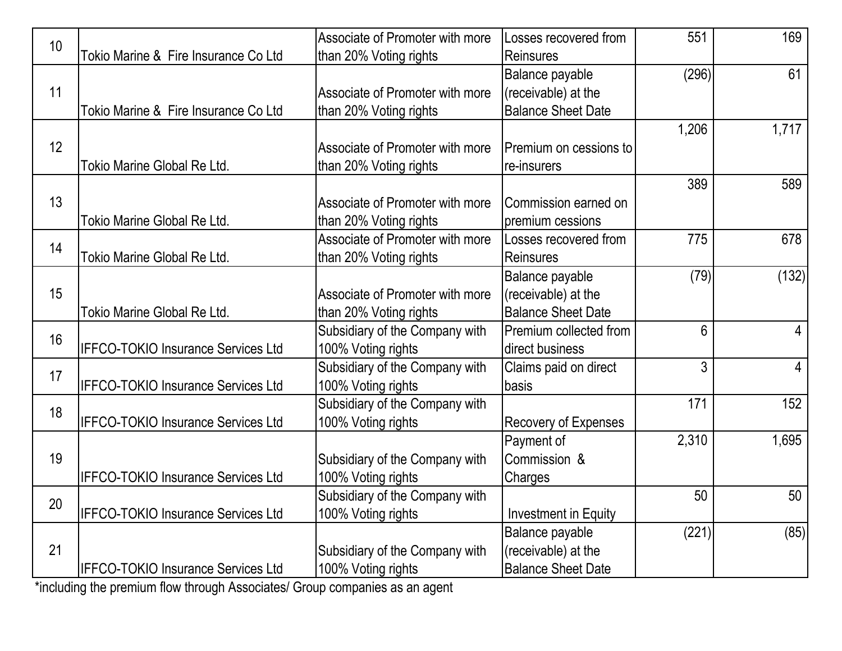| 10 |                                           | Associate of Promoter with more | Losses recovered from       | 551   | 169            |
|----|-------------------------------------------|---------------------------------|-----------------------------|-------|----------------|
|    | Tokio Marine & Fire Insurance Co Ltd      | than 20% Voting rights          | Reinsures                   |       |                |
|    |                                           |                                 | Balance payable             | (296) | 61             |
| 11 |                                           | Associate of Promoter with more | (receivable) at the         |       |                |
|    | Tokio Marine & Fire Insurance Co Ltd      | than 20% Voting rights          | <b>Balance Sheet Date</b>   |       |                |
|    |                                           |                                 |                             | 1,206 | 1,717          |
| 12 |                                           | Associate of Promoter with more | Premium on cessions to      |       |                |
|    | Tokio Marine Global Re Ltd.               | than 20% Voting rights          | re-insurers                 |       |                |
|    |                                           |                                 |                             | 389   | 589            |
| 13 |                                           | Associate of Promoter with more | Commission earned on        |       |                |
|    | Tokio Marine Global Re Ltd.               | than 20% Voting rights          | premium cessions            |       |                |
| 14 |                                           | Associate of Promoter with more | Losses recovered from       | 775   | 678            |
|    | Tokio Marine Global Re Ltd.               | than 20% Voting rights          | <b>Reinsures</b>            |       |                |
|    |                                           |                                 | Balance payable             | (79)  | (132)          |
| 15 |                                           | Associate of Promoter with more | (receivable) at the         |       |                |
|    | Tokio Marine Global Re Ltd.               | than 20% Voting rights          | <b>Balance Sheet Date</b>   |       |                |
|    |                                           | Subsidiary of the Company with  | Premium collected from      | 6     | $\overline{4}$ |
| 16 | <b>IFFCO-TOKIO Insurance Services Ltd</b> | 100% Voting rights              | direct business             |       |                |
|    |                                           | Subsidiary of the Company with  | Claims paid on direct       | 3     | $\overline{4}$ |
| 17 | <b>IFFCO-TOKIO Insurance Services Ltd</b> | 100% Voting rights              | basis                       |       |                |
|    |                                           | Subsidiary of the Company with  |                             | 171   | 152            |
| 18 | <b>IFFCO-TOKIO Insurance Services Ltd</b> | 100% Voting rights              | <b>Recovery of Expenses</b> |       |                |
|    |                                           |                                 | Payment of                  | 2,310 | 1,695          |
| 19 |                                           | Subsidiary of the Company with  | Commission &                |       |                |
|    | <b>IFFCO-TOKIO Insurance Services Ltd</b> | 100% Voting rights              | Charges                     |       |                |
|    |                                           | Subsidiary of the Company with  |                             | 50    | 50             |
| 20 | <b>IFFCO-TOKIO Insurance Services Ltd</b> | 100% Voting rights              | Investment in Equity        |       |                |
|    |                                           |                                 | Balance payable             | (221) | (85)           |
| 21 |                                           | Subsidiary of the Company with  | (receivable) at the         |       |                |
|    | <b>IFFCO-TOKIO Insurance Services Ltd</b> | 100% Voting rights              | <b>Balance Sheet Date</b>   |       |                |

\*including the premium flow through Associates/ Group companies as an agent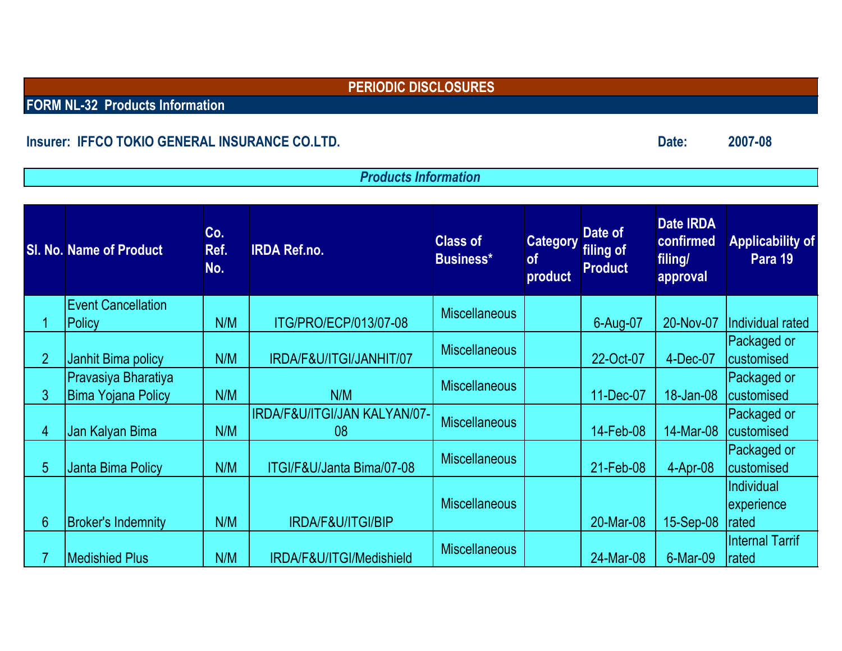**FORM NL-32 Products Information**

# **Insurer: IFFCO TOKIO GENERAL INSURANCE CO.LTD.**

*Products Information*

|                | <b>SI. No. Name of Product</b>                     | Co.<br>Ref.<br>No. | <b>IRDA Ref.no.</b>                           | <b>Class of</b><br>Business* | <b>Category</b><br><b>of</b><br>product | Date of<br>filing of<br><b>Product</b> | <b>Date IRDA</b><br>confirmed<br>filing/<br>approval | <b>Applicability of</b><br>Para 19       |
|----------------|----------------------------------------------------|--------------------|-----------------------------------------------|------------------------------|-----------------------------------------|----------------------------------------|------------------------------------------------------|------------------------------------------|
|                | <b>Event Cancellation</b><br>Policy                | N/M                | ITG/PRO/ECP/013/07-08                         | <b>Miscellaneous</b>         |                                         | 6-Aug-07                               | 20-Nov-07                                            | Individual rated                         |
| $\overline{2}$ | Janhit Bima policy                                 | N/M                | IRDA/F&U/ITGI/JANHIT/07                       | <b>Miscellaneous</b>         |                                         | 22-Oct-07                              | 4-Dec-07                                             | Packaged or<br>customised                |
| 3 <sup>1</sup> | Pravasiya Bharatiya<br><b>Bima Yojana Policy</b>   | N/M                | N/M                                           | <b>Miscellaneous</b>         |                                         | 11-Dec-07                              | 18-Jan-08                                            | Packaged or<br>customised                |
| 4              | Jan Kalyan Bima                                    | N/M                | IRDA/F&U/ITGI/JAN KALYAN/07-<br>08            | <b>Miscellaneous</b>         |                                         | 14-Feb-08                              | 14-Mar-08                                            | Packaged or<br>customised                |
| 5              | Janta Bima Policy                                  | N/M                | ITGI/F&U/Janta Bima/07-08                     | <b>Miscellaneous</b>         |                                         | 21-Feb-08                              | $4-Apr-08$                                           | Packaged or<br>customised                |
|                |                                                    |                    |                                               | <b>Miscellaneous</b>         |                                         |                                        |                                                      | Individual<br>experience                 |
| 6 <sup>°</sup> | <b>Broker's Indemnity</b><br><b>Medishied Plus</b> | N/M<br>N/M         | IRDA/F&U/ITGI/BIP<br>IRDA/F&U/ITGI/Medishield | <b>Miscellaneous</b>         |                                         | 20-Mar-08<br>24-Mar-08                 | 15-Sep-08<br>6-Mar-09                                | rated<br>Internal Tarrif<br><b>rated</b> |

**Date: 2007-08**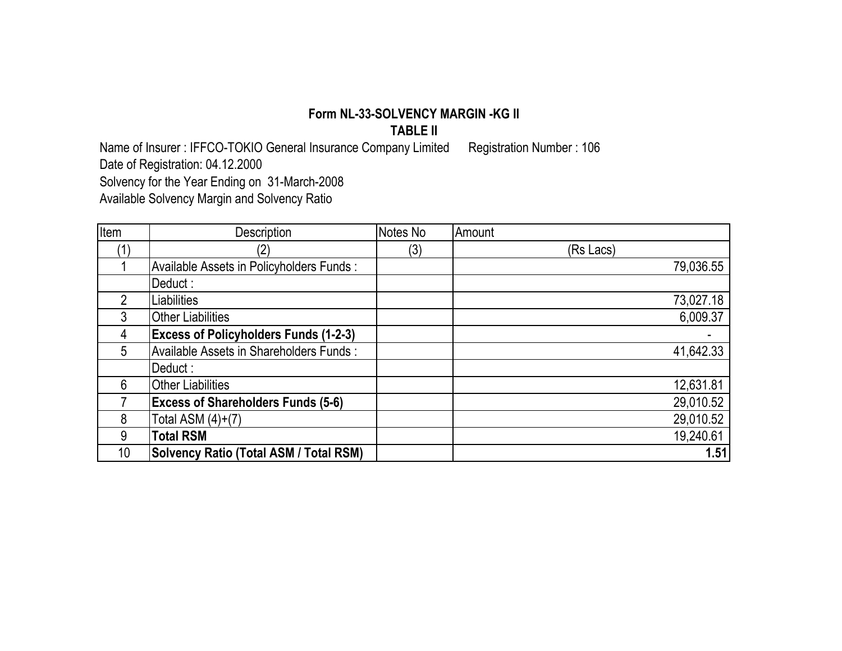#### **Form NL-33-SOLVENCY MARGIN -KG II TABLE II**

Name of Insurer : IFFCO-TOKIO General Insurance Company Limited Registration Number : 106

Date of Registration: 04.12.2000

Solvency for the Year Ending on 31-March-2008

Available Solvency Margin and Solvency Ratio

| Item           | Description                                   | Notes No | Amount    |
|----------------|-----------------------------------------------|----------|-----------|
|                |                                               | (3)      | (Rs Lacs) |
|                | Available Assets in Policyholders Funds:      |          | 79,036.55 |
|                | Deduct :                                      |          |           |
| $\overline{2}$ | <i>iabilities</i>                             |          | 73,027.18 |
| 3              | <b>Other Liabilities</b>                      |          | 6,009.37  |
| 4              | <b>Excess of Policyholders Funds (1-2-3)</b>  |          |           |
| 5              | Available Assets in Shareholders Funds:       |          | 41,642.33 |
|                | Deduct:                                       |          |           |
| 6              | <b>Other Liabilities</b>                      |          | 12,631.81 |
|                | <b>Excess of Shareholders Funds (5-6)</b>     |          | 29,010.52 |
| 8              | Total ASM $(4)+(7)$                           |          | 29,010.52 |
| 9              | <b>Total RSM</b>                              |          | 19,240.61 |
| 10             | <b>Solvency Ratio (Total ASM / Total RSM)</b> |          | 1.51      |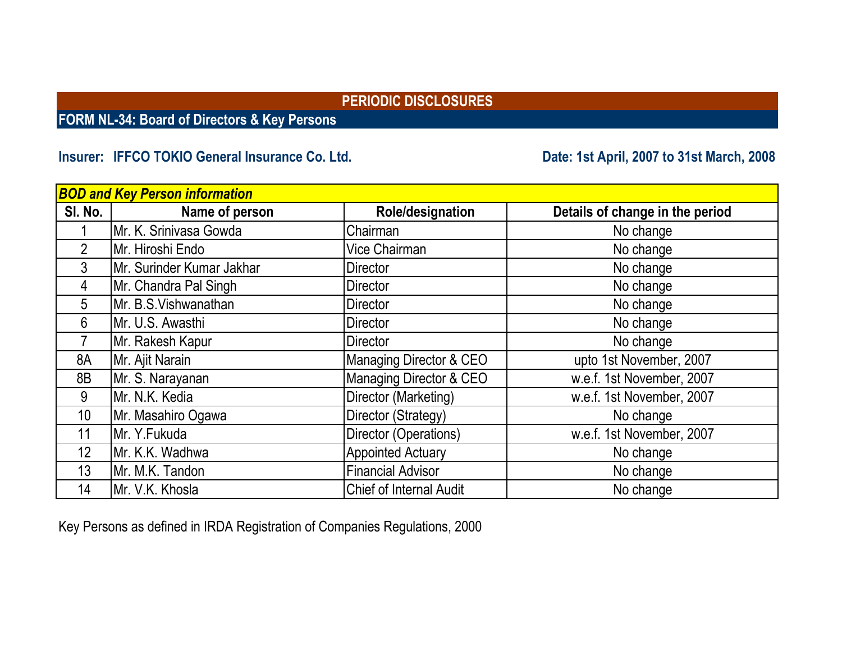**FORM NL-34: Board of Directors & Key Persons**

# **Insurer: IFFCO TOKIO General Insurance Co. Ltd.**

**Date: 1st April, 2007 to 31st March, 2008**

|                | <b>BOD and Key Person information</b> |                                |                                 |  |  |  |  |  |  |
|----------------|---------------------------------------|--------------------------------|---------------------------------|--|--|--|--|--|--|
| SI. No.        | Name of person                        | Role/designation               | Details of change in the period |  |  |  |  |  |  |
|                | Mr. K. Srinivasa Gowda                | Chairman                       | No change                       |  |  |  |  |  |  |
| $\overline{2}$ | Mr. Hiroshi Endo                      | Vice Chairman                  | No change                       |  |  |  |  |  |  |
| $\mathfrak{Z}$ | Mr. Surinder Kumar Jakhar             | <b>Director</b>                | No change                       |  |  |  |  |  |  |
| 4              | Mr. Chandra Pal Singh                 | <b>Director</b>                | No change                       |  |  |  |  |  |  |
| 5              | Mr. B.S.Vishwanathan                  | <b>Director</b>                | No change                       |  |  |  |  |  |  |
| 6              | Mr. U.S. Awasthi                      | <b>Director</b>                | No change                       |  |  |  |  |  |  |
|                | Mr. Rakesh Kapur                      | <b>Director</b>                | No change                       |  |  |  |  |  |  |
| 8A             | Mr. Ajit Narain                       | Managing Director & CEO        | upto 1st November, 2007         |  |  |  |  |  |  |
| 8B             | Mr. S. Narayanan                      | Managing Director & CEO        | w.e.f. 1st November, 2007       |  |  |  |  |  |  |
| 9              | Mr. N.K. Kedia                        | Director (Marketing)           | w.e.f. 1st November, 2007       |  |  |  |  |  |  |
| 10             | Mr. Masahiro Ogawa                    | Director (Strategy)            | No change                       |  |  |  |  |  |  |
| 11             | Mr. Y.Fukuda                          | Director (Operations)          | w.e.f. 1st November, 2007       |  |  |  |  |  |  |
| 12             | Mr. K.K. Wadhwa                       | <b>Appointed Actuary</b>       | No change                       |  |  |  |  |  |  |
| 13             | Mr. M.K. Tandon                       | <b>Financial Advisor</b>       | No change                       |  |  |  |  |  |  |
| 14             | Mr. V.K. Khosla                       | <b>Chief of Internal Audit</b> | No change                       |  |  |  |  |  |  |

Key Persons as defined in IRDA Registration of Companies Regulations, 2000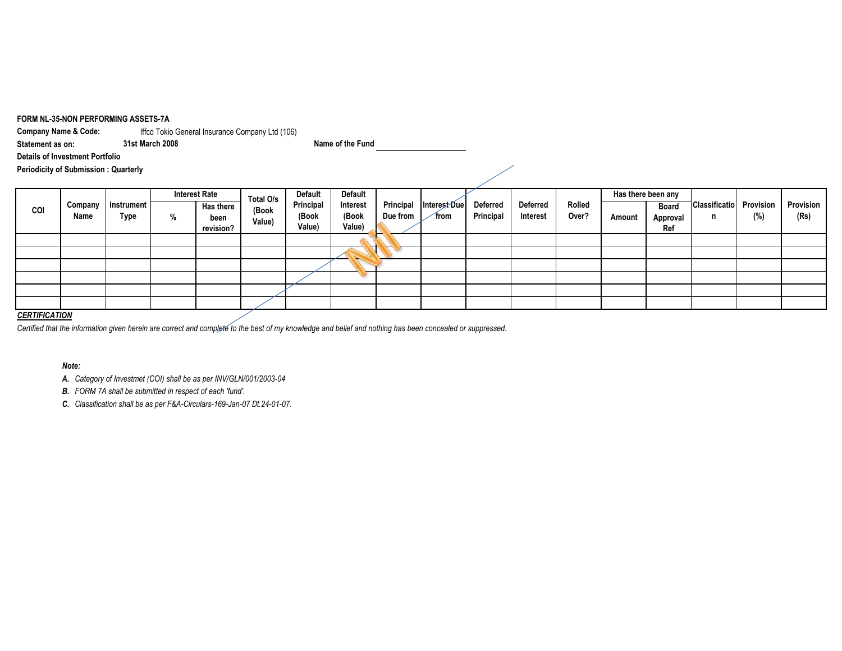#### **FORM NL-35-NON PERFORMING ASSETS-7A**

**Company Name & Code:** Iffco Tokio General Insurance Company Ltd (106)

**Statement as on:**

**Details of Investment Portfolio**

**31st March 2008 Name of the Fund**

**Periodicity of Submission : Quarterly**

|     |                 |                           |  | <b>Interest Rate</b> | Total O/s         | Default            | <b>Default</b>    |                       |                      |                              |                             |                 |  | Has there been any |                           |                  |                   |  |
|-----|-----------------|---------------------------|--|----------------------|-------------------|--------------------|-------------------|-----------------------|----------------------|------------------------------|-----------------------------|-----------------|--|--------------------|---------------------------|------------------|-------------------|--|
| COI | Company<br>Name | Instrument<br><b>Type</b> |  | <b>Has there</b>     | (Book             | Principal<br>(Book | Interest<br>(Book | Principal<br>Due from | Interest Due<br>from | <b>Deferred</b><br>Principal | <b>Deferred</b><br>Interest | Rolled<br>Over? |  | <b>Board</b>       | <b>Classificatio</b><br>n | Provision<br>(%) | Provision<br>(Rs) |  |
|     |                 |                           |  | %                    | been<br>revision? | Value)             | Value)            | Value)                |                      |                              |                             |                 |  | Amount             | Approval<br>Ref           |                  |                   |  |
|     |                 |                           |  |                      |                   |                    |                   | ٠                     |                      |                              |                             |                 |  |                    |                           |                  |                   |  |
|     |                 |                           |  |                      |                   |                    |                   |                       |                      |                              |                             |                 |  |                    |                           |                  |                   |  |
|     |                 |                           |  |                      |                   |                    |                   |                       |                      |                              |                             |                 |  |                    |                           |                  |                   |  |
|     |                 |                           |  |                      |                   |                    |                   |                       |                      |                              |                             |                 |  |                    |                           |                  |                   |  |
|     |                 |                           |  |                      |                   |                    |                   |                       |                      |                              |                             |                 |  |                    |                           |                  |                   |  |
|     |                 |                           |  |                      |                   |                    |                   |                       |                      |                              |                             |                 |  |                    |                           |                  |                   |  |

#### *CERTIFICATION*

*Certified that the information given herein are correct and complete to the best of my knowledge and belief and nothing has been concealed or suppressed.*

#### *Note:*

*A. Category of Investmet (COI) shall be as per INV/GLN/001/2003-04*

*B. FORM 7A shall be submitted in respect of each 'fund'.*

*C. Classification shall be as per F&A-Circulars-169-Jan-07 Dt.24-01-07.*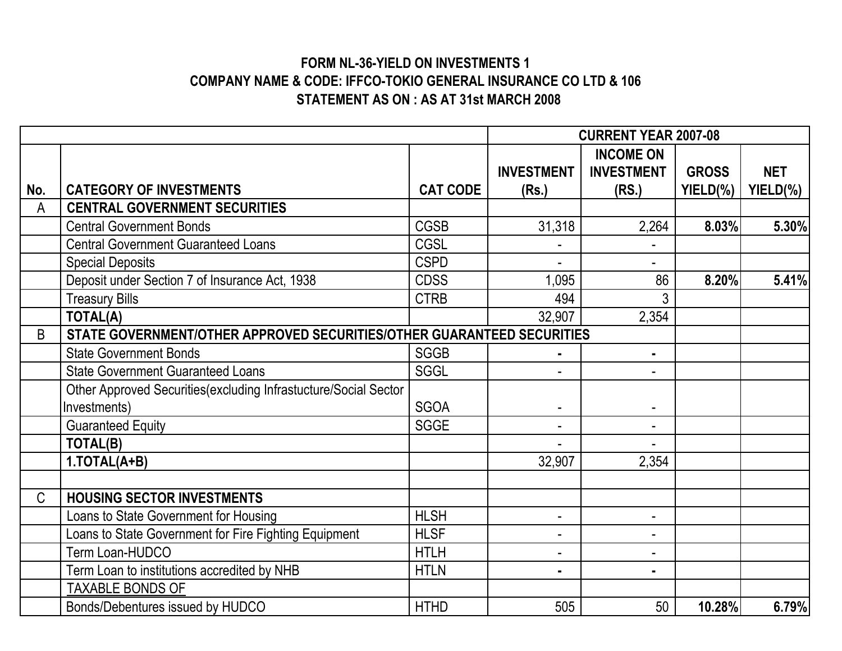# **FORM NL-36-YIELD ON INVESTMENTS 1 COMPANY NAME & CODE: IFFCO-TOKIO GENERAL INSURANCE CO LTD & 106 STATEMENT AS ON : AS AT 31st MARCH 2008**

|     |                                                                        |                 |                   | <b>CURRENT YEAR 2007-08</b> |              |            |  |
|-----|------------------------------------------------------------------------|-----------------|-------------------|-----------------------------|--------------|------------|--|
|     |                                                                        |                 |                   | <b>INCOME ON</b>            |              |            |  |
|     |                                                                        |                 | <b>INVESTMENT</b> | <b>INVESTMENT</b>           | <b>GROSS</b> | <b>NET</b> |  |
| No. | <b>CATEGORY OF INVESTMENTS</b>                                         | <b>CAT CODE</b> | (Rs.)             | (RS.)                       | YIELD(%)     | YIELD(%)   |  |
| A   | <b>CENTRAL GOVERNMENT SECURITIES</b>                                   |                 |                   |                             |              |            |  |
|     | <b>Central Government Bonds</b>                                        | <b>CGSB</b>     | 31,318            | 2,264                       | 8.03%        | 5.30%      |  |
|     | <b>Central Government Guaranteed Loans</b>                             | <b>CGSL</b>     |                   |                             |              |            |  |
|     | <b>Special Deposits</b>                                                | <b>CSPD</b>     |                   |                             |              |            |  |
|     | Deposit under Section 7 of Insurance Act, 1938                         | <b>CDSS</b>     | 1,095             | 86                          | 8.20%        | 5.41%      |  |
|     | <b>Treasury Bills</b>                                                  | <b>CTRB</b>     | 494               | 3                           |              |            |  |
|     | <b>TOTAL(A)</b>                                                        |                 | 32,907            | 2,354                       |              |            |  |
| B   | STATE GOVERNMENT/OTHER APPROVED SECURITIES/OTHER GUARANTEED SECURITIES |                 |                   |                             |              |            |  |
|     | <b>State Government Bonds</b>                                          | <b>SGGB</b>     |                   | $\blacksquare$              |              |            |  |
|     | <b>State Government Guaranteed Loans</b>                               | <b>SGGL</b>     | ٠                 |                             |              |            |  |
|     | Other Approved Securities(excluding Infrastucture/Social Sector        |                 |                   |                             |              |            |  |
|     | Investments)                                                           | <b>SGOA</b>     |                   |                             |              |            |  |
|     | <b>Guaranteed Equity</b>                                               | <b>SGGE</b>     |                   | $\blacksquare$              |              |            |  |
|     | TOTAL(B)                                                               |                 |                   |                             |              |            |  |
|     | 1.TOTAL(A+B)                                                           |                 | 32,907            | 2,354                       |              |            |  |
|     |                                                                        |                 |                   |                             |              |            |  |
| C   | <b>HOUSING SECTOR INVESTMENTS</b>                                      |                 |                   |                             |              |            |  |
|     | Loans to State Government for Housing                                  | <b>HLSH</b>     | ۰                 | ٠                           |              |            |  |
|     | Loans to State Government for Fire Fighting Equipment                  | <b>HLSF</b>     |                   |                             |              |            |  |
|     | Term Loan-HUDCO                                                        | <b>HTLH</b>     | ۰                 | ۰                           |              |            |  |
|     | Term Loan to institutions accredited by NHB                            | <b>HTLN</b>     | $\blacksquare$    | $\blacksquare$              |              |            |  |
|     | TAXABLE BONDS OF                                                       |                 |                   |                             |              |            |  |
|     | Bonds/Debentures issued by HUDCO                                       | <b>HTHD</b>     | 505               | 50                          | 10.28%       | 6.79%      |  |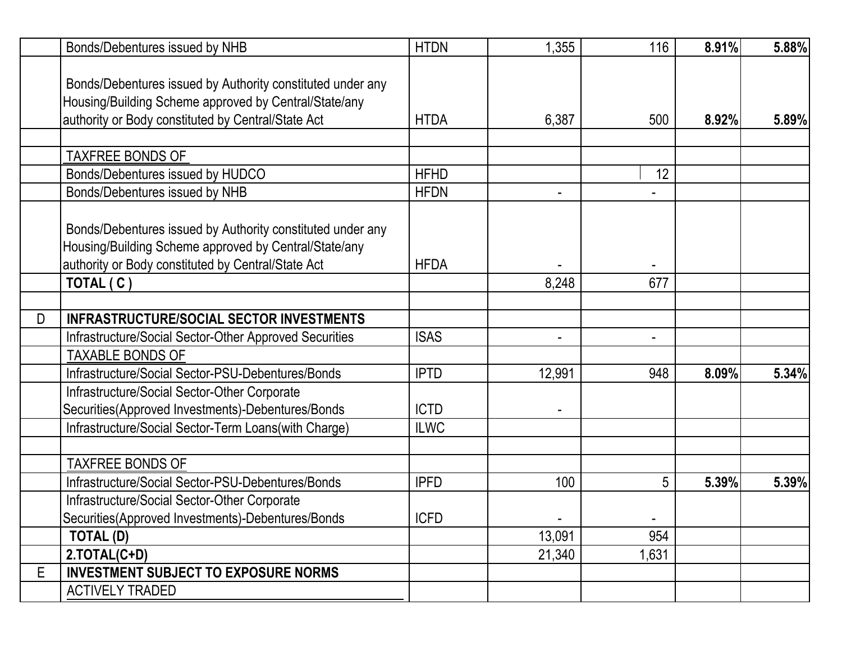|   | Bonds/Debentures issued by NHB                             | <b>HTDN</b> | 1,355          | 116            | 8.91% | 5.88% |
|---|------------------------------------------------------------|-------------|----------------|----------------|-------|-------|
|   |                                                            |             |                |                |       |       |
|   | Bonds/Debentures issued by Authority constituted under any |             |                |                |       |       |
|   | Housing/Building Scheme approved by Central/State/any      |             |                |                |       |       |
|   | authority or Body constituted by Central/State Act         | <b>HTDA</b> | 6,387          | 500            | 8.92% | 5.89% |
|   |                                                            |             |                |                |       |       |
|   | <b>TAXFREE BONDS OF</b>                                    |             |                |                |       |       |
|   | Bonds/Debentures issued by HUDCO                           | <b>HFHD</b> |                | 12             |       |       |
|   | Bonds/Debentures issued by NHB                             | <b>HFDN</b> |                |                |       |       |
|   |                                                            |             |                |                |       |       |
|   | Bonds/Debentures issued by Authority constituted under any |             |                |                |       |       |
|   | Housing/Building Scheme approved by Central/State/any      |             |                |                |       |       |
|   | authority or Body constituted by Central/State Act         | <b>HFDA</b> |                |                |       |       |
|   | TOTAL (C)                                                  |             | 8,248          | 677            |       |       |
|   |                                                            |             |                |                |       |       |
| D | <b>INFRASTRUCTURE/SOCIAL SECTOR INVESTMENTS</b>            |             |                |                |       |       |
|   | Infrastructure/Social Sector-Other Approved Securities     | <b>ISAS</b> | $\blacksquare$ | $\blacksquare$ |       |       |
|   | <b>TAXABLE BONDS OF</b>                                    |             |                |                |       |       |
|   | Infrastructure/Social Sector-PSU-Debentures/Bonds          | <b>IPTD</b> | 12,991         | 948            | 8.09% | 5.34% |
|   | Infrastructure/Social Sector-Other Corporate               |             |                |                |       |       |
|   | Securities(Approved Investments)-Debentures/Bonds          | <b>ICTD</b> |                |                |       |       |
|   | Infrastructure/Social Sector-Term Loans(with Charge)       | <b>ILWC</b> |                |                |       |       |
|   |                                                            |             |                |                |       |       |
|   | <b>TAXFREE BONDS OF</b>                                    |             |                |                |       |       |
|   | Infrastructure/Social Sector-PSU-Debentures/Bonds          | <b>IPFD</b> | 100            | 5              | 5.39% | 5.39% |
|   | Infrastructure/Social Sector-Other Corporate               |             |                |                |       |       |
|   | Securities (Approved Investments)-Debentures / Bonds       | <b>ICFD</b> |                |                |       |       |
|   | TOTAL (D)                                                  |             | 13,091         | 954            |       |       |
|   | 2.TOTAL(C+D)                                               |             | 21,340         | 1,631          |       |       |
| E | <b>INVESTMENT SUBJECT TO EXPOSURE NORMS</b>                |             |                |                |       |       |
|   | <b>ACTIVELY TRADED</b>                                     |             |                |                |       |       |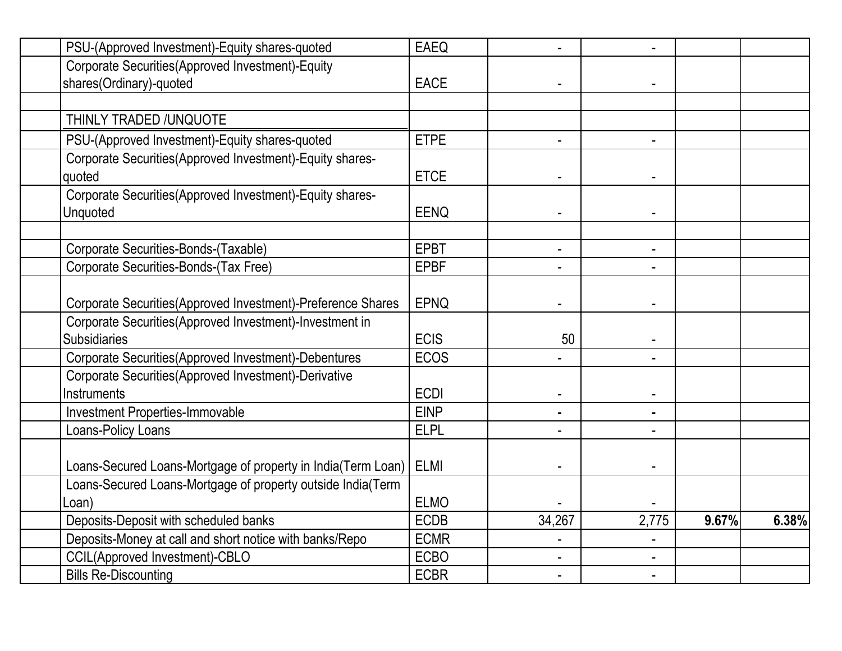| PSU-(Approved Investment)-Equity shares-quoted               | <b>EAEQ</b> |                |                |       |       |
|--------------------------------------------------------------|-------------|----------------|----------------|-------|-------|
| Corporate Securities(Approved Investment)-Equity             |             |                |                |       |       |
| shares(Ordinary)-quoted                                      | <b>EACE</b> |                |                |       |       |
|                                                              |             |                |                |       |       |
| THINLY TRADED / UNQUOTE                                      |             |                |                |       |       |
| PSU-(Approved Investment)-Equity shares-quoted               | <b>ETPE</b> | $\blacksquare$ | ٠              |       |       |
| Corporate Securities (Approved Investment)-Equity shares-    |             |                |                |       |       |
| quoted                                                       | <b>ETCE</b> |                |                |       |       |
| Corporate Securities (Approved Investment)-Equity shares-    |             |                |                |       |       |
| Unquoted                                                     | <b>EENQ</b> |                |                |       |       |
|                                                              |             |                |                |       |       |
| Corporate Securities-Bonds-(Taxable)                         | <b>EPBT</b> |                |                |       |       |
| Corporate Securities-Bonds-(Tax Free)                        | <b>EPBF</b> |                |                |       |       |
|                                                              |             |                |                |       |       |
| Corporate Securities(Approved Investment)-Preference Shares  | <b>EPNQ</b> |                |                |       |       |
| Corporate Securities(Approved Investment)-Investment in      |             |                |                |       |       |
| <b>Subsidiaries</b>                                          | <b>ECIS</b> | 50             |                |       |       |
| Corporate Securities(Approved Investment)-Debentures         | <b>ECOS</b> |                |                |       |       |
| Corporate Securities(Approved Investment)-Derivative         |             |                |                |       |       |
| Instruments                                                  | <b>ECDI</b> |                |                |       |       |
| Investment Properties-Immovable                              | <b>EINP</b> |                | $\blacksquare$ |       |       |
| Loans-Policy Loans                                           | <b>ELPL</b> |                |                |       |       |
|                                                              |             |                |                |       |       |
| Loans-Secured Loans-Mortgage of property in India(Term Loan) | <b>ELMI</b> |                |                |       |       |
| Loans-Secured Loans-Mortgage of property outside India(Term  |             |                |                |       |       |
| _oan)                                                        | <b>ELMO</b> |                |                |       |       |
| Deposits-Deposit with scheduled banks                        | <b>ECDB</b> | 34,267         | 2,775          | 9.67% | 6.38% |
| Deposits-Money at call and short notice with banks/Repo      | <b>ECMR</b> |                |                |       |       |
| CCIL(Approved Investment)-CBLO                               | <b>ECBO</b> |                |                |       |       |
| <b>Bills Re-Discounting</b>                                  | <b>ECBR</b> |                |                |       |       |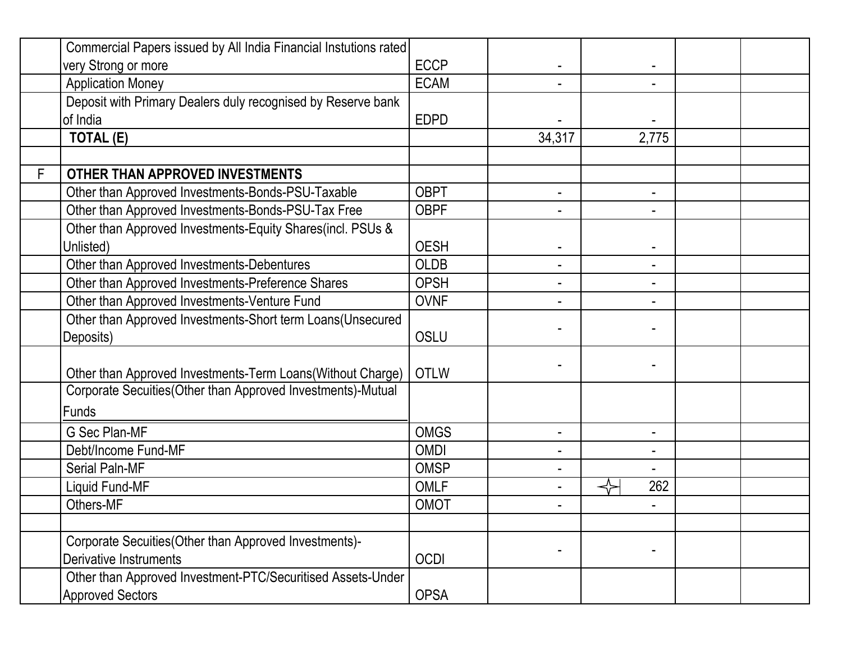|   | Commercial Papers issued by All India Financial Instutions rated |             |        |                          |  |
|---|------------------------------------------------------------------|-------------|--------|--------------------------|--|
|   | very Strong or more                                              | <b>ECCP</b> |        |                          |  |
|   | <b>Application Money</b>                                         | <b>ECAM</b> |        |                          |  |
|   | Deposit with Primary Dealers duly recognised by Reserve bank     |             |        |                          |  |
|   | of India                                                         | <b>EDPD</b> |        |                          |  |
|   | <b>TOTAL (E)</b>                                                 |             | 34,317 | 2,775                    |  |
|   |                                                                  |             |        |                          |  |
| F | OTHER THAN APPROVED INVESTMENTS                                  |             |        |                          |  |
|   | Other than Approved Investments-Bonds-PSU-Taxable                | <b>OBPT</b> | ٠      | $\blacksquare$           |  |
|   | Other than Approved Investments-Bonds-PSU-Tax Free               | <b>OBPF</b> |        | $\blacksquare$           |  |
|   | Other than Approved Investments-Equity Shares(incl. PSUs &       |             |        |                          |  |
|   | Unlisted)                                                        | <b>OESH</b> |        |                          |  |
|   | Other than Approved Investments-Debentures                       | <b>OLDB</b> |        | $\overline{\phantom{a}}$ |  |
|   | Other than Approved Investments-Preference Shares                | <b>OPSH</b> |        | $\blacksquare$           |  |
|   | Other than Approved Investments-Venture Fund                     | <b>OVNF</b> |        | $\blacksquare$           |  |
|   | Other than Approved Investments-Short term Loans(Unsecured       |             |        |                          |  |
|   | Deposits)                                                        | <b>OSLU</b> |        |                          |  |
|   |                                                                  |             |        |                          |  |
|   | Other than Approved Investments-Term Loans(Without Charge)       | <b>OTLW</b> |        |                          |  |
|   | Corporate Secuities (Other than Approved Investments)-Mutual     |             |        |                          |  |
|   | Funds                                                            |             |        |                          |  |
|   | <b>G Sec Plan-MF</b>                                             | <b>OMGS</b> | ۰      |                          |  |
|   | Debt/Income Fund-MF                                              | <b>OMDI</b> |        | $\blacksquare$           |  |
|   | Serial Paln-MF                                                   | <b>OMSP</b> |        |                          |  |
|   | Liquid Fund-MF                                                   | <b>OMLF</b> |        | 262                      |  |
|   | Others-MF                                                        | OMOT        |        |                          |  |
|   |                                                                  |             |        |                          |  |
|   | Corporate Secuities (Other than Approved Investments)-           |             |        |                          |  |
|   | Derivative Instruments                                           | <b>OCDI</b> |        |                          |  |
|   | Other than Approved Investment-PTC/Securitised Assets-Under      |             |        |                          |  |
|   | <b>Approved Sectors</b>                                          | <b>OPSA</b> |        |                          |  |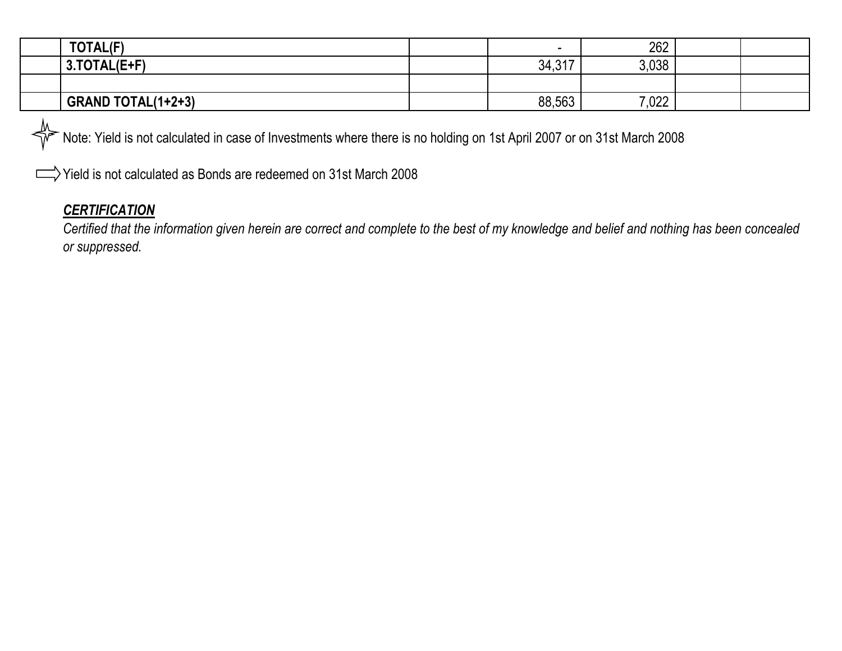| TOTAL(F)                  | -      | 262   |  |
|---------------------------|--------|-------|--|
| 3.TOTAL(E+F)              | 34,317 | 3,038 |  |
|                           |        |       |  |
| <b>GRAND TOTAL(1+2+3)</b> | 88,563 | 7,022 |  |

Note: Yield is not calculated in case of Investments where there is no holding on 1st April 2007 or on 31st March 2008 ╬

Yield is not calculated as Bonds are redeemed on 31st March 2008

# *CERTIFICATION*

 $\Box$ 

*Certified that the information given herein are correct and complete to the best of my knowledge and belief and nothing has been concealed or suppressed.*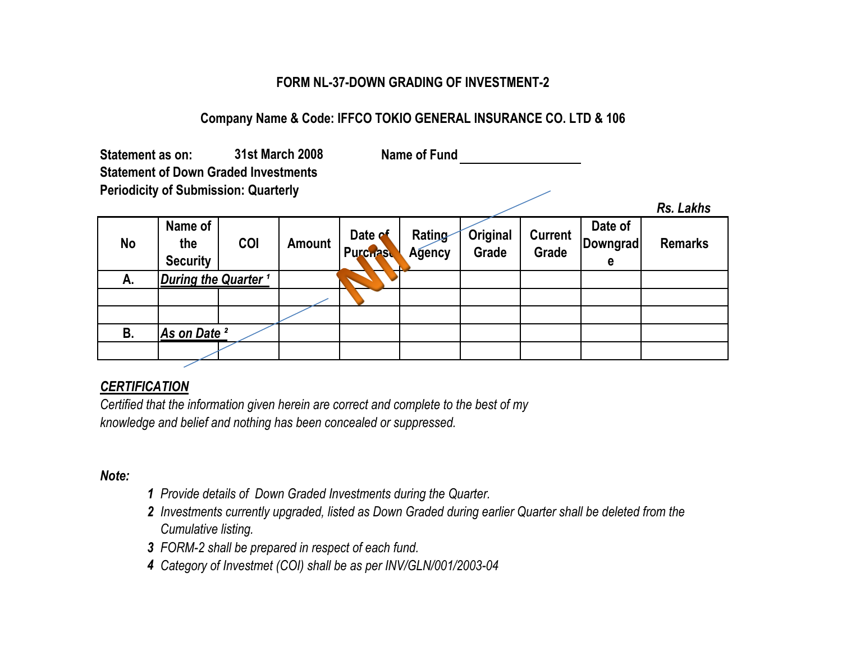# **FORM NL-37-DOWN GRADING OF INVESTMENT-2**

# **Company Name & Code: IFFCO TOKIO GENERAL INSURANCE CO. LTD & 106**

| <b>31st March 2008</b><br>Statement as on:<br><b>Statement of Down Graded Investments</b><br><b>Periodicity of Submission: Quarterly</b> |                                   |     | Name of Fund  |                            |                  |                   |                         |                                 |                |
|------------------------------------------------------------------------------------------------------------------------------------------|-----------------------------------|-----|---------------|----------------------------|------------------|-------------------|-------------------------|---------------------------------|----------------|
|                                                                                                                                          |                                   |     |               |                            |                  |                   |                         |                                 | Rs. Lakhs      |
| <b>No</b>                                                                                                                                | Name of<br>the<br><b>Security</b> | COI | <b>Amount</b> | Date of<br><b>Purchast</b> | Rating<br>Agency | Original<br>Grade | <b>Current</b><br>Grade | Date of<br><b>Downgrad</b><br>е | <b>Remarks</b> |
| А.                                                                                                                                       | During the Quarter <sup>1</sup>   |     |               |                            |                  |                   |                         |                                 |                |
|                                                                                                                                          |                                   |     |               |                            |                  |                   |                         |                                 |                |
|                                                                                                                                          |                                   |     |               |                            |                  |                   |                         |                                 |                |
| В.                                                                                                                                       | As on Date <sup>2</sup>           |     |               |                            |                  |                   |                         |                                 |                |
|                                                                                                                                          |                                   |     |               |                            |                  |                   |                         |                                 |                |

#### *CERTIFICATION*

*Certified that the information given herein are correct and complete to the best of my knowledge and belief and nothing has been concealed or suppressed.*

#### *Note:*

- *1 Provide details of Down Graded Investments during the Quarter.*
- *2 Investments currently upgraded, listed as Down Graded during earlier Quarter shall be deleted from the Cumulative listing.*
- *3 FORM-2 shall be prepared in respect of each fund.*
- *4 Category of Investmet (COI) shall be as per INV/GLN/001/2003-04*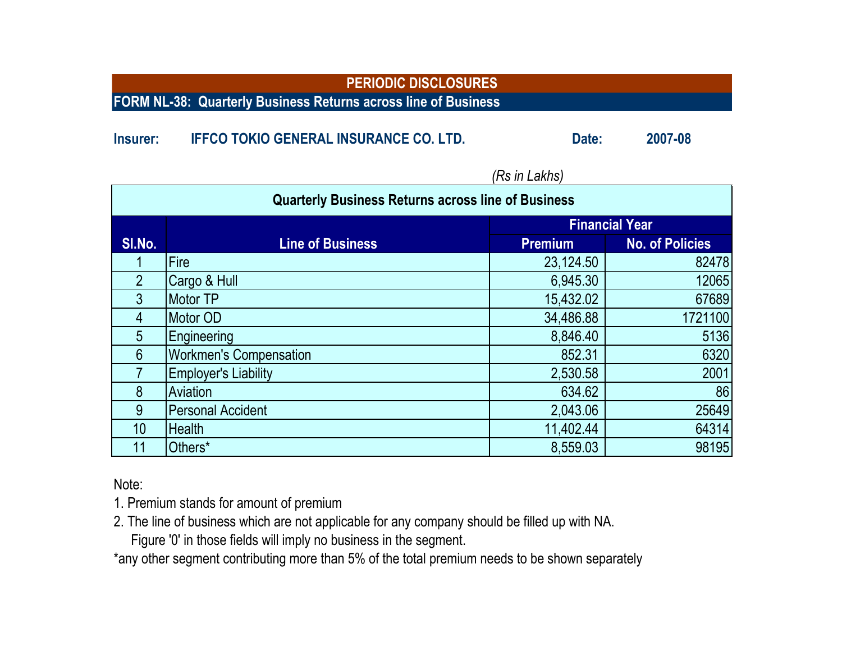**FORM NL-38: Quarterly Business Returns across line of Business**

### **Insurer: IFFCO TOKIO GENERAL INSURANCE CO. LTD. Date: 2007-08**

| <b>Quarterly Business Returns across line of Business</b> |                               |                |                        |  |  |  |
|-----------------------------------------------------------|-------------------------------|----------------|------------------------|--|--|--|
|                                                           |                               |                | <b>Financial Year</b>  |  |  |  |
| SI.No.                                                    | <b>Line of Business</b>       | <b>Premium</b> | <b>No. of Policies</b> |  |  |  |
|                                                           | Fire                          | 23,124.50      | 82478                  |  |  |  |
| $\overline{2}$                                            | Cargo & Hull                  | 6,945.30       | 12065                  |  |  |  |
| 3                                                         | Motor TP                      | 15,432.02      | 67689                  |  |  |  |
| 4                                                         | Motor OD                      | 34,486.88      | 1721100                |  |  |  |
| 5                                                         | Engineering                   | 8,846.40       | 5136                   |  |  |  |
| 6                                                         | <b>Workmen's Compensation</b> | 852.31         | 6320                   |  |  |  |
|                                                           | <b>Employer's Liability</b>   | 2,530.58       | 2001                   |  |  |  |
| 8                                                         | Aviation                      | 634.62         | 86                     |  |  |  |
| 9                                                         | <b>Personal Accident</b>      | 2,043.06       | 25649                  |  |  |  |
| 10 <sup>1</sup>                                           | <b>Health</b>                 | 11,402.44      | 64314                  |  |  |  |
| 11                                                        | Others*                       | 8,559.03       | 98195                  |  |  |  |

*(Rs in Lakhs)*

Note:

1. Premium stands for amount of premium

2. The line of business which are not applicable for any company should be filled up with NA.

Figure '0' in those fields will imply no business in the segment.

\*any other segment contributing more than 5% of the total premium needs to be shown separately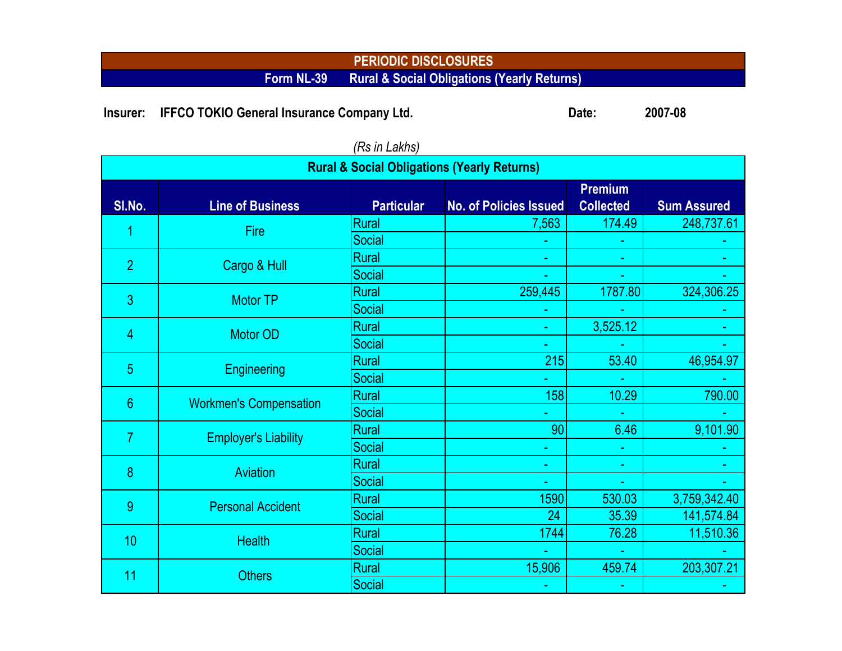#### **PERIODIC DISCLOSURES Form NL-39 Rural & Social Obligations (Yearly Returns)**

**Insurer:** IFFCO TOKIO General Insurance Company Ltd. **Date: 2007-08** 

| $10$ $\mu$ $\mu$ $\mu$<br><b>Rural &amp; Social Obligations (Yearly Returns)</b> |                               |                   |                               |                                    |                    |  |  |  |
|----------------------------------------------------------------------------------|-------------------------------|-------------------|-------------------------------|------------------------------------|--------------------|--|--|--|
| SI.No.                                                                           | <b>Line of Business</b>       | <b>Particular</b> | <b>No. of Policies Issued</b> | <b>Premium</b><br><b>Collected</b> | <b>Sum Assured</b> |  |  |  |
|                                                                                  | <b>Fire</b>                   | <b>Rural</b>      | 7,563                         | 174.49                             | 248,737.61         |  |  |  |
|                                                                                  |                               | Social            |                               |                                    |                    |  |  |  |
| $\overline{2}$                                                                   | Cargo & Hull                  | <b>Rural</b>      | ٠                             | ٠                                  |                    |  |  |  |
|                                                                                  |                               | Social            |                               |                                    |                    |  |  |  |
| 3                                                                                | <b>Motor TP</b>               | <b>Rural</b>      | 259,445                       | 1787.80                            | 324,306.25         |  |  |  |
|                                                                                  |                               | Social            |                               |                                    |                    |  |  |  |
| 4                                                                                | <b>Motor OD</b>               | <b>Rural</b>      | u,                            | 3,525.12                           |                    |  |  |  |
|                                                                                  |                               | Social            |                               |                                    |                    |  |  |  |
| 5                                                                                | <b>Engineering</b>            | Rural             | 215                           | 53.40                              | 46,954.97          |  |  |  |
|                                                                                  |                               | Social            |                               |                                    |                    |  |  |  |
| $6\phantom{1}6$                                                                  | <b>Workmen's Compensation</b> | <b>Rural</b>      | 158                           | 10.29                              | 790.00             |  |  |  |
|                                                                                  |                               | Social            | L,                            |                                    |                    |  |  |  |
| $\overline{7}$                                                                   | <b>Employer's Liability</b>   | <b>Rural</b>      | 90                            | 6.46                               | 9,101.90           |  |  |  |
|                                                                                  |                               | Social            | ۳                             | ÷                                  |                    |  |  |  |
| 8                                                                                | <b>Aviation</b>               | <b>Rural</b>      | ÷                             | ÷                                  |                    |  |  |  |
|                                                                                  |                               | Social            |                               |                                    |                    |  |  |  |
| 9                                                                                | <b>Personal Accident</b>      | <b>Rural</b>      | 1590                          | 530.03                             | 3,759,342.40       |  |  |  |
|                                                                                  |                               | Social            | 24                            | 35.39                              | 141,574.84         |  |  |  |
| 10                                                                               | <b>Health</b>                 | Rural             | 1744                          | 76.28                              | 11,510.36          |  |  |  |
|                                                                                  |                               | Social            | u,                            | $\mathcal{L}$                      |                    |  |  |  |
| 11                                                                               | <b>Others</b>                 | <b>Rural</b>      | 15,906                        | 459.74                             | 203,307.21         |  |  |  |
|                                                                                  |                               | Social            | ٠                             |                                    |                    |  |  |  |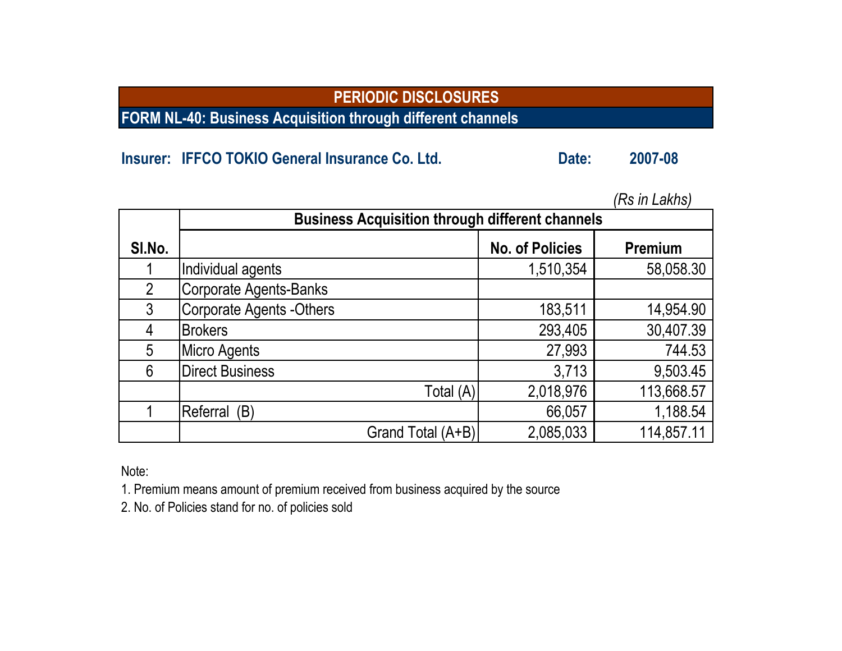**FORM NL-40: Business Acquisition through different channels**

# **Insurer: IFFCO TOKIO General Insurance Co. Ltd. Date: 2007-08**

|                |                                                        |                        | nə ili Lanıləl |  |  |  |  |  |  |
|----------------|--------------------------------------------------------|------------------------|----------------|--|--|--|--|--|--|
|                | <b>Business Acquisition through different channels</b> |                        |                |  |  |  |  |  |  |
| SI.No.         |                                                        | <b>No. of Policies</b> | Premium        |  |  |  |  |  |  |
|                | Individual agents                                      | 1,510,354              | 58,058.30      |  |  |  |  |  |  |
| $\overline{2}$ | <b>Corporate Agents-Banks</b>                          |                        |                |  |  |  |  |  |  |
| 3              | <b>Corporate Agents -Others</b>                        | 183,511                | 14,954.90      |  |  |  |  |  |  |
| 4              | <b>Brokers</b>                                         | 293,405                | 30,407.39      |  |  |  |  |  |  |
| 5              | <b>Micro Agents</b>                                    | 27,993                 | 744.53         |  |  |  |  |  |  |
| 6              | <b>Direct Business</b>                                 | 3,713                  | 9,503.45       |  |  |  |  |  |  |
|                | Total (A)                                              | 2,018,976              | 113,668.57     |  |  |  |  |  |  |
|                | Referral (B)                                           | 66,057                 | 1,188.54       |  |  |  |  |  |  |
|                | Grand Total (A+B)                                      | 2,085,033              | 114,857.11     |  |  |  |  |  |  |

*(Rs in Lakhs)*

Note:

1. Premium means amount of premium received from business acquired by the source

2. No. of Policies stand for no. of policies sold